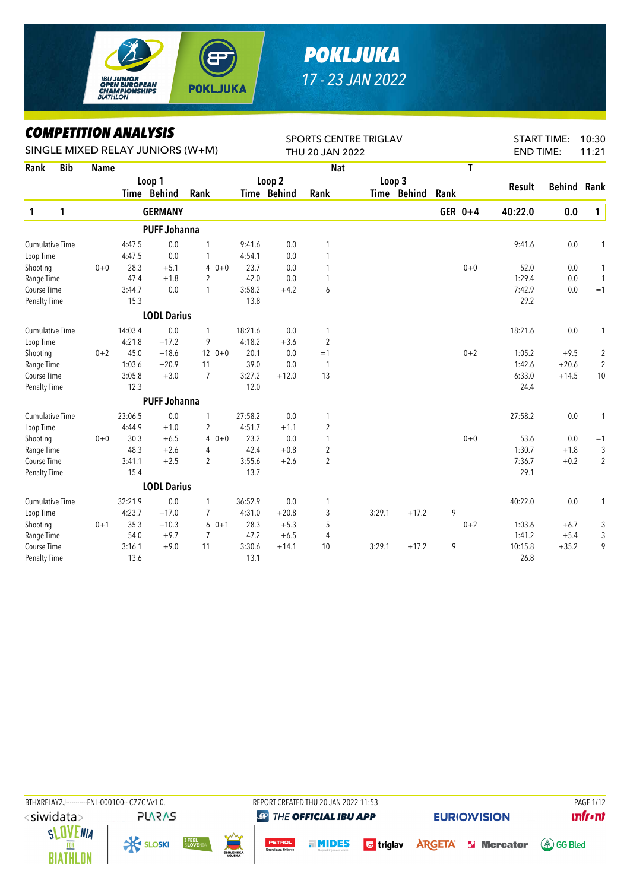

## *POKLJUKA 17 - 23 JAN 2022*

*COMPETITION ANALYSIS*

|                        | LUMPEIIIIUN ANALYƏIƏ<br>SINGLE MIXED RELAY JUNIORS (W+M) |             |         |                     |                |         |                    | <b>SPORTS CENTRE TRIGLAV</b> |        |             |      |         |                  | <b>START TIME:</b> | 10:30          |
|------------------------|----------------------------------------------------------|-------------|---------|---------------------|----------------|---------|--------------------|------------------------------|--------|-------------|------|---------|------------------|--------------------|----------------|
|                        |                                                          |             |         |                     |                |         |                    | THU 20 JAN 2022              |        |             |      |         | <b>END TIME:</b> |                    | 11:21          |
| Rank                   | <b>Bib</b>                                               | <b>Name</b> |         |                     |                |         |                    | <b>Nat</b>                   |        |             |      | T       |                  |                    |                |
|                        |                                                          |             |         | Loop 1              |                |         | Loop 2             |                              | Loop 3 |             |      |         | Result           | <b>Behind</b>      | Rank           |
|                        |                                                          |             |         | Time Behind         | Rank           |         | <b>Time Behind</b> | Rank                         |        | Time Behind | Rank |         |                  |                    |                |
| 1                      | 1                                                        |             |         | <b>GERMANY</b>      |                |         |                    |                              |        |             |      | GER 0+4 | 40:22.0          | 0.0                | $\mathbf{1}$   |
|                        |                                                          |             |         | <b>PUFF Johanna</b> |                |         |                    |                              |        |             |      |         |                  |                    |                |
| <b>Cumulative Time</b> |                                                          |             | 4:47.5  | 0.0                 | 1              | 9:41.6  | 0.0                | 1                            |        |             |      |         | 9:41.6           | 0.0                | 1              |
| Loop Time              |                                                          |             | 4:47.5  | 0.0                 | 1              | 4:54.1  | 0.0                | 1                            |        |             |      |         |                  |                    |                |
| Shooting               |                                                          | $0 + 0$     | 28.3    | $+5.1$              | $40+0$         | 23.7    | 0.0                | 1                            |        |             |      | $0 + 0$ | 52.0             | 0.0                | 1              |
| Range Time             |                                                          |             | 47.4    | $+1.8$              | $\overline{2}$ | 42.0    | 0.0                | 1                            |        |             |      |         | 1:29.4           | 0.0                | $\mathbf{1}$   |
| Course Time            |                                                          |             | 3:44.7  | 0.0                 | 1              | 3:58.2  | $+4.2$             | 6                            |        |             |      |         | 7:42.9           | 0.0                | $=1$           |
| <b>Penalty Time</b>    |                                                          |             | 15.3    |                     |                | 13.8    |                    |                              |        |             |      |         | 29.2             |                    |                |
|                        |                                                          |             |         | <b>LODL Darius</b>  |                |         |                    |                              |        |             |      |         |                  |                    |                |
| <b>Cumulative Time</b> |                                                          |             | 14:03.4 | 0.0                 | 1              | 18:21.6 | 0.0                | 1                            |        |             |      |         | 18:21.6          | 0.0                | 1              |
| Loop Time              |                                                          |             | 4:21.8  | $+17.2$             | 9              | 4:18.2  | $+3.6$             | $\overline{2}$               |        |             |      |         |                  |                    |                |
| Shooting               |                                                          | $0 + 2$     | 45.0    | $+18.6$             | $120+0$        | 20.1    | 0.0                | $=1$                         |        |             |      | $0 + 2$ | 1:05.2           | $+9.5$             | $\overline{c}$ |
| Range Time             |                                                          |             | 1:03.6  | $+20.9$             | 11             | 39.0    | 0.0                | $\mathbf{1}$                 |        |             |      |         | 1:42.6           | $+20.6$            | $\overline{2}$ |
| Course Time            |                                                          |             | 3:05.8  | $+3.0$              | $\overline{7}$ | 3:27.2  | $+12.0$            | 13                           |        |             |      |         | 6:33.0           | $+14.5$            | $10$           |
| <b>Penalty Time</b>    |                                                          |             | 12.3    |                     |                | 12.0    |                    |                              |        |             |      |         | 24.4             |                    |                |
|                        |                                                          |             |         | <b>PUFF Johanna</b> |                |         |                    |                              |        |             |      |         |                  |                    |                |
| <b>Cumulative Time</b> |                                                          |             | 23:06.5 | 0.0                 | 1              | 27:58.2 | 0.0                | 1                            |        |             |      |         | 27:58.2          | 0.0                | $\mathbf{1}$   |
| Loop Time              |                                                          |             | 4:44.9  | $+1.0$              | 2              | 4:51.7  | $+1.1$             | $\overline{2}$               |        |             |      |         |                  |                    |                |
| Shooting               |                                                          | $0 + 0$     | 30.3    | $+6.5$              | $40+0$         | 23.2    | 0.0                | 1                            |        |             |      | $0 + 0$ | 53.6             | 0.0                | $=1$           |
| Range Time             |                                                          |             | 48.3    | $+2.6$              | 4              | 42.4    | $+0.8$             | $\overline{2}$               |        |             |      |         | 1:30.7           | $+1.8$             | 3              |
| Course Time            |                                                          |             | 3:41.1  | $+2.5$              | $\overline{2}$ | 3:55.6  | $+2.6$             | $\overline{2}$               |        |             |      |         | 7:36.7           | $+0.2$             | $\overline{2}$ |
| <b>Penalty Time</b>    |                                                          |             | 15.4    |                     |                | 13.7    |                    |                              |        |             |      |         | 29.1             |                    |                |
|                        |                                                          |             |         | <b>LODL Darius</b>  |                |         |                    |                              |        |             |      |         |                  |                    |                |
| <b>Cumulative Time</b> |                                                          |             | 32:21.9 | 0.0                 | 1              | 36:52.9 | 0.0                | 1                            |        |             |      |         | 40:22.0          | 0.0                | 1              |
| Loop Time              |                                                          |             | 4:23.7  | $+17.0$             | 7              | 4:31.0  | $+20.8$            | 3                            | 3:29.1 | $+17.2$     | 9    |         |                  |                    |                |
| Shooting               |                                                          | $0 + 1$     | 35.3    | $+10.3$             | $60+1$         | 28.3    | $+5.3$             | 5                            |        |             |      | $0 + 2$ | 1:03.6           | $+6.7$             | 3              |
| Range Time             |                                                          |             | 54.0    | $+9.7$              | $\overline{7}$ | 47.2    | $+6.5$             | $\overline{4}$               |        |             |      |         | 1:41.2           | $+5.4$             | 3              |
| <b>Course Time</b>     |                                                          |             | 3:16.1  | $+9.0$              | 11             | 3:30.6  | $+14.1$            | 10                           | 3:29.1 | $+17.2$     | 9    |         | 10:15.8          | $+35.2$            | 9              |
| <b>Penalty Time</b>    |                                                          |             | 13.6    |                     |                | 13.1    |                    |                              |        |             |      |         | 26.8             |                    |                |

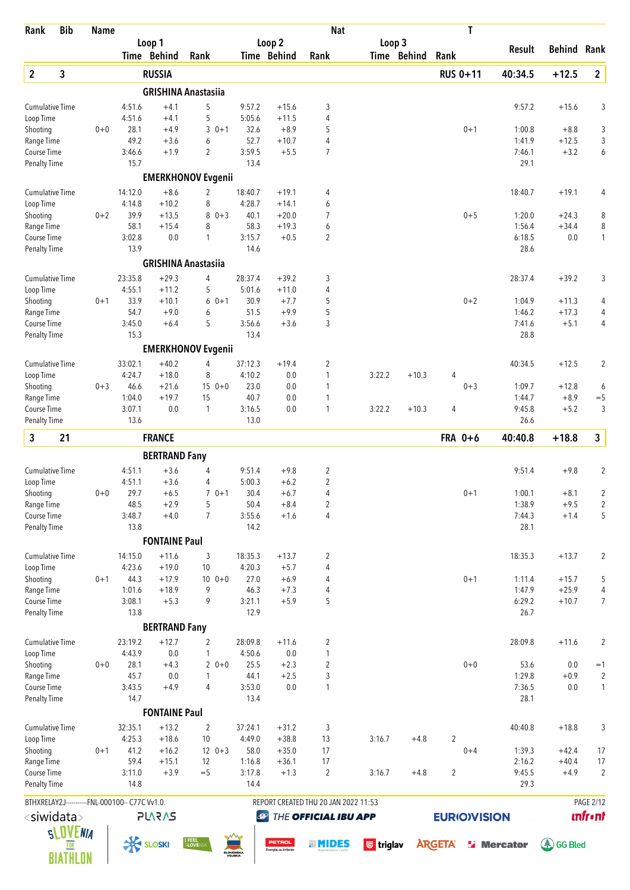| Loop 2<br>Loop 3<br>Loop 1<br><b>Behind Rank</b><br>Result<br>Time Behind<br>Time Behind<br>Time Behind<br>Rank<br>Rank<br>Rank<br>$\mathbf{2}$<br>3<br>$\overline{\mathbf{2}}$<br><b>RUSSIA</b><br><b>RUS 0+11</b><br>40:34.5<br>$+12.5$<br><b>GRISHINA Anastasiia</b><br>5<br>$+4.1$<br>9:57.2<br>$+15.6$<br>3<br>9:57.2<br>$+15.6$<br>3<br><b>Cumulative Time</b><br>4:51.6<br>Loop Time<br>$+4.1$<br>5<br>5:05.6<br>$+11.5$<br>4<br>4:51.6<br>28.1<br>$+8.9$<br>3<br>Shooting<br>$0+0$<br>$+4.9$<br>$30+1$<br>32.6<br>5<br>$0 + 1$<br>1:00.8<br>$+8.8$<br>$\overline{4}$<br>3<br>49.2<br>$+3.6$<br>6<br>52.7<br>$+10.7$<br>1:41.9<br>$+12.5$<br>Range Time<br>$\overline{2}$<br>3:59.5<br>$\overline{7}$<br>Course Time<br>3:46.6<br>$+1.9$<br>$+5.5$<br>7:46.1<br>$+3.2$<br>6<br>13.4<br>29.1<br>Penalty Time<br>15.7<br><b>EMERKHONOV Evgenii</b><br>$+8.6$<br>14:12.0<br>$+19.1$<br><b>Cumulative Time</b><br>2<br>18:40.7<br>$+19.1$<br>4<br>18:40.7<br>4<br>4:28.7<br>4:14.8<br>$+10.2$<br>8<br>6<br>Loop Time<br>$+14.1$<br>39.9<br>$0 + 2$<br>$80+3$<br>40.1<br>$+20.0$<br>$\overline{7}$<br>$0 + 5$<br>1:20.0<br>8<br>Shooting<br>$+13.5$<br>$+24.3$<br>$\, 8$<br>58.1<br>8<br>58.3<br>6<br>Range Time<br>$+15.4$<br>$+19.3$<br>1:56.4<br>$+34.4$<br>3:15.7<br>Course Time<br>3:02.8<br>0.0<br>$\mathbf{1}$<br>2<br>6:18.5<br>1<br>$+0.5$<br>0.0<br>13.9<br>14.6<br>28.6<br><b>Penalty Time</b><br><b>GRISHINA Anastasiia</b><br><b>Cumulative Time</b><br>23:35.8<br>$+29.3$<br>4<br>28:37.4<br>$+39.2$<br>3<br>28:37.4<br>$+39.2$<br>3<br>4:55.1<br>$+11.2$<br>5<br>5:01.6<br>$+11.0$<br>4<br>Loop Time<br>Shooting<br>33.9<br>$+10.1$<br>$60+1$<br>30.9<br>$0 + 2$<br>$0 + 1$<br>$+7.7$<br>5<br>1:04.9<br>$+11.3$<br>4<br>5<br>54.7<br>$+9.9$<br>1:46.2<br>$+17.3$<br>4<br>Range Time<br>$+9.0$<br>6<br>51.5<br>5<br>3<br>3:45.0<br>3:56.6<br>$+3.6$<br>7:41.6<br>$+5.1$<br>4<br>Course Time<br>$+6.4$<br>15.3<br>13.4<br>28.8<br>Penalty Time<br><b>EMERKHONOV Evgenii</b><br><b>Cumulative Time</b><br>33:02.1<br>$+40.2$<br>37:12.3<br>$+19.4$<br>$+12.5$<br>$\overline{2}$<br>4<br>2<br>40:34.5<br>4:24.7<br>$+18.0$<br>8<br>4:10.2<br>0.0<br>$\mathbf{1}$<br>3:22.2<br>$+10.3$<br>Loop Time<br>4<br>46.6<br>$150+0$<br>23.0<br>0.0<br>$0 + 3$<br>1:09.7<br>$+12.8$<br>Shooting<br>$0 + 3$<br>$+21.6$<br>1<br>6<br>1:04.0<br>$+19.7$<br>40.7<br>0.0<br>$+8.9$<br>$=$ 5<br>Range Time<br>15<br>1<br>1:44.7<br>3<br>Course Time<br>3:07.1<br>0.0<br>3:16.5<br>$\mathbf{1}$<br>9:45.8<br>$+5.2$<br>1<br>0.0<br>3:22.2<br>$+10.3$<br>4<br><b>Penalty Time</b><br>13.6<br>13.0<br>26.6<br>3<br>$\mathbf{3}$<br>21<br><b>FRANCE</b><br>40:40.8<br>$+18.8$<br>FRA 0+6<br><b>BERTRAND Fany</b><br>9:51.4<br>$\overline{c}$<br>$\overline{2}$<br><b>Cumulative Time</b><br>4:51.1<br>$+3.6$<br>4<br>$+9.8$<br>9:51.4<br>$+9.8$<br>$\overline{2}$<br>$+3.6$<br>5:00.3<br>$+6.2$<br>Loop Time<br>4:51.1<br>4<br>29.7<br>$+6.5$<br>30.4<br>$+6.7$<br>$\overline{2}$<br>Shooting<br>$0+0$<br>$70+1$<br>4<br>$0 + 1$<br>1:00.1<br>$+8.1$<br>$+2.9$<br>5<br>50.4<br>$+8.4$<br>2<br>1:38.9<br>$+9.5$<br>$\overline{c}$<br>Range Time<br>48.5<br>3:48.7<br>3:55.6<br>5<br>Course Time<br>$+4.0$<br>$\overline{7}$<br>$+1.6$<br>4<br>7:44.3<br>$+1.4$<br>13.8<br>14.2<br>28.1<br><b>Penalty Time</b><br><b>FONTAINE Paul</b><br>$+11.6$<br><b>Cumulative Time</b><br>14:15.0<br>3<br>18:35.3<br>$+13.7$<br>2<br>18:35.3<br>$+13.7$<br>2<br>4:23.6<br>$+19.0$<br>4:20.3<br>Loop Time<br>10<br>$+5.7$<br>4<br>44.3<br>$+17.9$<br>$100 + 0$<br>27.0<br>$+6.9$<br>$0 + 1$<br>5<br>Shooting<br>$0 + 1$<br>4<br>1:11.4<br>$+15.7$<br>$\overline{4}$<br>1:01.6<br>$+18.9$<br>9<br>46.3<br>$+7.3$<br>1:47.9<br>$+25.9$<br>Range Time<br>4<br>3:08.1<br>$+5.3$<br>9<br>3:21.1<br>$+5.9$<br>5<br>6:29.2<br>$+10.7$<br>Course Time<br>13.8<br>12.9<br>26.7<br><b>Penalty Time</b><br><b>BERTRAND Fany</b><br>23:19.2<br>$+12.7$<br>$\overline{c}$<br>$\overline{2}$<br><b>Cumulative Time</b><br>2<br>28:09.8<br>$+11.6$<br>28:09.8<br>$+11.6$<br>4:43.9<br>0.0<br>1<br>4:50.6<br>0.0<br>$\mathbf{1}$<br>Loop Time<br>25.5<br>$+2.3$<br>$\sqrt{2}$<br>$0 + 0$<br>$0 + 0$<br>28.1<br>$+4.3$<br>$20+0$<br>53.6<br>0.0<br>Shooting<br>$=1$<br>45.7<br>44.1<br>$+2.5$<br>3<br>1:29.8<br>$+0.9$<br>$\overline{\mathbf{c}}$<br>Range Time<br>0.0<br>1<br>3:43.5<br>$+4.9$<br>4<br>3:53.0<br>0.0<br>$\mathbf{1}$<br>7:36.5<br>0.0<br>1<br>Course Time<br>14.7<br>13.4<br>28.1<br><b>Penalty Time</b><br><b>FONTAINE Paul</b><br>$+13.2$<br>37:24.1<br>$+18.8$<br><b>Cumulative Time</b><br>32:35.1<br>2<br>$+31.2$<br>3<br>40:40.8<br>3<br>4:25.3<br>$+18.6$<br>4:49.0<br>13<br>$\overline{2}$<br>Loop Time<br>10<br>$+38.8$<br>3:16.7<br>$+4.8$<br>41.2<br>58.0<br>$12 \t 0+3$<br>$+35.0$<br>17<br>1:39.3<br>17<br>Shooting<br>$0 + 1$<br>$+16.2$<br>$0 + 4$<br>$+42.4$<br>59.4<br>17<br>2:16.2<br>$+40.4$<br>17<br>Range Time<br>$+15.1$<br>12<br>1:16.8<br>$+36.1$<br>3:11.0<br>$+3.9$<br>$=$ 5<br>3:17.8<br>$+1.3$<br>$\overline{2}$<br>$\overline{2}$<br>9:45.5<br>$+4.9$<br>$\overline{2}$<br>Course Time<br>3:16.7<br>$+4.8$<br>14.8<br>29.3<br><b>Penalty Time</b><br>14.4<br>REPORT CREATED THU 20 JAN 2022 11:53<br><b>PAGE 2/12</b><br>BTHXRELAY2J-----------FNL-000100-- C77C Vv1.0.<br><b>unfront</b><br><siwidata><br/><b>PLARAS</b><br/>THE OFFICIAL IBU APP<br/><b>EURIOVISION</b><br/><math>\bigcirc</math><br/><b>SLOVENIA</b><br/><b>K SLOSKI</b><br/><b>I FEEL</b><br/>SLOVENI/<br/>PETROL<br/><b>A</b>GG Bled<br/><b>TMIDES</b><br/><b>b</b> triglav<br/><b>ARGETA</b><br/><b>S</b> Mercator<br/>FOR<br/>Energija za življenjo<br/>SLOVENSKA<br/><b>BIATHLON</b></siwidata> | Rank | <b>Bib</b> | <b>Name</b> |  |  | <b>Nat</b> |  | T |  |  |
|---------------------------------------------------------------------------------------------------------------------------------------------------------------------------------------------------------------------------------------------------------------------------------------------------------------------------------------------------------------------------------------------------------------------------------------------------------------------------------------------------------------------------------------------------------------------------------------------------------------------------------------------------------------------------------------------------------------------------------------------------------------------------------------------------------------------------------------------------------------------------------------------------------------------------------------------------------------------------------------------------------------------------------------------------------------------------------------------------------------------------------------------------------------------------------------------------------------------------------------------------------------------------------------------------------------------------------------------------------------------------------------------------------------------------------------------------------------------------------------------------------------------------------------------------------------------------------------------------------------------------------------------------------------------------------------------------------------------------------------------------------------------------------------------------------------------------------------------------------------------------------------------------------------------------------------------------------------------------------------------------------------------------------------------------------------------------------------------------------------------------------------------------------------------------------------------------------------------------------------------------------------------------------------------------------------------------------------------------------------------------------------------------------------------------------------------------------------------------------------------------------------------------------------------------------------------------------------------------------------------------------------------------------------------------------------------------------------------------------------------------------------------------------------------------------------------------------------------------------------------------------------------------------------------------------------------------------------------------------------------------------------------------------------------------------------------------------------------------------------------------------------------------------------------------------------------------------------------------------------------------------------------------------------------------------------------------------------------------------------------------------------------------------------------------------------------------------------------------------------------------------------------------------------------------------------------------------------------------------------------------------------------------------------------------------------------------------------------------------------------------------------------------------------------------------------------------------------------------------------------------------------------------------------------------------------------------------------------------------------------------------------------------------------------------------------------------------------------------------------------------------------------------------------------------------------------------------------------------------------------------------------------------------------------------------------------------------------------------------------------------------------------------------------------------------------------------------------------------------------------------------------------------------------------------------------------------------------------------------------------------------------------------------------------------------------------------------------------------------------------------------------------------------------------------------------------------------------------------------------------------------------------------------------------------------------------------------------------------------------------------------------------------------------------------------------------------------------------------------------------------------------------------------------------------------------------------------------------------------------------------------------------------------------------------------------------------------------------------------------------------------------------------------------------------------------------------------------------------------------------------------------------------------------------------------------------------------------------------------------------------------------------------------------------------------|------|------------|-------------|--|--|------------|--|---|--|--|
|                                                                                                                                                                                                                                                                                                                                                                                                                                                                                                                                                                                                                                                                                                                                                                                                                                                                                                                                                                                                                                                                                                                                                                                                                                                                                                                                                                                                                                                                                                                                                                                                                                                                                                                                                                                                                                                                                                                                                                                                                                                                                                                                                                                                                                                                                                                                                                                                                                                                                                                                                                                                                                                                                                                                                                                                                                                                                                                                                                                                                                                                                                                                                                                                                                                                                                                                                                                                                                                                                                                                                                                                                                                                                                                                                                                                                                                                                                                                                                                                                                                                                                                                                                                                                                                                                                                                                                                                                                                                                                                                                                                                                                                                                                                                                                                                                                                                                                                                                                                                                                                                                                                                                                                                                                                                                                                                                                                                                                                                                                                                                                                                                                                                                 |      |            |             |  |  |            |  |   |  |  |
|                                                                                                                                                                                                                                                                                                                                                                                                                                                                                                                                                                                                                                                                                                                                                                                                                                                                                                                                                                                                                                                                                                                                                                                                                                                                                                                                                                                                                                                                                                                                                                                                                                                                                                                                                                                                                                                                                                                                                                                                                                                                                                                                                                                                                                                                                                                                                                                                                                                                                                                                                                                                                                                                                                                                                                                                                                                                                                                                                                                                                                                                                                                                                                                                                                                                                                                                                                                                                                                                                                                                                                                                                                                                                                                                                                                                                                                                                                                                                                                                                                                                                                                                                                                                                                                                                                                                                                                                                                                                                                                                                                                                                                                                                                                                                                                                                                                                                                                                                                                                                                                                                                                                                                                                                                                                                                                                                                                                                                                                                                                                                                                                                                                                                 |      |            |             |  |  |            |  |   |  |  |
|                                                                                                                                                                                                                                                                                                                                                                                                                                                                                                                                                                                                                                                                                                                                                                                                                                                                                                                                                                                                                                                                                                                                                                                                                                                                                                                                                                                                                                                                                                                                                                                                                                                                                                                                                                                                                                                                                                                                                                                                                                                                                                                                                                                                                                                                                                                                                                                                                                                                                                                                                                                                                                                                                                                                                                                                                                                                                                                                                                                                                                                                                                                                                                                                                                                                                                                                                                                                                                                                                                                                                                                                                                                                                                                                                                                                                                                                                                                                                                                                                                                                                                                                                                                                                                                                                                                                                                                                                                                                                                                                                                                                                                                                                                                                                                                                                                                                                                                                                                                                                                                                                                                                                                                                                                                                                                                                                                                                                                                                                                                                                                                                                                                                                 |      |            |             |  |  |            |  |   |  |  |
|                                                                                                                                                                                                                                                                                                                                                                                                                                                                                                                                                                                                                                                                                                                                                                                                                                                                                                                                                                                                                                                                                                                                                                                                                                                                                                                                                                                                                                                                                                                                                                                                                                                                                                                                                                                                                                                                                                                                                                                                                                                                                                                                                                                                                                                                                                                                                                                                                                                                                                                                                                                                                                                                                                                                                                                                                                                                                                                                                                                                                                                                                                                                                                                                                                                                                                                                                                                                                                                                                                                                                                                                                                                                                                                                                                                                                                                                                                                                                                                                                                                                                                                                                                                                                                                                                                                                                                                                                                                                                                                                                                                                                                                                                                                                                                                                                                                                                                                                                                                                                                                                                                                                                                                                                                                                                                                                                                                                                                                                                                                                                                                                                                                                                 |      |            |             |  |  |            |  |   |  |  |
| $\overline{7}$                                                                                                                                                                                                                                                                                                                                                                                                                                                                                                                                                                                                                                                                                                                                                                                                                                                                                                                                                                                                                                                                                                                                                                                                                                                                                                                                                                                                                                                                                                                                                                                                                                                                                                                                                                                                                                                                                                                                                                                                                                                                                                                                                                                                                                                                                                                                                                                                                                                                                                                                                                                                                                                                                                                                                                                                                                                                                                                                                                                                                                                                                                                                                                                                                                                                                                                                                                                                                                                                                                                                                                                                                                                                                                                                                                                                                                                                                                                                                                                                                                                                                                                                                                                                                                                                                                                                                                                                                                                                                                                                                                                                                                                                                                                                                                                                                                                                                                                                                                                                                                                                                                                                                                                                                                                                                                                                                                                                                                                                                                                                                                                                                                                                  |      |            |             |  |  |            |  |   |  |  |
|                                                                                                                                                                                                                                                                                                                                                                                                                                                                                                                                                                                                                                                                                                                                                                                                                                                                                                                                                                                                                                                                                                                                                                                                                                                                                                                                                                                                                                                                                                                                                                                                                                                                                                                                                                                                                                                                                                                                                                                                                                                                                                                                                                                                                                                                                                                                                                                                                                                                                                                                                                                                                                                                                                                                                                                                                                                                                                                                                                                                                                                                                                                                                                                                                                                                                                                                                                                                                                                                                                                                                                                                                                                                                                                                                                                                                                                                                                                                                                                                                                                                                                                                                                                                                                                                                                                                                                                                                                                                                                                                                                                                                                                                                                                                                                                                                                                                                                                                                                                                                                                                                                                                                                                                                                                                                                                                                                                                                                                                                                                                                                                                                                                                                 |      |            |             |  |  |            |  |   |  |  |
|                                                                                                                                                                                                                                                                                                                                                                                                                                                                                                                                                                                                                                                                                                                                                                                                                                                                                                                                                                                                                                                                                                                                                                                                                                                                                                                                                                                                                                                                                                                                                                                                                                                                                                                                                                                                                                                                                                                                                                                                                                                                                                                                                                                                                                                                                                                                                                                                                                                                                                                                                                                                                                                                                                                                                                                                                                                                                                                                                                                                                                                                                                                                                                                                                                                                                                                                                                                                                                                                                                                                                                                                                                                                                                                                                                                                                                                                                                                                                                                                                                                                                                                                                                                                                                                                                                                                                                                                                                                                                                                                                                                                                                                                                                                                                                                                                                                                                                                                                                                                                                                                                                                                                                                                                                                                                                                                                                                                                                                                                                                                                                                                                                                                                 |      |            |             |  |  |            |  |   |  |  |
|                                                                                                                                                                                                                                                                                                                                                                                                                                                                                                                                                                                                                                                                                                                                                                                                                                                                                                                                                                                                                                                                                                                                                                                                                                                                                                                                                                                                                                                                                                                                                                                                                                                                                                                                                                                                                                                                                                                                                                                                                                                                                                                                                                                                                                                                                                                                                                                                                                                                                                                                                                                                                                                                                                                                                                                                                                                                                                                                                                                                                                                                                                                                                                                                                                                                                                                                                                                                                                                                                                                                                                                                                                                                                                                                                                                                                                                                                                                                                                                                                                                                                                                                                                                                                                                                                                                                                                                                                                                                                                                                                                                                                                                                                                                                                                                                                                                                                                                                                                                                                                                                                                                                                                                                                                                                                                                                                                                                                                                                                                                                                                                                                                                                                 |      |            |             |  |  |            |  |   |  |  |
|                                                                                                                                                                                                                                                                                                                                                                                                                                                                                                                                                                                                                                                                                                                                                                                                                                                                                                                                                                                                                                                                                                                                                                                                                                                                                                                                                                                                                                                                                                                                                                                                                                                                                                                                                                                                                                                                                                                                                                                                                                                                                                                                                                                                                                                                                                                                                                                                                                                                                                                                                                                                                                                                                                                                                                                                                                                                                                                                                                                                                                                                                                                                                                                                                                                                                                                                                                                                                                                                                                                                                                                                                                                                                                                                                                                                                                                                                                                                                                                                                                                                                                                                                                                                                                                                                                                                                                                                                                                                                                                                                                                                                                                                                                                                                                                                                                                                                                                                                                                                                                                                                                                                                                                                                                                                                                                                                                                                                                                                                                                                                                                                                                                                                 |      |            |             |  |  |            |  |   |  |  |
|                                                                                                                                                                                                                                                                                                                                                                                                                                                                                                                                                                                                                                                                                                                                                                                                                                                                                                                                                                                                                                                                                                                                                                                                                                                                                                                                                                                                                                                                                                                                                                                                                                                                                                                                                                                                                                                                                                                                                                                                                                                                                                                                                                                                                                                                                                                                                                                                                                                                                                                                                                                                                                                                                                                                                                                                                                                                                                                                                                                                                                                                                                                                                                                                                                                                                                                                                                                                                                                                                                                                                                                                                                                                                                                                                                                                                                                                                                                                                                                                                                                                                                                                                                                                                                                                                                                                                                                                                                                                                                                                                                                                                                                                                                                                                                                                                                                                                                                                                                                                                                                                                                                                                                                                                                                                                                                                                                                                                                                                                                                                                                                                                                                                                 |      |            |             |  |  |            |  |   |  |  |
|                                                                                                                                                                                                                                                                                                                                                                                                                                                                                                                                                                                                                                                                                                                                                                                                                                                                                                                                                                                                                                                                                                                                                                                                                                                                                                                                                                                                                                                                                                                                                                                                                                                                                                                                                                                                                                                                                                                                                                                                                                                                                                                                                                                                                                                                                                                                                                                                                                                                                                                                                                                                                                                                                                                                                                                                                                                                                                                                                                                                                                                                                                                                                                                                                                                                                                                                                                                                                                                                                                                                                                                                                                                                                                                                                                                                                                                                                                                                                                                                                                                                                                                                                                                                                                                                                                                                                                                                                                                                                                                                                                                                                                                                                                                                                                                                                                                                                                                                                                                                                                                                                                                                                                                                                                                                                                                                                                                                                                                                                                                                                                                                                                                                                 |      |            |             |  |  |            |  |   |  |  |
|                                                                                                                                                                                                                                                                                                                                                                                                                                                                                                                                                                                                                                                                                                                                                                                                                                                                                                                                                                                                                                                                                                                                                                                                                                                                                                                                                                                                                                                                                                                                                                                                                                                                                                                                                                                                                                                                                                                                                                                                                                                                                                                                                                                                                                                                                                                                                                                                                                                                                                                                                                                                                                                                                                                                                                                                                                                                                                                                                                                                                                                                                                                                                                                                                                                                                                                                                                                                                                                                                                                                                                                                                                                                                                                                                                                                                                                                                                                                                                                                                                                                                                                                                                                                                                                                                                                                                                                                                                                                                                                                                                                                                                                                                                                                                                                                                                                                                                                                                                                                                                                                                                                                                                                                                                                                                                                                                                                                                                                                                                                                                                                                                                                                                 |      |            |             |  |  |            |  |   |  |  |
|                                                                                                                                                                                                                                                                                                                                                                                                                                                                                                                                                                                                                                                                                                                                                                                                                                                                                                                                                                                                                                                                                                                                                                                                                                                                                                                                                                                                                                                                                                                                                                                                                                                                                                                                                                                                                                                                                                                                                                                                                                                                                                                                                                                                                                                                                                                                                                                                                                                                                                                                                                                                                                                                                                                                                                                                                                                                                                                                                                                                                                                                                                                                                                                                                                                                                                                                                                                                                                                                                                                                                                                                                                                                                                                                                                                                                                                                                                                                                                                                                                                                                                                                                                                                                                                                                                                                                                                                                                                                                                                                                                                                                                                                                                                                                                                                                                                                                                                                                                                                                                                                                                                                                                                                                                                                                                                                                                                                                                                                                                                                                                                                                                                                                 |      |            |             |  |  |            |  |   |  |  |
|                                                                                                                                                                                                                                                                                                                                                                                                                                                                                                                                                                                                                                                                                                                                                                                                                                                                                                                                                                                                                                                                                                                                                                                                                                                                                                                                                                                                                                                                                                                                                                                                                                                                                                                                                                                                                                                                                                                                                                                                                                                                                                                                                                                                                                                                                                                                                                                                                                                                                                                                                                                                                                                                                                                                                                                                                                                                                                                                                                                                                                                                                                                                                                                                                                                                                                                                                                                                                                                                                                                                                                                                                                                                                                                                                                                                                                                                                                                                                                                                                                                                                                                                                                                                                                                                                                                                                                                                                                                                                                                                                                                                                                                                                                                                                                                                                                                                                                                                                                                                                                                                                                                                                                                                                                                                                                                                                                                                                                                                                                                                                                                                                                                                                 |      |            |             |  |  |            |  |   |  |  |
|                                                                                                                                                                                                                                                                                                                                                                                                                                                                                                                                                                                                                                                                                                                                                                                                                                                                                                                                                                                                                                                                                                                                                                                                                                                                                                                                                                                                                                                                                                                                                                                                                                                                                                                                                                                                                                                                                                                                                                                                                                                                                                                                                                                                                                                                                                                                                                                                                                                                                                                                                                                                                                                                                                                                                                                                                                                                                                                                                                                                                                                                                                                                                                                                                                                                                                                                                                                                                                                                                                                                                                                                                                                                                                                                                                                                                                                                                                                                                                                                                                                                                                                                                                                                                                                                                                                                                                                                                                                                                                                                                                                                                                                                                                                                                                                                                                                                                                                                                                                                                                                                                                                                                                                                                                                                                                                                                                                                                                                                                                                                                                                                                                                                                 |      |            |             |  |  |            |  |   |  |  |
|                                                                                                                                                                                                                                                                                                                                                                                                                                                                                                                                                                                                                                                                                                                                                                                                                                                                                                                                                                                                                                                                                                                                                                                                                                                                                                                                                                                                                                                                                                                                                                                                                                                                                                                                                                                                                                                                                                                                                                                                                                                                                                                                                                                                                                                                                                                                                                                                                                                                                                                                                                                                                                                                                                                                                                                                                                                                                                                                                                                                                                                                                                                                                                                                                                                                                                                                                                                                                                                                                                                                                                                                                                                                                                                                                                                                                                                                                                                                                                                                                                                                                                                                                                                                                                                                                                                                                                                                                                                                                                                                                                                                                                                                                                                                                                                                                                                                                                                                                                                                                                                                                                                                                                                                                                                                                                                                                                                                                                                                                                                                                                                                                                                                                 |      |            |             |  |  |            |  |   |  |  |
|                                                                                                                                                                                                                                                                                                                                                                                                                                                                                                                                                                                                                                                                                                                                                                                                                                                                                                                                                                                                                                                                                                                                                                                                                                                                                                                                                                                                                                                                                                                                                                                                                                                                                                                                                                                                                                                                                                                                                                                                                                                                                                                                                                                                                                                                                                                                                                                                                                                                                                                                                                                                                                                                                                                                                                                                                                                                                                                                                                                                                                                                                                                                                                                                                                                                                                                                                                                                                                                                                                                                                                                                                                                                                                                                                                                                                                                                                                                                                                                                                                                                                                                                                                                                                                                                                                                                                                                                                                                                                                                                                                                                                                                                                                                                                                                                                                                                                                                                                                                                                                                                                                                                                                                                                                                                                                                                                                                                                                                                                                                                                                                                                                                                                 |      |            |             |  |  |            |  |   |  |  |
|                                                                                                                                                                                                                                                                                                                                                                                                                                                                                                                                                                                                                                                                                                                                                                                                                                                                                                                                                                                                                                                                                                                                                                                                                                                                                                                                                                                                                                                                                                                                                                                                                                                                                                                                                                                                                                                                                                                                                                                                                                                                                                                                                                                                                                                                                                                                                                                                                                                                                                                                                                                                                                                                                                                                                                                                                                                                                                                                                                                                                                                                                                                                                                                                                                                                                                                                                                                                                                                                                                                                                                                                                                                                                                                                                                                                                                                                                                                                                                                                                                                                                                                                                                                                                                                                                                                                                                                                                                                                                                                                                                                                                                                                                                                                                                                                                                                                                                                                                                                                                                                                                                                                                                                                                                                                                                                                                                                                                                                                                                                                                                                                                                                                                 |      |            |             |  |  |            |  |   |  |  |
|                                                                                                                                                                                                                                                                                                                                                                                                                                                                                                                                                                                                                                                                                                                                                                                                                                                                                                                                                                                                                                                                                                                                                                                                                                                                                                                                                                                                                                                                                                                                                                                                                                                                                                                                                                                                                                                                                                                                                                                                                                                                                                                                                                                                                                                                                                                                                                                                                                                                                                                                                                                                                                                                                                                                                                                                                                                                                                                                                                                                                                                                                                                                                                                                                                                                                                                                                                                                                                                                                                                                                                                                                                                                                                                                                                                                                                                                                                                                                                                                                                                                                                                                                                                                                                                                                                                                                                                                                                                                                                                                                                                                                                                                                                                                                                                                                                                                                                                                                                                                                                                                                                                                                                                                                                                                                                                                                                                                                                                                                                                                                                                                                                                                                 |      |            |             |  |  |            |  |   |  |  |
|                                                                                                                                                                                                                                                                                                                                                                                                                                                                                                                                                                                                                                                                                                                                                                                                                                                                                                                                                                                                                                                                                                                                                                                                                                                                                                                                                                                                                                                                                                                                                                                                                                                                                                                                                                                                                                                                                                                                                                                                                                                                                                                                                                                                                                                                                                                                                                                                                                                                                                                                                                                                                                                                                                                                                                                                                                                                                                                                                                                                                                                                                                                                                                                                                                                                                                                                                                                                                                                                                                                                                                                                                                                                                                                                                                                                                                                                                                                                                                                                                                                                                                                                                                                                                                                                                                                                                                                                                                                                                                                                                                                                                                                                                                                                                                                                                                                                                                                                                                                                                                                                                                                                                                                                                                                                                                                                                                                                                                                                                                                                                                                                                                                                                 |      |            |             |  |  |            |  |   |  |  |
|                                                                                                                                                                                                                                                                                                                                                                                                                                                                                                                                                                                                                                                                                                                                                                                                                                                                                                                                                                                                                                                                                                                                                                                                                                                                                                                                                                                                                                                                                                                                                                                                                                                                                                                                                                                                                                                                                                                                                                                                                                                                                                                                                                                                                                                                                                                                                                                                                                                                                                                                                                                                                                                                                                                                                                                                                                                                                                                                                                                                                                                                                                                                                                                                                                                                                                                                                                                                                                                                                                                                                                                                                                                                                                                                                                                                                                                                                                                                                                                                                                                                                                                                                                                                                                                                                                                                                                                                                                                                                                                                                                                                                                                                                                                                                                                                                                                                                                                                                                                                                                                                                                                                                                                                                                                                                                                                                                                                                                                                                                                                                                                                                                                                                 |      |            |             |  |  |            |  |   |  |  |
|                                                                                                                                                                                                                                                                                                                                                                                                                                                                                                                                                                                                                                                                                                                                                                                                                                                                                                                                                                                                                                                                                                                                                                                                                                                                                                                                                                                                                                                                                                                                                                                                                                                                                                                                                                                                                                                                                                                                                                                                                                                                                                                                                                                                                                                                                                                                                                                                                                                                                                                                                                                                                                                                                                                                                                                                                                                                                                                                                                                                                                                                                                                                                                                                                                                                                                                                                                                                                                                                                                                                                                                                                                                                                                                                                                                                                                                                                                                                                                                                                                                                                                                                                                                                                                                                                                                                                                                                                                                                                                                                                                                                                                                                                                                                                                                                                                                                                                                                                                                                                                                                                                                                                                                                                                                                                                                                                                                                                                                                                                                                                                                                                                                                                 |      |            |             |  |  |            |  |   |  |  |
|                                                                                                                                                                                                                                                                                                                                                                                                                                                                                                                                                                                                                                                                                                                                                                                                                                                                                                                                                                                                                                                                                                                                                                                                                                                                                                                                                                                                                                                                                                                                                                                                                                                                                                                                                                                                                                                                                                                                                                                                                                                                                                                                                                                                                                                                                                                                                                                                                                                                                                                                                                                                                                                                                                                                                                                                                                                                                                                                                                                                                                                                                                                                                                                                                                                                                                                                                                                                                                                                                                                                                                                                                                                                                                                                                                                                                                                                                                                                                                                                                                                                                                                                                                                                                                                                                                                                                                                                                                                                                                                                                                                                                                                                                                                                                                                                                                                                                                                                                                                                                                                                                                                                                                                                                                                                                                                                                                                                                                                                                                                                                                                                                                                                                 |      |            |             |  |  |            |  |   |  |  |
|                                                                                                                                                                                                                                                                                                                                                                                                                                                                                                                                                                                                                                                                                                                                                                                                                                                                                                                                                                                                                                                                                                                                                                                                                                                                                                                                                                                                                                                                                                                                                                                                                                                                                                                                                                                                                                                                                                                                                                                                                                                                                                                                                                                                                                                                                                                                                                                                                                                                                                                                                                                                                                                                                                                                                                                                                                                                                                                                                                                                                                                                                                                                                                                                                                                                                                                                                                                                                                                                                                                                                                                                                                                                                                                                                                                                                                                                                                                                                                                                                                                                                                                                                                                                                                                                                                                                                                                                                                                                                                                                                                                                                                                                                                                                                                                                                                                                                                                                                                                                                                                                                                                                                                                                                                                                                                                                                                                                                                                                                                                                                                                                                                                                                 |      |            |             |  |  |            |  |   |  |  |
|                                                                                                                                                                                                                                                                                                                                                                                                                                                                                                                                                                                                                                                                                                                                                                                                                                                                                                                                                                                                                                                                                                                                                                                                                                                                                                                                                                                                                                                                                                                                                                                                                                                                                                                                                                                                                                                                                                                                                                                                                                                                                                                                                                                                                                                                                                                                                                                                                                                                                                                                                                                                                                                                                                                                                                                                                                                                                                                                                                                                                                                                                                                                                                                                                                                                                                                                                                                                                                                                                                                                                                                                                                                                                                                                                                                                                                                                                                                                                                                                                                                                                                                                                                                                                                                                                                                                                                                                                                                                                                                                                                                                                                                                                                                                                                                                                                                                                                                                                                                                                                                                                                                                                                                                                                                                                                                                                                                                                                                                                                                                                                                                                                                                                 |      |            |             |  |  |            |  |   |  |  |
|                                                                                                                                                                                                                                                                                                                                                                                                                                                                                                                                                                                                                                                                                                                                                                                                                                                                                                                                                                                                                                                                                                                                                                                                                                                                                                                                                                                                                                                                                                                                                                                                                                                                                                                                                                                                                                                                                                                                                                                                                                                                                                                                                                                                                                                                                                                                                                                                                                                                                                                                                                                                                                                                                                                                                                                                                                                                                                                                                                                                                                                                                                                                                                                                                                                                                                                                                                                                                                                                                                                                                                                                                                                                                                                                                                                                                                                                                                                                                                                                                                                                                                                                                                                                                                                                                                                                                                                                                                                                                                                                                                                                                                                                                                                                                                                                                                                                                                                                                                                                                                                                                                                                                                                                                                                                                                                                                                                                                                                                                                                                                                                                                                                                                 |      |            |             |  |  |            |  |   |  |  |
|                                                                                                                                                                                                                                                                                                                                                                                                                                                                                                                                                                                                                                                                                                                                                                                                                                                                                                                                                                                                                                                                                                                                                                                                                                                                                                                                                                                                                                                                                                                                                                                                                                                                                                                                                                                                                                                                                                                                                                                                                                                                                                                                                                                                                                                                                                                                                                                                                                                                                                                                                                                                                                                                                                                                                                                                                                                                                                                                                                                                                                                                                                                                                                                                                                                                                                                                                                                                                                                                                                                                                                                                                                                                                                                                                                                                                                                                                                                                                                                                                                                                                                                                                                                                                                                                                                                                                                                                                                                                                                                                                                                                                                                                                                                                                                                                                                                                                                                                                                                                                                                                                                                                                                                                                                                                                                                                                                                                                                                                                                                                                                                                                                                                                 |      |            |             |  |  |            |  |   |  |  |
|                                                                                                                                                                                                                                                                                                                                                                                                                                                                                                                                                                                                                                                                                                                                                                                                                                                                                                                                                                                                                                                                                                                                                                                                                                                                                                                                                                                                                                                                                                                                                                                                                                                                                                                                                                                                                                                                                                                                                                                                                                                                                                                                                                                                                                                                                                                                                                                                                                                                                                                                                                                                                                                                                                                                                                                                                                                                                                                                                                                                                                                                                                                                                                                                                                                                                                                                                                                                                                                                                                                                                                                                                                                                                                                                                                                                                                                                                                                                                                                                                                                                                                                                                                                                                                                                                                                                                                                                                                                                                                                                                                                                                                                                                                                                                                                                                                                                                                                                                                                                                                                                                                                                                                                                                                                                                                                                                                                                                                                                                                                                                                                                                                                                                 |      |            |             |  |  |            |  |   |  |  |
|                                                                                                                                                                                                                                                                                                                                                                                                                                                                                                                                                                                                                                                                                                                                                                                                                                                                                                                                                                                                                                                                                                                                                                                                                                                                                                                                                                                                                                                                                                                                                                                                                                                                                                                                                                                                                                                                                                                                                                                                                                                                                                                                                                                                                                                                                                                                                                                                                                                                                                                                                                                                                                                                                                                                                                                                                                                                                                                                                                                                                                                                                                                                                                                                                                                                                                                                                                                                                                                                                                                                                                                                                                                                                                                                                                                                                                                                                                                                                                                                                                                                                                                                                                                                                                                                                                                                                                                                                                                                                                                                                                                                                                                                                                                                                                                                                                                                                                                                                                                                                                                                                                                                                                                                                                                                                                                                                                                                                                                                                                                                                                                                                                                                                 |      |            |             |  |  |            |  |   |  |  |
|                                                                                                                                                                                                                                                                                                                                                                                                                                                                                                                                                                                                                                                                                                                                                                                                                                                                                                                                                                                                                                                                                                                                                                                                                                                                                                                                                                                                                                                                                                                                                                                                                                                                                                                                                                                                                                                                                                                                                                                                                                                                                                                                                                                                                                                                                                                                                                                                                                                                                                                                                                                                                                                                                                                                                                                                                                                                                                                                                                                                                                                                                                                                                                                                                                                                                                                                                                                                                                                                                                                                                                                                                                                                                                                                                                                                                                                                                                                                                                                                                                                                                                                                                                                                                                                                                                                                                                                                                                                                                                                                                                                                                                                                                                                                                                                                                                                                                                                                                                                                                                                                                                                                                                                                                                                                                                                                                                                                                                                                                                                                                                                                                                                                                 |      |            |             |  |  |            |  |   |  |  |
|                                                                                                                                                                                                                                                                                                                                                                                                                                                                                                                                                                                                                                                                                                                                                                                                                                                                                                                                                                                                                                                                                                                                                                                                                                                                                                                                                                                                                                                                                                                                                                                                                                                                                                                                                                                                                                                                                                                                                                                                                                                                                                                                                                                                                                                                                                                                                                                                                                                                                                                                                                                                                                                                                                                                                                                                                                                                                                                                                                                                                                                                                                                                                                                                                                                                                                                                                                                                                                                                                                                                                                                                                                                                                                                                                                                                                                                                                                                                                                                                                                                                                                                                                                                                                                                                                                                                                                                                                                                                                                                                                                                                                                                                                                                                                                                                                                                                                                                                                                                                                                                                                                                                                                                                                                                                                                                                                                                                                                                                                                                                                                                                                                                                                 |      |            |             |  |  |            |  |   |  |  |
|                                                                                                                                                                                                                                                                                                                                                                                                                                                                                                                                                                                                                                                                                                                                                                                                                                                                                                                                                                                                                                                                                                                                                                                                                                                                                                                                                                                                                                                                                                                                                                                                                                                                                                                                                                                                                                                                                                                                                                                                                                                                                                                                                                                                                                                                                                                                                                                                                                                                                                                                                                                                                                                                                                                                                                                                                                                                                                                                                                                                                                                                                                                                                                                                                                                                                                                                                                                                                                                                                                                                                                                                                                                                                                                                                                                                                                                                                                                                                                                                                                                                                                                                                                                                                                                                                                                                                                                                                                                                                                                                                                                                                                                                                                                                                                                                                                                                                                                                                                                                                                                                                                                                                                                                                                                                                                                                                                                                                                                                                                                                                                                                                                                                                 |      |            |             |  |  |            |  |   |  |  |
|                                                                                                                                                                                                                                                                                                                                                                                                                                                                                                                                                                                                                                                                                                                                                                                                                                                                                                                                                                                                                                                                                                                                                                                                                                                                                                                                                                                                                                                                                                                                                                                                                                                                                                                                                                                                                                                                                                                                                                                                                                                                                                                                                                                                                                                                                                                                                                                                                                                                                                                                                                                                                                                                                                                                                                                                                                                                                                                                                                                                                                                                                                                                                                                                                                                                                                                                                                                                                                                                                                                                                                                                                                                                                                                                                                                                                                                                                                                                                                                                                                                                                                                                                                                                                                                                                                                                                                                                                                                                                                                                                                                                                                                                                                                                                                                                                                                                                                                                                                                                                                                                                                                                                                                                                                                                                                                                                                                                                                                                                                                                                                                                                                                                                 |      |            |             |  |  |            |  |   |  |  |
|                                                                                                                                                                                                                                                                                                                                                                                                                                                                                                                                                                                                                                                                                                                                                                                                                                                                                                                                                                                                                                                                                                                                                                                                                                                                                                                                                                                                                                                                                                                                                                                                                                                                                                                                                                                                                                                                                                                                                                                                                                                                                                                                                                                                                                                                                                                                                                                                                                                                                                                                                                                                                                                                                                                                                                                                                                                                                                                                                                                                                                                                                                                                                                                                                                                                                                                                                                                                                                                                                                                                                                                                                                                                                                                                                                                                                                                                                                                                                                                                                                                                                                                                                                                                                                                                                                                                                                                                                                                                                                                                                                                                                                                                                                                                                                                                                                                                                                                                                                                                                                                                                                                                                                                                                                                                                                                                                                                                                                                                                                                                                                                                                                                                                 |      |            |             |  |  |            |  |   |  |  |
|                                                                                                                                                                                                                                                                                                                                                                                                                                                                                                                                                                                                                                                                                                                                                                                                                                                                                                                                                                                                                                                                                                                                                                                                                                                                                                                                                                                                                                                                                                                                                                                                                                                                                                                                                                                                                                                                                                                                                                                                                                                                                                                                                                                                                                                                                                                                                                                                                                                                                                                                                                                                                                                                                                                                                                                                                                                                                                                                                                                                                                                                                                                                                                                                                                                                                                                                                                                                                                                                                                                                                                                                                                                                                                                                                                                                                                                                                                                                                                                                                                                                                                                                                                                                                                                                                                                                                                                                                                                                                                                                                                                                                                                                                                                                                                                                                                                                                                                                                                                                                                                                                                                                                                                                                                                                                                                                                                                                                                                                                                                                                                                                                                                                                 |      |            |             |  |  |            |  |   |  |  |
|                                                                                                                                                                                                                                                                                                                                                                                                                                                                                                                                                                                                                                                                                                                                                                                                                                                                                                                                                                                                                                                                                                                                                                                                                                                                                                                                                                                                                                                                                                                                                                                                                                                                                                                                                                                                                                                                                                                                                                                                                                                                                                                                                                                                                                                                                                                                                                                                                                                                                                                                                                                                                                                                                                                                                                                                                                                                                                                                                                                                                                                                                                                                                                                                                                                                                                                                                                                                                                                                                                                                                                                                                                                                                                                                                                                                                                                                                                                                                                                                                                                                                                                                                                                                                                                                                                                                                                                                                                                                                                                                                                                                                                                                                                                                                                                                                                                                                                                                                                                                                                                                                                                                                                                                                                                                                                                                                                                                                                                                                                                                                                                                                                                                                 |      |            |             |  |  |            |  |   |  |  |
|                                                                                                                                                                                                                                                                                                                                                                                                                                                                                                                                                                                                                                                                                                                                                                                                                                                                                                                                                                                                                                                                                                                                                                                                                                                                                                                                                                                                                                                                                                                                                                                                                                                                                                                                                                                                                                                                                                                                                                                                                                                                                                                                                                                                                                                                                                                                                                                                                                                                                                                                                                                                                                                                                                                                                                                                                                                                                                                                                                                                                                                                                                                                                                                                                                                                                                                                                                                                                                                                                                                                                                                                                                                                                                                                                                                                                                                                                                                                                                                                                                                                                                                                                                                                                                                                                                                                                                                                                                                                                                                                                                                                                                                                                                                                                                                                                                                                                                                                                                                                                                                                                                                                                                                                                                                                                                                                                                                                                                                                                                                                                                                                                                                                                 |      |            |             |  |  |            |  |   |  |  |
|                                                                                                                                                                                                                                                                                                                                                                                                                                                                                                                                                                                                                                                                                                                                                                                                                                                                                                                                                                                                                                                                                                                                                                                                                                                                                                                                                                                                                                                                                                                                                                                                                                                                                                                                                                                                                                                                                                                                                                                                                                                                                                                                                                                                                                                                                                                                                                                                                                                                                                                                                                                                                                                                                                                                                                                                                                                                                                                                                                                                                                                                                                                                                                                                                                                                                                                                                                                                                                                                                                                                                                                                                                                                                                                                                                                                                                                                                                                                                                                                                                                                                                                                                                                                                                                                                                                                                                                                                                                                                                                                                                                                                                                                                                                                                                                                                                                                                                                                                                                                                                                                                                                                                                                                                                                                                                                                                                                                                                                                                                                                                                                                                                                                                 |      |            |             |  |  |            |  |   |  |  |
|                                                                                                                                                                                                                                                                                                                                                                                                                                                                                                                                                                                                                                                                                                                                                                                                                                                                                                                                                                                                                                                                                                                                                                                                                                                                                                                                                                                                                                                                                                                                                                                                                                                                                                                                                                                                                                                                                                                                                                                                                                                                                                                                                                                                                                                                                                                                                                                                                                                                                                                                                                                                                                                                                                                                                                                                                                                                                                                                                                                                                                                                                                                                                                                                                                                                                                                                                                                                                                                                                                                                                                                                                                                                                                                                                                                                                                                                                                                                                                                                                                                                                                                                                                                                                                                                                                                                                                                                                                                                                                                                                                                                                                                                                                                                                                                                                                                                                                                                                                                                                                                                                                                                                                                                                                                                                                                                                                                                                                                                                                                                                                                                                                                                                 |      |            |             |  |  |            |  |   |  |  |
|                                                                                                                                                                                                                                                                                                                                                                                                                                                                                                                                                                                                                                                                                                                                                                                                                                                                                                                                                                                                                                                                                                                                                                                                                                                                                                                                                                                                                                                                                                                                                                                                                                                                                                                                                                                                                                                                                                                                                                                                                                                                                                                                                                                                                                                                                                                                                                                                                                                                                                                                                                                                                                                                                                                                                                                                                                                                                                                                                                                                                                                                                                                                                                                                                                                                                                                                                                                                                                                                                                                                                                                                                                                                                                                                                                                                                                                                                                                                                                                                                                                                                                                                                                                                                                                                                                                                                                                                                                                                                                                                                                                                                                                                                                                                                                                                                                                                                                                                                                                                                                                                                                                                                                                                                                                                                                                                                                                                                                                                                                                                                                                                                                                                                 |      |            |             |  |  |            |  |   |  |  |
|                                                                                                                                                                                                                                                                                                                                                                                                                                                                                                                                                                                                                                                                                                                                                                                                                                                                                                                                                                                                                                                                                                                                                                                                                                                                                                                                                                                                                                                                                                                                                                                                                                                                                                                                                                                                                                                                                                                                                                                                                                                                                                                                                                                                                                                                                                                                                                                                                                                                                                                                                                                                                                                                                                                                                                                                                                                                                                                                                                                                                                                                                                                                                                                                                                                                                                                                                                                                                                                                                                                                                                                                                                                                                                                                                                                                                                                                                                                                                                                                                                                                                                                                                                                                                                                                                                                                                                                                                                                                                                                                                                                                                                                                                                                                                                                                                                                                                                                                                                                                                                                                                                                                                                                                                                                                                                                                                                                                                                                                                                                                                                                                                                                                                 |      |            |             |  |  |            |  |   |  |  |
|                                                                                                                                                                                                                                                                                                                                                                                                                                                                                                                                                                                                                                                                                                                                                                                                                                                                                                                                                                                                                                                                                                                                                                                                                                                                                                                                                                                                                                                                                                                                                                                                                                                                                                                                                                                                                                                                                                                                                                                                                                                                                                                                                                                                                                                                                                                                                                                                                                                                                                                                                                                                                                                                                                                                                                                                                                                                                                                                                                                                                                                                                                                                                                                                                                                                                                                                                                                                                                                                                                                                                                                                                                                                                                                                                                                                                                                                                                                                                                                                                                                                                                                                                                                                                                                                                                                                                                                                                                                                                                                                                                                                                                                                                                                                                                                                                                                                                                                                                                                                                                                                                                                                                                                                                                                                                                                                                                                                                                                                                                                                                                                                                                                                                 |      |            |             |  |  |            |  |   |  |  |
|                                                                                                                                                                                                                                                                                                                                                                                                                                                                                                                                                                                                                                                                                                                                                                                                                                                                                                                                                                                                                                                                                                                                                                                                                                                                                                                                                                                                                                                                                                                                                                                                                                                                                                                                                                                                                                                                                                                                                                                                                                                                                                                                                                                                                                                                                                                                                                                                                                                                                                                                                                                                                                                                                                                                                                                                                                                                                                                                                                                                                                                                                                                                                                                                                                                                                                                                                                                                                                                                                                                                                                                                                                                                                                                                                                                                                                                                                                                                                                                                                                                                                                                                                                                                                                                                                                                                                                                                                                                                                                                                                                                                                                                                                                                                                                                                                                                                                                                                                                                                                                                                                                                                                                                                                                                                                                                                                                                                                                                                                                                                                                                                                                                                                 |      |            |             |  |  |            |  |   |  |  |
|                                                                                                                                                                                                                                                                                                                                                                                                                                                                                                                                                                                                                                                                                                                                                                                                                                                                                                                                                                                                                                                                                                                                                                                                                                                                                                                                                                                                                                                                                                                                                                                                                                                                                                                                                                                                                                                                                                                                                                                                                                                                                                                                                                                                                                                                                                                                                                                                                                                                                                                                                                                                                                                                                                                                                                                                                                                                                                                                                                                                                                                                                                                                                                                                                                                                                                                                                                                                                                                                                                                                                                                                                                                                                                                                                                                                                                                                                                                                                                                                                                                                                                                                                                                                                                                                                                                                                                                                                                                                                                                                                                                                                                                                                                                                                                                                                                                                                                                                                                                                                                                                                                                                                                                                                                                                                                                                                                                                                                                                                                                                                                                                                                                                                 |      |            |             |  |  |            |  |   |  |  |
|                                                                                                                                                                                                                                                                                                                                                                                                                                                                                                                                                                                                                                                                                                                                                                                                                                                                                                                                                                                                                                                                                                                                                                                                                                                                                                                                                                                                                                                                                                                                                                                                                                                                                                                                                                                                                                                                                                                                                                                                                                                                                                                                                                                                                                                                                                                                                                                                                                                                                                                                                                                                                                                                                                                                                                                                                                                                                                                                                                                                                                                                                                                                                                                                                                                                                                                                                                                                                                                                                                                                                                                                                                                                                                                                                                                                                                                                                                                                                                                                                                                                                                                                                                                                                                                                                                                                                                                                                                                                                                                                                                                                                                                                                                                                                                                                                                                                                                                                                                                                                                                                                                                                                                                                                                                                                                                                                                                                                                                                                                                                                                                                                                                                                 |      |            |             |  |  |            |  |   |  |  |
|                                                                                                                                                                                                                                                                                                                                                                                                                                                                                                                                                                                                                                                                                                                                                                                                                                                                                                                                                                                                                                                                                                                                                                                                                                                                                                                                                                                                                                                                                                                                                                                                                                                                                                                                                                                                                                                                                                                                                                                                                                                                                                                                                                                                                                                                                                                                                                                                                                                                                                                                                                                                                                                                                                                                                                                                                                                                                                                                                                                                                                                                                                                                                                                                                                                                                                                                                                                                                                                                                                                                                                                                                                                                                                                                                                                                                                                                                                                                                                                                                                                                                                                                                                                                                                                                                                                                                                                                                                                                                                                                                                                                                                                                                                                                                                                                                                                                                                                                                                                                                                                                                                                                                                                                                                                                                                                                                                                                                                                                                                                                                                                                                                                                                 |      |            |             |  |  |            |  |   |  |  |
|                                                                                                                                                                                                                                                                                                                                                                                                                                                                                                                                                                                                                                                                                                                                                                                                                                                                                                                                                                                                                                                                                                                                                                                                                                                                                                                                                                                                                                                                                                                                                                                                                                                                                                                                                                                                                                                                                                                                                                                                                                                                                                                                                                                                                                                                                                                                                                                                                                                                                                                                                                                                                                                                                                                                                                                                                                                                                                                                                                                                                                                                                                                                                                                                                                                                                                                                                                                                                                                                                                                                                                                                                                                                                                                                                                                                                                                                                                                                                                                                                                                                                                                                                                                                                                                                                                                                                                                                                                                                                                                                                                                                                                                                                                                                                                                                                                                                                                                                                                                                                                                                                                                                                                                                                                                                                                                                                                                                                                                                                                                                                                                                                                                                                 |      |            |             |  |  |            |  |   |  |  |
|                                                                                                                                                                                                                                                                                                                                                                                                                                                                                                                                                                                                                                                                                                                                                                                                                                                                                                                                                                                                                                                                                                                                                                                                                                                                                                                                                                                                                                                                                                                                                                                                                                                                                                                                                                                                                                                                                                                                                                                                                                                                                                                                                                                                                                                                                                                                                                                                                                                                                                                                                                                                                                                                                                                                                                                                                                                                                                                                                                                                                                                                                                                                                                                                                                                                                                                                                                                                                                                                                                                                                                                                                                                                                                                                                                                                                                                                                                                                                                                                                                                                                                                                                                                                                                                                                                                                                                                                                                                                                                                                                                                                                                                                                                                                                                                                                                                                                                                                                                                                                                                                                                                                                                                                                                                                                                                                                                                                                                                                                                                                                                                                                                                                                 |      |            |             |  |  |            |  |   |  |  |
|                                                                                                                                                                                                                                                                                                                                                                                                                                                                                                                                                                                                                                                                                                                                                                                                                                                                                                                                                                                                                                                                                                                                                                                                                                                                                                                                                                                                                                                                                                                                                                                                                                                                                                                                                                                                                                                                                                                                                                                                                                                                                                                                                                                                                                                                                                                                                                                                                                                                                                                                                                                                                                                                                                                                                                                                                                                                                                                                                                                                                                                                                                                                                                                                                                                                                                                                                                                                                                                                                                                                                                                                                                                                                                                                                                                                                                                                                                                                                                                                                                                                                                                                                                                                                                                                                                                                                                                                                                                                                                                                                                                                                                                                                                                                                                                                                                                                                                                                                                                                                                                                                                                                                                                                                                                                                                                                                                                                                                                                                                                                                                                                                                                                                 |      |            |             |  |  |            |  |   |  |  |
|                                                                                                                                                                                                                                                                                                                                                                                                                                                                                                                                                                                                                                                                                                                                                                                                                                                                                                                                                                                                                                                                                                                                                                                                                                                                                                                                                                                                                                                                                                                                                                                                                                                                                                                                                                                                                                                                                                                                                                                                                                                                                                                                                                                                                                                                                                                                                                                                                                                                                                                                                                                                                                                                                                                                                                                                                                                                                                                                                                                                                                                                                                                                                                                                                                                                                                                                                                                                                                                                                                                                                                                                                                                                                                                                                                                                                                                                                                                                                                                                                                                                                                                                                                                                                                                                                                                                                                                                                                                                                                                                                                                                                                                                                                                                                                                                                                                                                                                                                                                                                                                                                                                                                                                                                                                                                                                                                                                                                                                                                                                                                                                                                                                                                 |      |            |             |  |  |            |  |   |  |  |
|                                                                                                                                                                                                                                                                                                                                                                                                                                                                                                                                                                                                                                                                                                                                                                                                                                                                                                                                                                                                                                                                                                                                                                                                                                                                                                                                                                                                                                                                                                                                                                                                                                                                                                                                                                                                                                                                                                                                                                                                                                                                                                                                                                                                                                                                                                                                                                                                                                                                                                                                                                                                                                                                                                                                                                                                                                                                                                                                                                                                                                                                                                                                                                                                                                                                                                                                                                                                                                                                                                                                                                                                                                                                                                                                                                                                                                                                                                                                                                                                                                                                                                                                                                                                                                                                                                                                                                                                                                                                                                                                                                                                                                                                                                                                                                                                                                                                                                                                                                                                                                                                                                                                                                                                                                                                                                                                                                                                                                                                                                                                                                                                                                                                                 |      |            |             |  |  |            |  |   |  |  |
|                                                                                                                                                                                                                                                                                                                                                                                                                                                                                                                                                                                                                                                                                                                                                                                                                                                                                                                                                                                                                                                                                                                                                                                                                                                                                                                                                                                                                                                                                                                                                                                                                                                                                                                                                                                                                                                                                                                                                                                                                                                                                                                                                                                                                                                                                                                                                                                                                                                                                                                                                                                                                                                                                                                                                                                                                                                                                                                                                                                                                                                                                                                                                                                                                                                                                                                                                                                                                                                                                                                                                                                                                                                                                                                                                                                                                                                                                                                                                                                                                                                                                                                                                                                                                                                                                                                                                                                                                                                                                                                                                                                                                                                                                                                                                                                                                                                                                                                                                                                                                                                                                                                                                                                                                                                                                                                                                                                                                                                                                                                                                                                                                                                                                 |      |            |             |  |  |            |  |   |  |  |
|                                                                                                                                                                                                                                                                                                                                                                                                                                                                                                                                                                                                                                                                                                                                                                                                                                                                                                                                                                                                                                                                                                                                                                                                                                                                                                                                                                                                                                                                                                                                                                                                                                                                                                                                                                                                                                                                                                                                                                                                                                                                                                                                                                                                                                                                                                                                                                                                                                                                                                                                                                                                                                                                                                                                                                                                                                                                                                                                                                                                                                                                                                                                                                                                                                                                                                                                                                                                                                                                                                                                                                                                                                                                                                                                                                                                                                                                                                                                                                                                                                                                                                                                                                                                                                                                                                                                                                                                                                                                                                                                                                                                                                                                                                                                                                                                                                                                                                                                                                                                                                                                                                                                                                                                                                                                                                                                                                                                                                                                                                                                                                                                                                                                                 |      |            |             |  |  |            |  |   |  |  |
|                                                                                                                                                                                                                                                                                                                                                                                                                                                                                                                                                                                                                                                                                                                                                                                                                                                                                                                                                                                                                                                                                                                                                                                                                                                                                                                                                                                                                                                                                                                                                                                                                                                                                                                                                                                                                                                                                                                                                                                                                                                                                                                                                                                                                                                                                                                                                                                                                                                                                                                                                                                                                                                                                                                                                                                                                                                                                                                                                                                                                                                                                                                                                                                                                                                                                                                                                                                                                                                                                                                                                                                                                                                                                                                                                                                                                                                                                                                                                                                                                                                                                                                                                                                                                                                                                                                                                                                                                                                                                                                                                                                                                                                                                                                                                                                                                                                                                                                                                                                                                                                                                                                                                                                                                                                                                                                                                                                                                                                                                                                                                                                                                                                                                 |      |            |             |  |  |            |  |   |  |  |
|                                                                                                                                                                                                                                                                                                                                                                                                                                                                                                                                                                                                                                                                                                                                                                                                                                                                                                                                                                                                                                                                                                                                                                                                                                                                                                                                                                                                                                                                                                                                                                                                                                                                                                                                                                                                                                                                                                                                                                                                                                                                                                                                                                                                                                                                                                                                                                                                                                                                                                                                                                                                                                                                                                                                                                                                                                                                                                                                                                                                                                                                                                                                                                                                                                                                                                                                                                                                                                                                                                                                                                                                                                                                                                                                                                                                                                                                                                                                                                                                                                                                                                                                                                                                                                                                                                                                                                                                                                                                                                                                                                                                                                                                                                                                                                                                                                                                                                                                                                                                                                                                                                                                                                                                                                                                                                                                                                                                                                                                                                                                                                                                                                                                                 |      |            |             |  |  |            |  |   |  |  |
|                                                                                                                                                                                                                                                                                                                                                                                                                                                                                                                                                                                                                                                                                                                                                                                                                                                                                                                                                                                                                                                                                                                                                                                                                                                                                                                                                                                                                                                                                                                                                                                                                                                                                                                                                                                                                                                                                                                                                                                                                                                                                                                                                                                                                                                                                                                                                                                                                                                                                                                                                                                                                                                                                                                                                                                                                                                                                                                                                                                                                                                                                                                                                                                                                                                                                                                                                                                                                                                                                                                                                                                                                                                                                                                                                                                                                                                                                                                                                                                                                                                                                                                                                                                                                                                                                                                                                                                                                                                                                                                                                                                                                                                                                                                                                                                                                                                                                                                                                                                                                                                                                                                                                                                                                                                                                                                                                                                                                                                                                                                                                                                                                                                                                 |      |            |             |  |  |            |  |   |  |  |
|                                                                                                                                                                                                                                                                                                                                                                                                                                                                                                                                                                                                                                                                                                                                                                                                                                                                                                                                                                                                                                                                                                                                                                                                                                                                                                                                                                                                                                                                                                                                                                                                                                                                                                                                                                                                                                                                                                                                                                                                                                                                                                                                                                                                                                                                                                                                                                                                                                                                                                                                                                                                                                                                                                                                                                                                                                                                                                                                                                                                                                                                                                                                                                                                                                                                                                                                                                                                                                                                                                                                                                                                                                                                                                                                                                                                                                                                                                                                                                                                                                                                                                                                                                                                                                                                                                                                                                                                                                                                                                                                                                                                                                                                                                                                                                                                                                                                                                                                                                                                                                                                                                                                                                                                                                                                                                                                                                                                                                                                                                                                                                                                                                                                                 |      |            |             |  |  |            |  |   |  |  |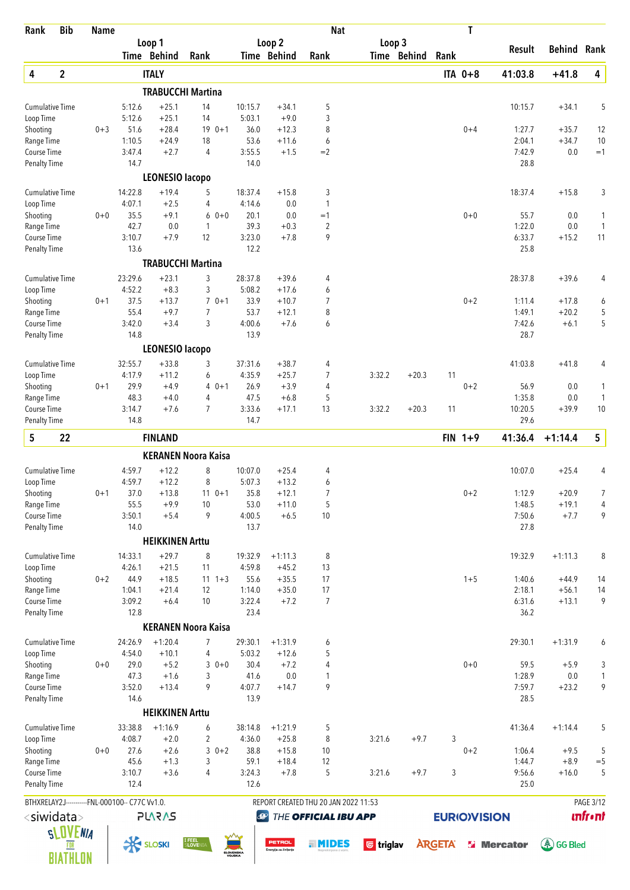| Rank                                | <b>Bib</b>      | <b>Name</b> |                                                |                                   |                            |                     |                                  | <b>Nat</b>                           |                  |             |                     | T         |                   |                    |                 |
|-------------------------------------|-----------------|-------------|------------------------------------------------|-----------------------------------|----------------------------|---------------------|----------------------------------|--------------------------------------|------------------|-------------|---------------------|-----------|-------------------|--------------------|-----------------|
|                                     |                 |             |                                                | Loop 1<br>Time Behind             | Rank                       |                     | Loop <sub>2</sub><br>Time Behind | Rank                                 | Loop 3           | Time Behind | Rank                |           | Result            | <b>Behind Rank</b> |                 |
|                                     | $\mathbf{2}$    |             |                                                |                                   |                            |                     |                                  |                                      |                  |             |                     | ITA 0+8   |                   |                    |                 |
| 4                                   |                 |             |                                                | <b>ITALY</b>                      | <b>TRABUCCHI Martina</b>   |                     |                                  |                                      |                  |             |                     |           | 41:03.8           | $+41.8$            | 4               |
| <b>Cumulative Time</b>              |                 |             | 5:12.6                                         | $+25.1$                           | 14                         | 10:15.7             | $+34.1$                          | 5                                    |                  |             |                     |           | 10:15.7           | $+34.1$            | 5               |
| Loop Time                           |                 |             | 5:12.6                                         | $+25.1$                           | 14                         | 5:03.1              | $+9.0$                           | 3                                    |                  |             |                     |           |                   |                    |                 |
| Shooting                            |                 | $0 + 3$     | 51.6                                           | $+28.4$                           | $190+1$                    | 36.0                | $+12.3$                          | 8                                    |                  |             |                     | $0 + 4$   | 1:27.7            | $+35.7$            | 12              |
| Range Time                          |                 |             | 1:10.5                                         | $+24.9$                           | 18                         | 53.6                | $+11.6$                          | 6                                    |                  |             |                     |           | 2:04.1            | $+34.7$            | 10              |
| Course Time                         |                 |             | 3:47.4                                         | $+2.7$                            | $\overline{4}$             | 3:55.5              | $+1.5$                           | $=2$                                 |                  |             |                     |           | 7:42.9            | 0.0                | $=1$            |
| <b>Penalty Time</b>                 |                 |             | 14.7                                           |                                   |                            | 14.0                |                                  |                                      |                  |             |                     |           | 28.8              |                    |                 |
| <b>Cumulative Time</b>              |                 |             | 14:22.8                                        | <b>LEONESIO lacopo</b><br>$+19.4$ | 5                          | 18:37.4             | $+15.8$                          | 3                                    |                  |             |                     |           | 18:37.4           | $+15.8$            | 3               |
| Loop Time                           |                 |             | 4:07.1                                         | $+2.5$                            | 4                          | 4:14.6              | 0.0                              | $\mathbf{1}$                         |                  |             |                     |           |                   |                    |                 |
| Shooting                            |                 | $0+0$       | 35.5                                           | $+9.1$                            | $60+0$                     | 20.1                | 0.0                              | $=1$                                 |                  |             |                     | $0 + 0$   | 55.7              | 0.0                | 1               |
| Range Time                          |                 |             | 42.7                                           | 0.0                               | 1                          | 39.3                | $+0.3$                           | 2                                    |                  |             |                     |           | 1:22.0            | 0.0                | $\mathbf{1}$    |
| Course Time                         |                 |             | 3:10.7                                         | $+7.9$                            | 12                         | 3:23.0              | $+7.8$                           | 9                                    |                  |             |                     |           | 6:33.7            | $+15.2$            | 11              |
| <b>Penalty Time</b>                 |                 |             | 13.6                                           |                                   |                            | 12.2                |                                  |                                      |                  |             |                     |           | 25.8              |                    |                 |
|                                     |                 |             |                                                |                                   | <b>TRABUCCHI Martina</b>   |                     |                                  |                                      |                  |             |                     |           |                   |                    |                 |
| <b>Cumulative Time</b>              |                 |             | 23:29.6                                        | $+23.1$                           | 3                          | 28:37.8             | $+39.6$                          | 4                                    |                  |             |                     |           | 28:37.8           | $+39.6$            | 4               |
| Loop Time                           |                 |             | 4:52.2                                         | $+8.3$                            | 3                          | 5:08.2              | $+17.6$                          | 6                                    |                  |             |                     |           |                   |                    |                 |
| Shooting<br>Range Time              |                 | $0 + 1$     | 37.5<br>55.4                                   | $+13.7$<br>$+9.7$                 | $70+1$<br>$\overline{7}$   | 33.9<br>53.7        | $+10.7$<br>$+12.1$               | 7<br>8                               |                  |             |                     | $0 + 2$   | 1:11.4<br>1:49.1  | $+17.8$<br>$+20.2$ | 6<br>5          |
| Course Time                         |                 |             | 3:42.0                                         | $+3.4$                            | 3                          | 4:00.6              | $+7.6$                           | 6                                    |                  |             |                     |           | 7:42.6            | $+6.1$             | 5               |
| <b>Penalty Time</b>                 |                 |             | 14.8                                           |                                   |                            | 13.9                |                                  |                                      |                  |             |                     |           | 28.7              |                    |                 |
|                                     |                 |             |                                                | <b>LEONESIO lacopo</b>            |                            |                     |                                  |                                      |                  |             |                     |           |                   |                    |                 |
| <b>Cumulative Time</b>              |                 |             | 32:55.7                                        | $+33.8$                           | 3                          | 37:31.6             | $+38.7$                          | 4                                    |                  |             |                     |           | 41:03.8           | $+41.8$            | 4               |
| Loop Time                           |                 |             | 4:17.9                                         | $+11.2$                           | 6                          | 4:35.9              | $+25.7$                          | 7                                    | 3:32.2           | $+20.3$     | 11                  |           |                   |                    |                 |
| Shooting                            |                 | $0 + 1$     | 29.9                                           | $+4.9$                            | $40+1$                     | 26.9                | $+3.9$                           | 4                                    |                  |             |                     | $0 + 2$   | 56.9              | 0.0                | 1               |
| Range Time                          |                 |             | 48.3                                           | $+4.0$                            | 4                          | 47.5                | $+6.8$                           | 5                                    |                  |             |                     |           | 1:35.8            | 0.0                | $\mathbf{1}$    |
| Course Time<br><b>Penalty Time</b>  |                 |             | 3:14.7<br>14.8                                 | $+7.6$                            | 7                          | 3:33.6<br>14.7      | $+17.1$                          | 13                                   | 3:32.2           | $+20.3$     | 11                  |           | 10:20.5<br>29.6   | $+39.9$            | 10              |
|                                     |                 |             |                                                |                                   |                            |                     |                                  |                                      |                  |             |                     |           |                   |                    |                 |
| 5                                   | 22              |             |                                                | <b>FINLAND</b>                    |                            |                     |                                  |                                      |                  |             |                     | $FIN 1+9$ | 41:36.4           | $+1:14.4$          | $5\phantom{.0}$ |
|                                     |                 |             |                                                |                                   | <b>KERANEN Noora Kaisa</b> |                     |                                  |                                      |                  |             |                     |           |                   |                    |                 |
| <b>Cumulative Time</b>              |                 |             | 4:59.7                                         | $+12.2$                           | 8                          | 10:07.0             | $+25.4$                          | 4                                    |                  |             |                     |           | 10:07.0           | $+25.4$            | 4               |
| Loop Time<br>Shooting               |                 |             | 4:59.7<br>37.0                                 | $+12.2$<br>$+13.8$                | 8                          | 5:07.3<br>35.8      | $+13.2$<br>$+12.1$               | 6<br>7                               |                  |             |                     | $0 + 2$   | 1:12.9            | $+20.9$            | 7               |
| Range Time                          |                 | $0 + 1$     | 55.5                                           | $+9.9$                            | $11 \t 0+1$<br>10          | 53.0                | $+11.0$                          | 5                                    |                  |             |                     |           | 1:48.5            | $+19.1$            | 4               |
| Course Time                         |                 |             | 3:50.1                                         | $+5.4$                            | 9                          | 4:00.5              | $+6.5$                           | 10                                   |                  |             |                     |           | 7:50.6            | $+7.7$             | 9               |
| <b>Penalty Time</b>                 |                 |             | 14.0                                           |                                   |                            | 13.7                |                                  |                                      |                  |             |                     |           | 27.8              |                    |                 |
|                                     |                 |             |                                                | <b>HEIKKINEN Arttu</b>            |                            |                     |                                  |                                      |                  |             |                     |           |                   |                    |                 |
| <b>Cumulative Time</b>              |                 |             | 14:33.1                                        | $+29.7$                           | 8                          | 19:32.9             | $+1:11.3$                        | 8                                    |                  |             |                     |           | 19:32.9           | $+1:11.3$          | 8               |
| Loop Time                           |                 |             | 4:26.1                                         | $+21.5$                           | 11                         | 4:59.8              | $+45.2$                          | 13                                   |                  |             |                     |           |                   |                    |                 |
| Shooting                            |                 | $0 + 2$     | 44.9                                           | $+18.5$                           | $11 \t1+3$                 | 55.6                | $+35.5$                          | 17                                   |                  |             |                     | $1 + 5$   | 1:40.6            | $+44.9$            | 14              |
| Range Time                          |                 |             | 1:04.1                                         | $+21.4$                           | 12                         | 1:14.0              | $+35.0$                          | 17                                   |                  |             |                     |           | 2:18.1            | $+56.1$            | 14              |
| Course Time<br><b>Penalty Time</b>  |                 |             | 3:09.2<br>12.8                                 | $+6.4$                            | 10                         | 3:22.4<br>23.4      | $+7.2$                           | 7                                    |                  |             |                     |           | 6:31.6<br>36.2    | $+13.1$            | 9               |
|                                     |                 |             |                                                |                                   | <b>KERANEN Noora Kaisa</b> |                     |                                  |                                      |                  |             |                     |           |                   |                    |                 |
| <b>Cumulative Time</b>              |                 |             | 24:26.9                                        | $+1:20.4$                         | $\overline{7}$             | 29:30.1             | $+1:31.9$                        | 6                                    |                  |             |                     |           | 29:30.1           | $+1:31.9$          | 6               |
| Loop Time                           |                 |             | 4:54.0                                         | $+10.1$                           | 4                          | 5:03.2              | $+12.6$                          | 5                                    |                  |             |                     |           |                   |                    |                 |
| Shooting                            |                 | $0+0$       | 29.0                                           | $+5.2$                            | $30+0$                     | 30.4                | $+7.2$                           | 4                                    |                  |             |                     | $0 + 0$   | 59.5              | $+5.9$             | 3               |
| Range Time                          |                 |             | 47.3                                           | $+1.6$                            | 3                          | 41.6                | 0.0                              | 1                                    |                  |             |                     |           | 1:28.9            | 0.0                | $\mathbf{1}$    |
| Course Time                         |                 |             | 3:52.0                                         | $+13.4$                           | 9                          | 4:07.7              | $+14.7$                          | 9                                    |                  |             |                     |           | 7:59.7            | $+23.2$            | 9               |
| <b>Penalty Time</b>                 |                 |             | 14.6                                           |                                   |                            | 13.9                |                                  |                                      |                  |             |                     |           | 28.5              |                    |                 |
|                                     |                 |             |                                                | <b>HEIKKINEN Arttu</b>            |                            |                     |                                  |                                      |                  |             |                     |           |                   |                    |                 |
| <b>Cumulative Time</b><br>Loop Time |                 |             | 33:38.8<br>4:08.7                              | $+1:16.9$<br>$+2.0$               | 6<br>2                     | 38:14.8<br>4:36.0   | $+1:21.9$<br>$+25.8$             | 5<br>8                               | 3:21.6           | $+9.7$      | 3                   |           | 41:36.4           | $+1:14.4$          | 5               |
| Shooting                            |                 | $0+0$       | 27.6                                           | $+2.6$                            | $30+2$                     | 38.8                | $+15.8$                          | 10                                   |                  |             |                     | $0 + 2$   | 1:06.4            | $+9.5$             | 5               |
| Range Time                          |                 |             | 45.6                                           | $+1.3$                            | 3                          | 59.1                | $+18.4$                          | 12                                   |                  |             |                     |           | 1:44.7            | $+8.9$             | $=$ 5           |
| Course Time                         |                 |             | 3:10.7                                         | $+3.6$                            | 4                          | 3:24.3              | $+7.8$                           | 5                                    | 3:21.6           | $+9.7$      | 3                   |           | 9:56.6            | $+16.0$            | 5               |
| Penalty Time                        |                 |             | 12.4                                           |                                   |                            | 12.6                |                                  |                                      |                  |             |                     |           | 25.0              |                    |                 |
|                                     |                 |             | BTHXRELAY2J-----------FNL-000100-- C77C Vv1.0. |                                   |                            |                     |                                  | REPORT CREATED THU 20 JAN 2022 11:53 |                  |             |                     |           |                   |                    | PAGE 3/12       |
| <siwidata></siwidata>               |                 |             |                                                | <b>PLARAS</b>                     |                            | $\bigcirc$          |                                  | THE OFFICIAL IBU APP                 |                  |             | <b>EURIO)VISION</b> |           |                   |                    | <b>unfront</b>  |
|                                     | <b>SLOVENIA</b> |             |                                                |                                   |                            |                     |                                  |                                      |                  |             |                     |           |                   |                    |                 |
|                                     | FOR             |             | <b>K SLOSKI</b>                                |                                   | I FEEL<br>SLOVENI.         | SLOVENSKA<br>VOJSKA | PETROL<br>Energija za življenje  | . MIDES                              | <b>U</b> triglav |             | <b>ARGETA</b>       |           | <b>S</b> Mercator | <b>A</b> GG Bled   |                 |
|                                     | BIATHLON        |             |                                                |                                   |                            |                     |                                  |                                      |                  |             |                     |           |                   |                    |                 |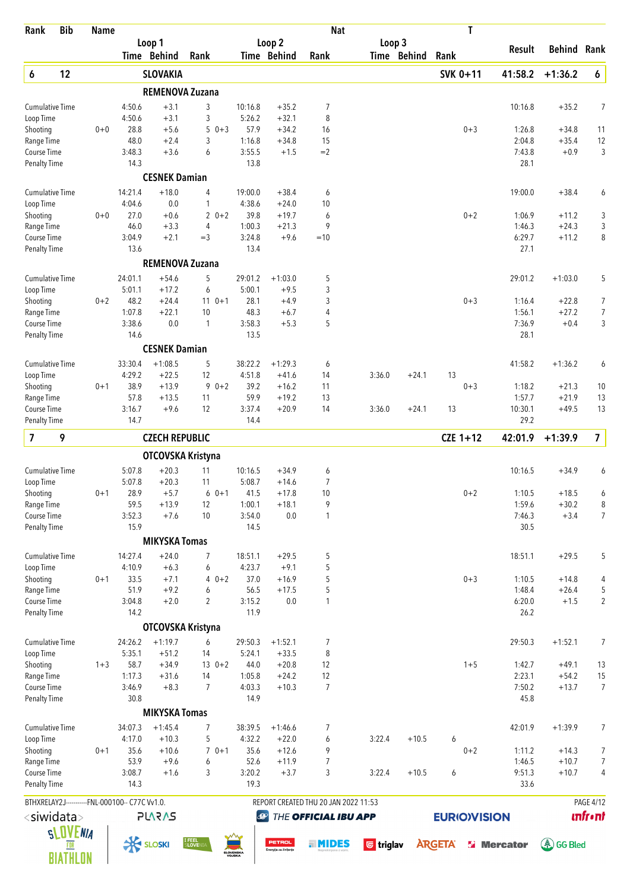| Loop <sub>2</sub><br>Loop 3<br>Loop 1<br><b>Behind Rank</b><br>Result<br>Time Behind<br>Rank<br>Time Behind<br>Time Behind<br>Rank<br>Rank<br>12<br>SVK 0+11<br>$\pmb{6}$<br>6<br><b>SLOVAKIA</b><br>41:58.2<br>$+1:36.2$<br><b>REMENOVA Zuzana</b><br>$+3.1$<br>7<br><b>Cumulative Time</b><br>4:50.6<br>3<br>10:16.8<br>$+35.2$<br>10:16.8<br>$+35.2$<br>$+3.1$<br>8<br>Loop Time<br>4:50.6<br>3<br>5:26.2<br>$+32.1$<br>$+5.6$<br>5<br>57.9<br>$+34.2$<br>16<br>$0 + 3$<br>Shooting<br>$0+0$<br>28.8<br>$0 + 3$<br>1:26.8<br>$+34.8$<br>11<br>48.0<br>$+2.4$<br>3<br>1:16.8<br>15<br>Range Time<br>$+34.8$<br>2:04.8<br>$+35.4$<br>12<br>3:48.3<br>$+3.6$<br>6<br>3:55.5<br>$+1.5$<br>$=2$<br>7:43.8<br>$+0.9$<br>Course Time<br>13.8<br>28.1<br><b>Penalty Time</b><br>14.3<br><b>CESNEK Damian</b><br>14:21.4<br><b>Cumulative Time</b><br>$+18.0$<br>4<br>19:00.0<br>$+38.4$<br>6<br>19:00.0<br>$+38.4$<br>$\mathbf{1}$<br>4:38.6<br>Loop Time<br>4:04.6<br>0.0<br>$+24.0$<br>10<br>27.0<br>$+0.6$<br>$20+2$<br>39.8<br>$0 + 2$<br>3<br>Shooting<br>$0+0$<br>$+19.7$<br>6<br>1:06.9<br>$+11.2$<br>46.0<br>$+3.3$<br>1:00.3<br>9<br>Range Time<br>$+21.3$<br>1:46.3<br>$+24.3$<br>4<br>3:04.9<br>$+2.1$<br>$=$ 3<br>3:24.8<br>$+9.6$<br>$=10$<br>6:29.7<br>$+11.2$<br>Course Time<br>13.6<br>13.4<br>27.1<br><b>Penalty Time</b><br><b>REMENOVA Zuzana</b><br>5<br>29:01.2<br>29:01.2<br>$+1:03.0$<br><b>Cumulative Time</b><br>24:01.1<br>$+54.6$<br>$+1:03.0$<br>5<br>3<br>$+17.2$<br>5:00.1<br>Loop Time<br>5:01.1<br>$+9.5$<br>6<br>3<br>48.2<br>$+24.4$<br>$110+1$<br>28.1<br>$+4.9$<br>$0 + 3$<br>Shooting<br>$0 + 2$<br>1:16.4<br>$+22.8$<br>7<br>1:07.8<br>$+22.1$<br>48.3<br>4<br>$+27.2$<br>Range Time<br>10<br>$+6.7$<br>1:56.1<br>3:38.6<br>0.0<br>3:58.3<br>$+5.3$<br>5<br>7:36.9<br>$+0.4$<br>Course Time<br>1<br>13.5<br>28.1<br><b>Penalty Time</b><br>14.6<br><b>CESNEK Damian</b><br>$+1:08.5$<br><b>Cumulative Time</b><br>33:30.4<br>5<br>38:22.2<br>$+1:29.3$<br>41:58.2<br>$+1:36.2$<br>6<br>4:29.2<br>$+22.5$<br>12<br>4:51.8<br>Loop Time<br>$+41.6$<br>14<br>3:36.0<br>$+24.1$<br>13<br>38.9<br>$+13.9$<br>$90+2$<br>39.2<br>$0 + 3$<br>1:18.2<br>Shooting<br>$0 + 1$<br>$+16.2$<br>11<br>$+21.3$<br>57.8<br>59.9<br>1:57.7<br>$+21.9$<br>Range Time<br>$+13.5$<br>11<br>$+19.2$<br>13<br>13<br>3:16.7<br>$+9.6$<br>12<br>3:37.4<br>14<br>10:30.1<br>13<br>Course Time<br>$+20.9$<br>3:36.0<br>$+24.1$<br>13<br>$+49.5$<br>14.4<br>29.2<br><b>Penalty Time</b><br>14.7<br>$\overline{\mathbf{z}}$<br>9<br>$CZE$ 1+12<br>7<br><b>CZECH REPUBLIC</b><br>42:01.9<br>$+1:39.9$<br>OTCOVSKA Kristyna<br>$+20.3$<br><b>Cumulative Time</b><br>5:07.8<br>11<br>10:16.5<br>$+34.9$<br>6<br>10:16.5<br>$+34.9$<br>6<br>5:07.8<br>$+20.3$<br>11<br>5:08.7<br>7<br>Loop Time<br>$+14.6$<br>28.9<br>Shooting<br>$+5.7$<br>41.5<br>$+17.8$<br>10<br>$0 + 2$<br>1:10.5<br>$+18.5$<br>$0 + 1$<br>$60+1$<br>$+18.1$<br>9<br>59.5<br>$+13.9$<br>12<br>1:00.1<br>1:59.6<br>$+30.2$<br>Range Time<br>Course Time<br>3:52.3<br>$+7.6$<br>10<br>3:54.0<br>0.0<br>$\mathbf{1}$<br>7:46.3<br>$+3.4$<br>15.9<br>14.5<br>30.5<br><b>Penalty Time</b><br><b>MIKYSKA Tomas</b><br>14:27.4<br>$+24.0$<br>18:51.1<br>$+29.5$<br>5<br><b>Cumulative Time</b><br>7<br>$+29.5$<br>5<br>18:51.1<br>4:23.7<br>5<br>4:10.9<br>$+6.3$<br>$+9.1$<br>Loop Time<br>6<br>5<br>$0 + 1$<br>33.5<br>$+7.1$<br>$40+2$<br>37.0<br>$+16.9$<br>$0 + 3$<br>1:10.5<br>Shooting<br>$+14.8$<br>51.9<br>$+9.2$<br>56.5<br>$+17.5$<br>5<br>1:48.4<br>Range Time<br>6<br>$+26.4$<br>3:04.8<br>$+2.0$<br>$\overline{2}$<br>3:15.2<br>0.0<br>6:20.0<br>Course Time<br>1<br>$+1.5$<br>11.9<br>26.2<br><b>Penalty Time</b><br>14.2<br>OTCOVSKA Kristyna<br>24:26.2<br>$+1:19.7$<br>6<br>29:50.3<br>$+1:52.1$<br>7<br>29:50.3<br>$+1:52.1$<br><b>Cumulative Time</b><br>7<br>5:35.1<br>$+51.2$<br>5:24.1<br>$+33.5$<br>8<br>Loop Time<br>14<br>58.7<br>$+34.9$<br>$130+2$<br>44.0<br>$+20.8$<br>12<br>$1 + 5$<br>1:42.7<br>$+49.1$<br>Shooting<br>$1 + 3$<br>2:23.1<br>1:17.3<br>1:05.8<br>$+24.2$<br>12<br>$+54.2$<br>Range Time<br>$+31.6$<br>14<br>$\overline{7}$<br>3:46.9<br>$+8.3$<br>$\overline{7}$<br>4:03.3<br>$+10.3$<br>7:50.2<br>$+13.7$<br>Course Time<br>30.8<br>14.9<br>45.8<br><b>Penalty Time</b><br><b>MIKYSKA Tomas</b><br>$+1:45.4$<br>38:39.5<br>42:01.9<br>$+1:39.9$<br><b>Cumulative Time</b><br>34:07.3<br>7<br>$+1:46.6$<br>7<br>4:17.0<br>$+10.3$<br>5<br>4:32.2<br>$+22.0$<br>6<br>3:22.4<br>$+10.5$<br>Loop Time<br>6<br>35.6<br>$70+1$<br>35.6<br>$+12.6$<br>9<br>$0 + 2$<br>Shooting<br>$0 + 1$<br>$+10.6$<br>1:11.2<br>$+14.3$<br>53.9<br>$+9.6$<br>52.6<br>$\overline{7}$<br>1:46.5<br>$+10.7$<br>Range Time<br>6<br>$+11.9$<br>3:08.7<br>3<br>3:20.2<br>$+3.7$<br>3<br>9:51.3<br>$+10.7$<br>Course Time<br>$+1.6$<br>3:22.4<br>$+10.5$<br>6<br>33.6<br>Penalty Time<br>14.3<br>19.3<br>PAGE 4/12<br>BTHXRELAY2J-----------FNL-000100-- C77C Vv1.0.<br>REPORT CREATED THU 20 JAN 2022 11:53<br><b>unfront</b><br><siwidata><br/><b>PLARAS</b><br/>THE OFFICIAL IBU APP<br/><b>EURIO)VISION</b><br/><math>\bigcirc</math><br/><b>SLOVENIA</b><br/><b>I FEEL</b><br/>S<b>LOVE</b>NI/<br/><b>K SLOSKI</b><br/>PETROL<br/><b>A</b>GG Bled<br/><b>ARGETA</b><br/>. MIDES<br/><b>l triglav</b><br/><b>S</b> Mercator<br/>Energija za življenje<br/><b>SLOVENSKA</b><br/>BIATHLON</siwidata> | Rank | <b>Bib</b> | <b>Name</b> |  |  | <b>Nat</b> |  | T |  |                          |
|------------------------------------------------------------------------------------------------------------------------------------------------------------------------------------------------------------------------------------------------------------------------------------------------------------------------------------------------------------------------------------------------------------------------------------------------------------------------------------------------------------------------------------------------------------------------------------------------------------------------------------------------------------------------------------------------------------------------------------------------------------------------------------------------------------------------------------------------------------------------------------------------------------------------------------------------------------------------------------------------------------------------------------------------------------------------------------------------------------------------------------------------------------------------------------------------------------------------------------------------------------------------------------------------------------------------------------------------------------------------------------------------------------------------------------------------------------------------------------------------------------------------------------------------------------------------------------------------------------------------------------------------------------------------------------------------------------------------------------------------------------------------------------------------------------------------------------------------------------------------------------------------------------------------------------------------------------------------------------------------------------------------------------------------------------------------------------------------------------------------------------------------------------------------------------------------------------------------------------------------------------------------------------------------------------------------------------------------------------------------------------------------------------------------------------------------------------------------------------------------------------------------------------------------------------------------------------------------------------------------------------------------------------------------------------------------------------------------------------------------------------------------------------------------------------------------------------------------------------------------------------------------------------------------------------------------------------------------------------------------------------------------------------------------------------------------------------------------------------------------------------------------------------------------------------------------------------------------------------------------------------------------------------------------------------------------------------------------------------------------------------------------------------------------------------------------------------------------------------------------------------------------------------------------------------------------------------------------------------------------------------------------------------------------------------------------------------------------------------------------------------------------------------------------------------------------------------------------------------------------------------------------------------------------------------------------------------------------------------------------------------------------------------------------------------------------------------------------------------------------------------------------------------------------------------------------------------------------------------------------------------------------------------------------------------------------------------------------------------------------------------------------------------------------------------------------------------------------------------------------------------------------------------------------------------------------------------------------------------------------------------------------------------------------------------------------------------------------------------------------------------------------------------------------------------------------------------------------------------------------------------------------------------------------------------------------------------------------------------------------------------------------------------------------------------------------------------------------------------------------------------------------------------------------------------------------------------------------------------------------------------------------------------------------------------------------------------------------------------------------------------------|------|------------|-------------|--|--|------------|--|---|--|--------------------------|
|                                                                                                                                                                                                                                                                                                                                                                                                                                                                                                                                                                                                                                                                                                                                                                                                                                                                                                                                                                                                                                                                                                                                                                                                                                                                                                                                                                                                                                                                                                                                                                                                                                                                                                                                                                                                                                                                                                                                                                                                                                                                                                                                                                                                                                                                                                                                                                                                                                                                                                                                                                                                                                                                                                                                                                                                                                                                                                                                                                                                                                                                                                                                                                                                                                                                                                                                                                                                                                                                                                                                                                                                                                                                                                                                                                                                                                                                                                                                                                                                                                                                                                                                                                                                                                                                                                                                                                                                                                                                                                                                                                                                                                                                                                                                                                                                                                                                                                                                                                                                                                                                                                                                                                                                                                                                                                                                                                                          |      |            |             |  |  |            |  |   |  |                          |
|                                                                                                                                                                                                                                                                                                                                                                                                                                                                                                                                                                                                                                                                                                                                                                                                                                                                                                                                                                                                                                                                                                                                                                                                                                                                                                                                                                                                                                                                                                                                                                                                                                                                                                                                                                                                                                                                                                                                                                                                                                                                                                                                                                                                                                                                                                                                                                                                                                                                                                                                                                                                                                                                                                                                                                                                                                                                                                                                                                                                                                                                                                                                                                                                                                                                                                                                                                                                                                                                                                                                                                                                                                                                                                                                                                                                                                                                                                                                                                                                                                                                                                                                                                                                                                                                                                                                                                                                                                                                                                                                                                                                                                                                                                                                                                                                                                                                                                                                                                                                                                                                                                                                                                                                                                                                                                                                                                                          |      |            |             |  |  |            |  |   |  |                          |
|                                                                                                                                                                                                                                                                                                                                                                                                                                                                                                                                                                                                                                                                                                                                                                                                                                                                                                                                                                                                                                                                                                                                                                                                                                                                                                                                                                                                                                                                                                                                                                                                                                                                                                                                                                                                                                                                                                                                                                                                                                                                                                                                                                                                                                                                                                                                                                                                                                                                                                                                                                                                                                                                                                                                                                                                                                                                                                                                                                                                                                                                                                                                                                                                                                                                                                                                                                                                                                                                                                                                                                                                                                                                                                                                                                                                                                                                                                                                                                                                                                                                                                                                                                                                                                                                                                                                                                                                                                                                                                                                                                                                                                                                                                                                                                                                                                                                                                                                                                                                                                                                                                                                                                                                                                                                                                                                                                                          |      |            |             |  |  |            |  |   |  |                          |
|                                                                                                                                                                                                                                                                                                                                                                                                                                                                                                                                                                                                                                                                                                                                                                                                                                                                                                                                                                                                                                                                                                                                                                                                                                                                                                                                                                                                                                                                                                                                                                                                                                                                                                                                                                                                                                                                                                                                                                                                                                                                                                                                                                                                                                                                                                                                                                                                                                                                                                                                                                                                                                                                                                                                                                                                                                                                                                                                                                                                                                                                                                                                                                                                                                                                                                                                                                                                                                                                                                                                                                                                                                                                                                                                                                                                                                                                                                                                                                                                                                                                                                                                                                                                                                                                                                                                                                                                                                                                                                                                                                                                                                                                                                                                                                                                                                                                                                                                                                                                                                                                                                                                                                                                                                                                                                                                                                                          |      |            |             |  |  |            |  |   |  | 7                        |
|                                                                                                                                                                                                                                                                                                                                                                                                                                                                                                                                                                                                                                                                                                                                                                                                                                                                                                                                                                                                                                                                                                                                                                                                                                                                                                                                                                                                                                                                                                                                                                                                                                                                                                                                                                                                                                                                                                                                                                                                                                                                                                                                                                                                                                                                                                                                                                                                                                                                                                                                                                                                                                                                                                                                                                                                                                                                                                                                                                                                                                                                                                                                                                                                                                                                                                                                                                                                                                                                                                                                                                                                                                                                                                                                                                                                                                                                                                                                                                                                                                                                                                                                                                                                                                                                                                                                                                                                                                                                                                                                                                                                                                                                                                                                                                                                                                                                                                                                                                                                                                                                                                                                                                                                                                                                                                                                                                                          |      |            |             |  |  |            |  |   |  |                          |
|                                                                                                                                                                                                                                                                                                                                                                                                                                                                                                                                                                                                                                                                                                                                                                                                                                                                                                                                                                                                                                                                                                                                                                                                                                                                                                                                                                                                                                                                                                                                                                                                                                                                                                                                                                                                                                                                                                                                                                                                                                                                                                                                                                                                                                                                                                                                                                                                                                                                                                                                                                                                                                                                                                                                                                                                                                                                                                                                                                                                                                                                                                                                                                                                                                                                                                                                                                                                                                                                                                                                                                                                                                                                                                                                                                                                                                                                                                                                                                                                                                                                                                                                                                                                                                                                                                                                                                                                                                                                                                                                                                                                                                                                                                                                                                                                                                                                                                                                                                                                                                                                                                                                                                                                                                                                                                                                                                                          |      |            |             |  |  |            |  |   |  |                          |
|                                                                                                                                                                                                                                                                                                                                                                                                                                                                                                                                                                                                                                                                                                                                                                                                                                                                                                                                                                                                                                                                                                                                                                                                                                                                                                                                                                                                                                                                                                                                                                                                                                                                                                                                                                                                                                                                                                                                                                                                                                                                                                                                                                                                                                                                                                                                                                                                                                                                                                                                                                                                                                                                                                                                                                                                                                                                                                                                                                                                                                                                                                                                                                                                                                                                                                                                                                                                                                                                                                                                                                                                                                                                                                                                                                                                                                                                                                                                                                                                                                                                                                                                                                                                                                                                                                                                                                                                                                                                                                                                                                                                                                                                                                                                                                                                                                                                                                                                                                                                                                                                                                                                                                                                                                                                                                                                                                                          |      |            |             |  |  |            |  |   |  | 3                        |
|                                                                                                                                                                                                                                                                                                                                                                                                                                                                                                                                                                                                                                                                                                                                                                                                                                                                                                                                                                                                                                                                                                                                                                                                                                                                                                                                                                                                                                                                                                                                                                                                                                                                                                                                                                                                                                                                                                                                                                                                                                                                                                                                                                                                                                                                                                                                                                                                                                                                                                                                                                                                                                                                                                                                                                                                                                                                                                                                                                                                                                                                                                                                                                                                                                                                                                                                                                                                                                                                                                                                                                                                                                                                                                                                                                                                                                                                                                                                                                                                                                                                                                                                                                                                                                                                                                                                                                                                                                                                                                                                                                                                                                                                                                                                                                                                                                                                                                                                                                                                                                                                                                                                                                                                                                                                                                                                                                                          |      |            |             |  |  |            |  |   |  |                          |
|                                                                                                                                                                                                                                                                                                                                                                                                                                                                                                                                                                                                                                                                                                                                                                                                                                                                                                                                                                                                                                                                                                                                                                                                                                                                                                                                                                                                                                                                                                                                                                                                                                                                                                                                                                                                                                                                                                                                                                                                                                                                                                                                                                                                                                                                                                                                                                                                                                                                                                                                                                                                                                                                                                                                                                                                                                                                                                                                                                                                                                                                                                                                                                                                                                                                                                                                                                                                                                                                                                                                                                                                                                                                                                                                                                                                                                                                                                                                                                                                                                                                                                                                                                                                                                                                                                                                                                                                                                                                                                                                                                                                                                                                                                                                                                                                                                                                                                                                                                                                                                                                                                                                                                                                                                                                                                                                                                                          |      |            |             |  |  |            |  |   |  |                          |
|                                                                                                                                                                                                                                                                                                                                                                                                                                                                                                                                                                                                                                                                                                                                                                                                                                                                                                                                                                                                                                                                                                                                                                                                                                                                                                                                                                                                                                                                                                                                                                                                                                                                                                                                                                                                                                                                                                                                                                                                                                                                                                                                                                                                                                                                                                                                                                                                                                                                                                                                                                                                                                                                                                                                                                                                                                                                                                                                                                                                                                                                                                                                                                                                                                                                                                                                                                                                                                                                                                                                                                                                                                                                                                                                                                                                                                                                                                                                                                                                                                                                                                                                                                                                                                                                                                                                                                                                                                                                                                                                                                                                                                                                                                                                                                                                                                                                                                                                                                                                                                                                                                                                                                                                                                                                                                                                                                                          |      |            |             |  |  |            |  |   |  | 6                        |
|                                                                                                                                                                                                                                                                                                                                                                                                                                                                                                                                                                                                                                                                                                                                                                                                                                                                                                                                                                                                                                                                                                                                                                                                                                                                                                                                                                                                                                                                                                                                                                                                                                                                                                                                                                                                                                                                                                                                                                                                                                                                                                                                                                                                                                                                                                                                                                                                                                                                                                                                                                                                                                                                                                                                                                                                                                                                                                                                                                                                                                                                                                                                                                                                                                                                                                                                                                                                                                                                                                                                                                                                                                                                                                                                                                                                                                                                                                                                                                                                                                                                                                                                                                                                                                                                                                                                                                                                                                                                                                                                                                                                                                                                                                                                                                                                                                                                                                                                                                                                                                                                                                                                                                                                                                                                                                                                                                                          |      |            |             |  |  |            |  |   |  |                          |
|                                                                                                                                                                                                                                                                                                                                                                                                                                                                                                                                                                                                                                                                                                                                                                                                                                                                                                                                                                                                                                                                                                                                                                                                                                                                                                                                                                                                                                                                                                                                                                                                                                                                                                                                                                                                                                                                                                                                                                                                                                                                                                                                                                                                                                                                                                                                                                                                                                                                                                                                                                                                                                                                                                                                                                                                                                                                                                                                                                                                                                                                                                                                                                                                                                                                                                                                                                                                                                                                                                                                                                                                                                                                                                                                                                                                                                                                                                                                                                                                                                                                                                                                                                                                                                                                                                                                                                                                                                                                                                                                                                                                                                                                                                                                                                                                                                                                                                                                                                                                                                                                                                                                                                                                                                                                                                                                                                                          |      |            |             |  |  |            |  |   |  | 3                        |
|                                                                                                                                                                                                                                                                                                                                                                                                                                                                                                                                                                                                                                                                                                                                                                                                                                                                                                                                                                                                                                                                                                                                                                                                                                                                                                                                                                                                                                                                                                                                                                                                                                                                                                                                                                                                                                                                                                                                                                                                                                                                                                                                                                                                                                                                                                                                                                                                                                                                                                                                                                                                                                                                                                                                                                                                                                                                                                                                                                                                                                                                                                                                                                                                                                                                                                                                                                                                                                                                                                                                                                                                                                                                                                                                                                                                                                                                                                                                                                                                                                                                                                                                                                                                                                                                                                                                                                                                                                                                                                                                                                                                                                                                                                                                                                                                                                                                                                                                                                                                                                                                                                                                                                                                                                                                                                                                                                                          |      |            |             |  |  |            |  |   |  | 8                        |
|                                                                                                                                                                                                                                                                                                                                                                                                                                                                                                                                                                                                                                                                                                                                                                                                                                                                                                                                                                                                                                                                                                                                                                                                                                                                                                                                                                                                                                                                                                                                                                                                                                                                                                                                                                                                                                                                                                                                                                                                                                                                                                                                                                                                                                                                                                                                                                                                                                                                                                                                                                                                                                                                                                                                                                                                                                                                                                                                                                                                                                                                                                                                                                                                                                                                                                                                                                                                                                                                                                                                                                                                                                                                                                                                                                                                                                                                                                                                                                                                                                                                                                                                                                                                                                                                                                                                                                                                                                                                                                                                                                                                                                                                                                                                                                                                                                                                                                                                                                                                                                                                                                                                                                                                                                                                                                                                                                                          |      |            |             |  |  |            |  |   |  |                          |
|                                                                                                                                                                                                                                                                                                                                                                                                                                                                                                                                                                                                                                                                                                                                                                                                                                                                                                                                                                                                                                                                                                                                                                                                                                                                                                                                                                                                                                                                                                                                                                                                                                                                                                                                                                                                                                                                                                                                                                                                                                                                                                                                                                                                                                                                                                                                                                                                                                                                                                                                                                                                                                                                                                                                                                                                                                                                                                                                                                                                                                                                                                                                                                                                                                                                                                                                                                                                                                                                                                                                                                                                                                                                                                                                                                                                                                                                                                                                                                                                                                                                                                                                                                                                                                                                                                                                                                                                                                                                                                                                                                                                                                                                                                                                                                                                                                                                                                                                                                                                                                                                                                                                                                                                                                                                                                                                                                                          |      |            |             |  |  |            |  |   |  |                          |
|                                                                                                                                                                                                                                                                                                                                                                                                                                                                                                                                                                                                                                                                                                                                                                                                                                                                                                                                                                                                                                                                                                                                                                                                                                                                                                                                                                                                                                                                                                                                                                                                                                                                                                                                                                                                                                                                                                                                                                                                                                                                                                                                                                                                                                                                                                                                                                                                                                                                                                                                                                                                                                                                                                                                                                                                                                                                                                                                                                                                                                                                                                                                                                                                                                                                                                                                                                                                                                                                                                                                                                                                                                                                                                                                                                                                                                                                                                                                                                                                                                                                                                                                                                                                                                                                                                                                                                                                                                                                                                                                                                                                                                                                                                                                                                                                                                                                                                                                                                                                                                                                                                                                                                                                                                                                                                                                                                                          |      |            |             |  |  |            |  |   |  | 5                        |
|                                                                                                                                                                                                                                                                                                                                                                                                                                                                                                                                                                                                                                                                                                                                                                                                                                                                                                                                                                                                                                                                                                                                                                                                                                                                                                                                                                                                                                                                                                                                                                                                                                                                                                                                                                                                                                                                                                                                                                                                                                                                                                                                                                                                                                                                                                                                                                                                                                                                                                                                                                                                                                                                                                                                                                                                                                                                                                                                                                                                                                                                                                                                                                                                                                                                                                                                                                                                                                                                                                                                                                                                                                                                                                                                                                                                                                                                                                                                                                                                                                                                                                                                                                                                                                                                                                                                                                                                                                                                                                                                                                                                                                                                                                                                                                                                                                                                                                                                                                                                                                                                                                                                                                                                                                                                                                                                                                                          |      |            |             |  |  |            |  |   |  |                          |
|                                                                                                                                                                                                                                                                                                                                                                                                                                                                                                                                                                                                                                                                                                                                                                                                                                                                                                                                                                                                                                                                                                                                                                                                                                                                                                                                                                                                                                                                                                                                                                                                                                                                                                                                                                                                                                                                                                                                                                                                                                                                                                                                                                                                                                                                                                                                                                                                                                                                                                                                                                                                                                                                                                                                                                                                                                                                                                                                                                                                                                                                                                                                                                                                                                                                                                                                                                                                                                                                                                                                                                                                                                                                                                                                                                                                                                                                                                                                                                                                                                                                                                                                                                                                                                                                                                                                                                                                                                                                                                                                                                                                                                                                                                                                                                                                                                                                                                                                                                                                                                                                                                                                                                                                                                                                                                                                                                                          |      |            |             |  |  |            |  |   |  | 7                        |
|                                                                                                                                                                                                                                                                                                                                                                                                                                                                                                                                                                                                                                                                                                                                                                                                                                                                                                                                                                                                                                                                                                                                                                                                                                                                                                                                                                                                                                                                                                                                                                                                                                                                                                                                                                                                                                                                                                                                                                                                                                                                                                                                                                                                                                                                                                                                                                                                                                                                                                                                                                                                                                                                                                                                                                                                                                                                                                                                                                                                                                                                                                                                                                                                                                                                                                                                                                                                                                                                                                                                                                                                                                                                                                                                                                                                                                                                                                                                                                                                                                                                                                                                                                                                                                                                                                                                                                                                                                                                                                                                                                                                                                                                                                                                                                                                                                                                                                                                                                                                                                                                                                                                                                                                                                                                                                                                                                                          |      |            |             |  |  |            |  |   |  | 3                        |
|                                                                                                                                                                                                                                                                                                                                                                                                                                                                                                                                                                                                                                                                                                                                                                                                                                                                                                                                                                                                                                                                                                                                                                                                                                                                                                                                                                                                                                                                                                                                                                                                                                                                                                                                                                                                                                                                                                                                                                                                                                                                                                                                                                                                                                                                                                                                                                                                                                                                                                                                                                                                                                                                                                                                                                                                                                                                                                                                                                                                                                                                                                                                                                                                                                                                                                                                                                                                                                                                                                                                                                                                                                                                                                                                                                                                                                                                                                                                                                                                                                                                                                                                                                                                                                                                                                                                                                                                                                                                                                                                                                                                                                                                                                                                                                                                                                                                                                                                                                                                                                                                                                                                                                                                                                                                                                                                                                                          |      |            |             |  |  |            |  |   |  |                          |
|                                                                                                                                                                                                                                                                                                                                                                                                                                                                                                                                                                                                                                                                                                                                                                                                                                                                                                                                                                                                                                                                                                                                                                                                                                                                                                                                                                                                                                                                                                                                                                                                                                                                                                                                                                                                                                                                                                                                                                                                                                                                                                                                                                                                                                                                                                                                                                                                                                                                                                                                                                                                                                                                                                                                                                                                                                                                                                                                                                                                                                                                                                                                                                                                                                                                                                                                                                                                                                                                                                                                                                                                                                                                                                                                                                                                                                                                                                                                                                                                                                                                                                                                                                                                                                                                                                                                                                                                                                                                                                                                                                                                                                                                                                                                                                                                                                                                                                                                                                                                                                                                                                                                                                                                                                                                                                                                                                                          |      |            |             |  |  |            |  |   |  |                          |
|                                                                                                                                                                                                                                                                                                                                                                                                                                                                                                                                                                                                                                                                                                                                                                                                                                                                                                                                                                                                                                                                                                                                                                                                                                                                                                                                                                                                                                                                                                                                                                                                                                                                                                                                                                                                                                                                                                                                                                                                                                                                                                                                                                                                                                                                                                                                                                                                                                                                                                                                                                                                                                                                                                                                                                                                                                                                                                                                                                                                                                                                                                                                                                                                                                                                                                                                                                                                                                                                                                                                                                                                                                                                                                                                                                                                                                                                                                                                                                                                                                                                                                                                                                                                                                                                                                                                                                                                                                                                                                                                                                                                                                                                                                                                                                                                                                                                                                                                                                                                                                                                                                                                                                                                                                                                                                                                                                                          |      |            |             |  |  |            |  |   |  | 6                        |
|                                                                                                                                                                                                                                                                                                                                                                                                                                                                                                                                                                                                                                                                                                                                                                                                                                                                                                                                                                                                                                                                                                                                                                                                                                                                                                                                                                                                                                                                                                                                                                                                                                                                                                                                                                                                                                                                                                                                                                                                                                                                                                                                                                                                                                                                                                                                                                                                                                                                                                                                                                                                                                                                                                                                                                                                                                                                                                                                                                                                                                                                                                                                                                                                                                                                                                                                                                                                                                                                                                                                                                                                                                                                                                                                                                                                                                                                                                                                                                                                                                                                                                                                                                                                                                                                                                                                                                                                                                                                                                                                                                                                                                                                                                                                                                                                                                                                                                                                                                                                                                                                                                                                                                                                                                                                                                                                                                                          |      |            |             |  |  |            |  |   |  |                          |
|                                                                                                                                                                                                                                                                                                                                                                                                                                                                                                                                                                                                                                                                                                                                                                                                                                                                                                                                                                                                                                                                                                                                                                                                                                                                                                                                                                                                                                                                                                                                                                                                                                                                                                                                                                                                                                                                                                                                                                                                                                                                                                                                                                                                                                                                                                                                                                                                                                                                                                                                                                                                                                                                                                                                                                                                                                                                                                                                                                                                                                                                                                                                                                                                                                                                                                                                                                                                                                                                                                                                                                                                                                                                                                                                                                                                                                                                                                                                                                                                                                                                                                                                                                                                                                                                                                                                                                                                                                                                                                                                                                                                                                                                                                                                                                                                                                                                                                                                                                                                                                                                                                                                                                                                                                                                                                                                                                                          |      |            |             |  |  |            |  |   |  | 10                       |
|                                                                                                                                                                                                                                                                                                                                                                                                                                                                                                                                                                                                                                                                                                                                                                                                                                                                                                                                                                                                                                                                                                                                                                                                                                                                                                                                                                                                                                                                                                                                                                                                                                                                                                                                                                                                                                                                                                                                                                                                                                                                                                                                                                                                                                                                                                                                                                                                                                                                                                                                                                                                                                                                                                                                                                                                                                                                                                                                                                                                                                                                                                                                                                                                                                                                                                                                                                                                                                                                                                                                                                                                                                                                                                                                                                                                                                                                                                                                                                                                                                                                                                                                                                                                                                                                                                                                                                                                                                                                                                                                                                                                                                                                                                                                                                                                                                                                                                                                                                                                                                                                                                                                                                                                                                                                                                                                                                                          |      |            |             |  |  |            |  |   |  |                          |
|                                                                                                                                                                                                                                                                                                                                                                                                                                                                                                                                                                                                                                                                                                                                                                                                                                                                                                                                                                                                                                                                                                                                                                                                                                                                                                                                                                                                                                                                                                                                                                                                                                                                                                                                                                                                                                                                                                                                                                                                                                                                                                                                                                                                                                                                                                                                                                                                                                                                                                                                                                                                                                                                                                                                                                                                                                                                                                                                                                                                                                                                                                                                                                                                                                                                                                                                                                                                                                                                                                                                                                                                                                                                                                                                                                                                                                                                                                                                                                                                                                                                                                                                                                                                                                                                                                                                                                                                                                                                                                                                                                                                                                                                                                                                                                                                                                                                                                                                                                                                                                                                                                                                                                                                                                                                                                                                                                                          |      |            |             |  |  |            |  |   |  |                          |
|                                                                                                                                                                                                                                                                                                                                                                                                                                                                                                                                                                                                                                                                                                                                                                                                                                                                                                                                                                                                                                                                                                                                                                                                                                                                                                                                                                                                                                                                                                                                                                                                                                                                                                                                                                                                                                                                                                                                                                                                                                                                                                                                                                                                                                                                                                                                                                                                                                                                                                                                                                                                                                                                                                                                                                                                                                                                                                                                                                                                                                                                                                                                                                                                                                                                                                                                                                                                                                                                                                                                                                                                                                                                                                                                                                                                                                                                                                                                                                                                                                                                                                                                                                                                                                                                                                                                                                                                                                                                                                                                                                                                                                                                                                                                                                                                                                                                                                                                                                                                                                                                                                                                                                                                                                                                                                                                                                                          |      |            |             |  |  |            |  |   |  |                          |
|                                                                                                                                                                                                                                                                                                                                                                                                                                                                                                                                                                                                                                                                                                                                                                                                                                                                                                                                                                                                                                                                                                                                                                                                                                                                                                                                                                                                                                                                                                                                                                                                                                                                                                                                                                                                                                                                                                                                                                                                                                                                                                                                                                                                                                                                                                                                                                                                                                                                                                                                                                                                                                                                                                                                                                                                                                                                                                                                                                                                                                                                                                                                                                                                                                                                                                                                                                                                                                                                                                                                                                                                                                                                                                                                                                                                                                                                                                                                                                                                                                                                                                                                                                                                                                                                                                                                                                                                                                                                                                                                                                                                                                                                                                                                                                                                                                                                                                                                                                                                                                                                                                                                                                                                                                                                                                                                                                                          |      |            |             |  |  |            |  |   |  |                          |
|                                                                                                                                                                                                                                                                                                                                                                                                                                                                                                                                                                                                                                                                                                                                                                                                                                                                                                                                                                                                                                                                                                                                                                                                                                                                                                                                                                                                                                                                                                                                                                                                                                                                                                                                                                                                                                                                                                                                                                                                                                                                                                                                                                                                                                                                                                                                                                                                                                                                                                                                                                                                                                                                                                                                                                                                                                                                                                                                                                                                                                                                                                                                                                                                                                                                                                                                                                                                                                                                                                                                                                                                                                                                                                                                                                                                                                                                                                                                                                                                                                                                                                                                                                                                                                                                                                                                                                                                                                                                                                                                                                                                                                                                                                                                                                                                                                                                                                                                                                                                                                                                                                                                                                                                                                                                                                                                                                                          |      |            |             |  |  |            |  |   |  |                          |
|                                                                                                                                                                                                                                                                                                                                                                                                                                                                                                                                                                                                                                                                                                                                                                                                                                                                                                                                                                                                                                                                                                                                                                                                                                                                                                                                                                                                                                                                                                                                                                                                                                                                                                                                                                                                                                                                                                                                                                                                                                                                                                                                                                                                                                                                                                                                                                                                                                                                                                                                                                                                                                                                                                                                                                                                                                                                                                                                                                                                                                                                                                                                                                                                                                                                                                                                                                                                                                                                                                                                                                                                                                                                                                                                                                                                                                                                                                                                                                                                                                                                                                                                                                                                                                                                                                                                                                                                                                                                                                                                                                                                                                                                                                                                                                                                                                                                                                                                                                                                                                                                                                                                                                                                                                                                                                                                                                                          |      |            |             |  |  |            |  |   |  |                          |
|                                                                                                                                                                                                                                                                                                                                                                                                                                                                                                                                                                                                                                                                                                                                                                                                                                                                                                                                                                                                                                                                                                                                                                                                                                                                                                                                                                                                                                                                                                                                                                                                                                                                                                                                                                                                                                                                                                                                                                                                                                                                                                                                                                                                                                                                                                                                                                                                                                                                                                                                                                                                                                                                                                                                                                                                                                                                                                                                                                                                                                                                                                                                                                                                                                                                                                                                                                                                                                                                                                                                                                                                                                                                                                                                                                                                                                                                                                                                                                                                                                                                                                                                                                                                                                                                                                                                                                                                                                                                                                                                                                                                                                                                                                                                                                                                                                                                                                                                                                                                                                                                                                                                                                                                                                                                                                                                                                                          |      |            |             |  |  |            |  |   |  | 6                        |
|                                                                                                                                                                                                                                                                                                                                                                                                                                                                                                                                                                                                                                                                                                                                                                                                                                                                                                                                                                                                                                                                                                                                                                                                                                                                                                                                                                                                                                                                                                                                                                                                                                                                                                                                                                                                                                                                                                                                                                                                                                                                                                                                                                                                                                                                                                                                                                                                                                                                                                                                                                                                                                                                                                                                                                                                                                                                                                                                                                                                                                                                                                                                                                                                                                                                                                                                                                                                                                                                                                                                                                                                                                                                                                                                                                                                                                                                                                                                                                                                                                                                                                                                                                                                                                                                                                                                                                                                                                                                                                                                                                                                                                                                                                                                                                                                                                                                                                                                                                                                                                                                                                                                                                                                                                                                                                                                                                                          |      |            |             |  |  |            |  |   |  | 8                        |
|                                                                                                                                                                                                                                                                                                                                                                                                                                                                                                                                                                                                                                                                                                                                                                                                                                                                                                                                                                                                                                                                                                                                                                                                                                                                                                                                                                                                                                                                                                                                                                                                                                                                                                                                                                                                                                                                                                                                                                                                                                                                                                                                                                                                                                                                                                                                                                                                                                                                                                                                                                                                                                                                                                                                                                                                                                                                                                                                                                                                                                                                                                                                                                                                                                                                                                                                                                                                                                                                                                                                                                                                                                                                                                                                                                                                                                                                                                                                                                                                                                                                                                                                                                                                                                                                                                                                                                                                                                                                                                                                                                                                                                                                                                                                                                                                                                                                                                                                                                                                                                                                                                                                                                                                                                                                                                                                                                                          |      |            |             |  |  |            |  |   |  | $\overline{7}$           |
|                                                                                                                                                                                                                                                                                                                                                                                                                                                                                                                                                                                                                                                                                                                                                                                                                                                                                                                                                                                                                                                                                                                                                                                                                                                                                                                                                                                                                                                                                                                                                                                                                                                                                                                                                                                                                                                                                                                                                                                                                                                                                                                                                                                                                                                                                                                                                                                                                                                                                                                                                                                                                                                                                                                                                                                                                                                                                                                                                                                                                                                                                                                                                                                                                                                                                                                                                                                                                                                                                                                                                                                                                                                                                                                                                                                                                                                                                                                                                                                                                                                                                                                                                                                                                                                                                                                                                                                                                                                                                                                                                                                                                                                                                                                                                                                                                                                                                                                                                                                                                                                                                                                                                                                                                                                                                                                                                                                          |      |            |             |  |  |            |  |   |  |                          |
|                                                                                                                                                                                                                                                                                                                                                                                                                                                                                                                                                                                                                                                                                                                                                                                                                                                                                                                                                                                                                                                                                                                                                                                                                                                                                                                                                                                                                                                                                                                                                                                                                                                                                                                                                                                                                                                                                                                                                                                                                                                                                                                                                                                                                                                                                                                                                                                                                                                                                                                                                                                                                                                                                                                                                                                                                                                                                                                                                                                                                                                                                                                                                                                                                                                                                                                                                                                                                                                                                                                                                                                                                                                                                                                                                                                                                                                                                                                                                                                                                                                                                                                                                                                                                                                                                                                                                                                                                                                                                                                                                                                                                                                                                                                                                                                                                                                                                                                                                                                                                                                                                                                                                                                                                                                                                                                                                                                          |      |            |             |  |  |            |  |   |  |                          |
|                                                                                                                                                                                                                                                                                                                                                                                                                                                                                                                                                                                                                                                                                                                                                                                                                                                                                                                                                                                                                                                                                                                                                                                                                                                                                                                                                                                                                                                                                                                                                                                                                                                                                                                                                                                                                                                                                                                                                                                                                                                                                                                                                                                                                                                                                                                                                                                                                                                                                                                                                                                                                                                                                                                                                                                                                                                                                                                                                                                                                                                                                                                                                                                                                                                                                                                                                                                                                                                                                                                                                                                                                                                                                                                                                                                                                                                                                                                                                                                                                                                                                                                                                                                                                                                                                                                                                                                                                                                                                                                                                                                                                                                                                                                                                                                                                                                                                                                                                                                                                                                                                                                                                                                                                                                                                                                                                                                          |      |            |             |  |  |            |  |   |  |                          |
|                                                                                                                                                                                                                                                                                                                                                                                                                                                                                                                                                                                                                                                                                                                                                                                                                                                                                                                                                                                                                                                                                                                                                                                                                                                                                                                                                                                                                                                                                                                                                                                                                                                                                                                                                                                                                                                                                                                                                                                                                                                                                                                                                                                                                                                                                                                                                                                                                                                                                                                                                                                                                                                                                                                                                                                                                                                                                                                                                                                                                                                                                                                                                                                                                                                                                                                                                                                                                                                                                                                                                                                                                                                                                                                                                                                                                                                                                                                                                                                                                                                                                                                                                                                                                                                                                                                                                                                                                                                                                                                                                                                                                                                                                                                                                                                                                                                                                                                                                                                                                                                                                                                                                                                                                                                                                                                                                                                          |      |            |             |  |  |            |  |   |  | $\overline{\mathcal{L}}$ |
|                                                                                                                                                                                                                                                                                                                                                                                                                                                                                                                                                                                                                                                                                                                                                                                                                                                                                                                                                                                                                                                                                                                                                                                                                                                                                                                                                                                                                                                                                                                                                                                                                                                                                                                                                                                                                                                                                                                                                                                                                                                                                                                                                                                                                                                                                                                                                                                                                                                                                                                                                                                                                                                                                                                                                                                                                                                                                                                                                                                                                                                                                                                                                                                                                                                                                                                                                                                                                                                                                                                                                                                                                                                                                                                                                                                                                                                                                                                                                                                                                                                                                                                                                                                                                                                                                                                                                                                                                                                                                                                                                                                                                                                                                                                                                                                                                                                                                                                                                                                                                                                                                                                                                                                                                                                                                                                                                                                          |      |            |             |  |  |            |  |   |  | 5                        |
|                                                                                                                                                                                                                                                                                                                                                                                                                                                                                                                                                                                                                                                                                                                                                                                                                                                                                                                                                                                                                                                                                                                                                                                                                                                                                                                                                                                                                                                                                                                                                                                                                                                                                                                                                                                                                                                                                                                                                                                                                                                                                                                                                                                                                                                                                                                                                                                                                                                                                                                                                                                                                                                                                                                                                                                                                                                                                                                                                                                                                                                                                                                                                                                                                                                                                                                                                                                                                                                                                                                                                                                                                                                                                                                                                                                                                                                                                                                                                                                                                                                                                                                                                                                                                                                                                                                                                                                                                                                                                                                                                                                                                                                                                                                                                                                                                                                                                                                                                                                                                                                                                                                                                                                                                                                                                                                                                                                          |      |            |             |  |  |            |  |   |  | $\overline{2}$           |
|                                                                                                                                                                                                                                                                                                                                                                                                                                                                                                                                                                                                                                                                                                                                                                                                                                                                                                                                                                                                                                                                                                                                                                                                                                                                                                                                                                                                                                                                                                                                                                                                                                                                                                                                                                                                                                                                                                                                                                                                                                                                                                                                                                                                                                                                                                                                                                                                                                                                                                                                                                                                                                                                                                                                                                                                                                                                                                                                                                                                                                                                                                                                                                                                                                                                                                                                                                                                                                                                                                                                                                                                                                                                                                                                                                                                                                                                                                                                                                                                                                                                                                                                                                                                                                                                                                                                                                                                                                                                                                                                                                                                                                                                                                                                                                                                                                                                                                                                                                                                                                                                                                                                                                                                                                                                                                                                                                                          |      |            |             |  |  |            |  |   |  |                          |
|                                                                                                                                                                                                                                                                                                                                                                                                                                                                                                                                                                                                                                                                                                                                                                                                                                                                                                                                                                                                                                                                                                                                                                                                                                                                                                                                                                                                                                                                                                                                                                                                                                                                                                                                                                                                                                                                                                                                                                                                                                                                                                                                                                                                                                                                                                                                                                                                                                                                                                                                                                                                                                                                                                                                                                                                                                                                                                                                                                                                                                                                                                                                                                                                                                                                                                                                                                                                                                                                                                                                                                                                                                                                                                                                                                                                                                                                                                                                                                                                                                                                                                                                                                                                                                                                                                                                                                                                                                                                                                                                                                                                                                                                                                                                                                                                                                                                                                                                                                                                                                                                                                                                                                                                                                                                                                                                                                                          |      |            |             |  |  |            |  |   |  |                          |
|                                                                                                                                                                                                                                                                                                                                                                                                                                                                                                                                                                                                                                                                                                                                                                                                                                                                                                                                                                                                                                                                                                                                                                                                                                                                                                                                                                                                                                                                                                                                                                                                                                                                                                                                                                                                                                                                                                                                                                                                                                                                                                                                                                                                                                                                                                                                                                                                                                                                                                                                                                                                                                                                                                                                                                                                                                                                                                                                                                                                                                                                                                                                                                                                                                                                                                                                                                                                                                                                                                                                                                                                                                                                                                                                                                                                                                                                                                                                                                                                                                                                                                                                                                                                                                                                                                                                                                                                                                                                                                                                                                                                                                                                                                                                                                                                                                                                                                                                                                                                                                                                                                                                                                                                                                                                                                                                                                                          |      |            |             |  |  |            |  |   |  |                          |
|                                                                                                                                                                                                                                                                                                                                                                                                                                                                                                                                                                                                                                                                                                                                                                                                                                                                                                                                                                                                                                                                                                                                                                                                                                                                                                                                                                                                                                                                                                                                                                                                                                                                                                                                                                                                                                                                                                                                                                                                                                                                                                                                                                                                                                                                                                                                                                                                                                                                                                                                                                                                                                                                                                                                                                                                                                                                                                                                                                                                                                                                                                                                                                                                                                                                                                                                                                                                                                                                                                                                                                                                                                                                                                                                                                                                                                                                                                                                                                                                                                                                                                                                                                                                                                                                                                                                                                                                                                                                                                                                                                                                                                                                                                                                                                                                                                                                                                                                                                                                                                                                                                                                                                                                                                                                                                                                                                                          |      |            |             |  |  |            |  |   |  | 13                       |
|                                                                                                                                                                                                                                                                                                                                                                                                                                                                                                                                                                                                                                                                                                                                                                                                                                                                                                                                                                                                                                                                                                                                                                                                                                                                                                                                                                                                                                                                                                                                                                                                                                                                                                                                                                                                                                                                                                                                                                                                                                                                                                                                                                                                                                                                                                                                                                                                                                                                                                                                                                                                                                                                                                                                                                                                                                                                                                                                                                                                                                                                                                                                                                                                                                                                                                                                                                                                                                                                                                                                                                                                                                                                                                                                                                                                                                                                                                                                                                                                                                                                                                                                                                                                                                                                                                                                                                                                                                                                                                                                                                                                                                                                                                                                                                                                                                                                                                                                                                                                                                                                                                                                                                                                                                                                                                                                                                                          |      |            |             |  |  |            |  |   |  | 15                       |
|                                                                                                                                                                                                                                                                                                                                                                                                                                                                                                                                                                                                                                                                                                                                                                                                                                                                                                                                                                                                                                                                                                                                                                                                                                                                                                                                                                                                                                                                                                                                                                                                                                                                                                                                                                                                                                                                                                                                                                                                                                                                                                                                                                                                                                                                                                                                                                                                                                                                                                                                                                                                                                                                                                                                                                                                                                                                                                                                                                                                                                                                                                                                                                                                                                                                                                                                                                                                                                                                                                                                                                                                                                                                                                                                                                                                                                                                                                                                                                                                                                                                                                                                                                                                                                                                                                                                                                                                                                                                                                                                                                                                                                                                                                                                                                                                                                                                                                                                                                                                                                                                                                                                                                                                                                                                                                                                                                                          |      |            |             |  |  |            |  |   |  | $\overline{7}$           |
|                                                                                                                                                                                                                                                                                                                                                                                                                                                                                                                                                                                                                                                                                                                                                                                                                                                                                                                                                                                                                                                                                                                                                                                                                                                                                                                                                                                                                                                                                                                                                                                                                                                                                                                                                                                                                                                                                                                                                                                                                                                                                                                                                                                                                                                                                                                                                                                                                                                                                                                                                                                                                                                                                                                                                                                                                                                                                                                                                                                                                                                                                                                                                                                                                                                                                                                                                                                                                                                                                                                                                                                                                                                                                                                                                                                                                                                                                                                                                                                                                                                                                                                                                                                                                                                                                                                                                                                                                                                                                                                                                                                                                                                                                                                                                                                                                                                                                                                                                                                                                                                                                                                                                                                                                                                                                                                                                                                          |      |            |             |  |  |            |  |   |  |                          |
|                                                                                                                                                                                                                                                                                                                                                                                                                                                                                                                                                                                                                                                                                                                                                                                                                                                                                                                                                                                                                                                                                                                                                                                                                                                                                                                                                                                                                                                                                                                                                                                                                                                                                                                                                                                                                                                                                                                                                                                                                                                                                                                                                                                                                                                                                                                                                                                                                                                                                                                                                                                                                                                                                                                                                                                                                                                                                                                                                                                                                                                                                                                                                                                                                                                                                                                                                                                                                                                                                                                                                                                                                                                                                                                                                                                                                                                                                                                                                                                                                                                                                                                                                                                                                                                                                                                                                                                                                                                                                                                                                                                                                                                                                                                                                                                                                                                                                                                                                                                                                                                                                                                                                                                                                                                                                                                                                                                          |      |            |             |  |  |            |  |   |  |                          |
|                                                                                                                                                                                                                                                                                                                                                                                                                                                                                                                                                                                                                                                                                                                                                                                                                                                                                                                                                                                                                                                                                                                                                                                                                                                                                                                                                                                                                                                                                                                                                                                                                                                                                                                                                                                                                                                                                                                                                                                                                                                                                                                                                                                                                                                                                                                                                                                                                                                                                                                                                                                                                                                                                                                                                                                                                                                                                                                                                                                                                                                                                                                                                                                                                                                                                                                                                                                                                                                                                                                                                                                                                                                                                                                                                                                                                                                                                                                                                                                                                                                                                                                                                                                                                                                                                                                                                                                                                                                                                                                                                                                                                                                                                                                                                                                                                                                                                                                                                                                                                                                                                                                                                                                                                                                                                                                                                                                          |      |            |             |  |  |            |  |   |  | 7                        |
|                                                                                                                                                                                                                                                                                                                                                                                                                                                                                                                                                                                                                                                                                                                                                                                                                                                                                                                                                                                                                                                                                                                                                                                                                                                                                                                                                                                                                                                                                                                                                                                                                                                                                                                                                                                                                                                                                                                                                                                                                                                                                                                                                                                                                                                                                                                                                                                                                                                                                                                                                                                                                                                                                                                                                                                                                                                                                                                                                                                                                                                                                                                                                                                                                                                                                                                                                                                                                                                                                                                                                                                                                                                                                                                                                                                                                                                                                                                                                                                                                                                                                                                                                                                                                                                                                                                                                                                                                                                                                                                                                                                                                                                                                                                                                                                                                                                                                                                                                                                                                                                                                                                                                                                                                                                                                                                                                                                          |      |            |             |  |  |            |  |   |  | 7                        |
|                                                                                                                                                                                                                                                                                                                                                                                                                                                                                                                                                                                                                                                                                                                                                                                                                                                                                                                                                                                                                                                                                                                                                                                                                                                                                                                                                                                                                                                                                                                                                                                                                                                                                                                                                                                                                                                                                                                                                                                                                                                                                                                                                                                                                                                                                                                                                                                                                                                                                                                                                                                                                                                                                                                                                                                                                                                                                                                                                                                                                                                                                                                                                                                                                                                                                                                                                                                                                                                                                                                                                                                                                                                                                                                                                                                                                                                                                                                                                                                                                                                                                                                                                                                                                                                                                                                                                                                                                                                                                                                                                                                                                                                                                                                                                                                                                                                                                                                                                                                                                                                                                                                                                                                                                                                                                                                                                                                          |      |            |             |  |  |            |  |   |  | $\overline{7}$           |
|                                                                                                                                                                                                                                                                                                                                                                                                                                                                                                                                                                                                                                                                                                                                                                                                                                                                                                                                                                                                                                                                                                                                                                                                                                                                                                                                                                                                                                                                                                                                                                                                                                                                                                                                                                                                                                                                                                                                                                                                                                                                                                                                                                                                                                                                                                                                                                                                                                                                                                                                                                                                                                                                                                                                                                                                                                                                                                                                                                                                                                                                                                                                                                                                                                                                                                                                                                                                                                                                                                                                                                                                                                                                                                                                                                                                                                                                                                                                                                                                                                                                                                                                                                                                                                                                                                                                                                                                                                                                                                                                                                                                                                                                                                                                                                                                                                                                                                                                                                                                                                                                                                                                                                                                                                                                                                                                                                                          |      |            |             |  |  |            |  |   |  | $\overline{4}$           |
|                                                                                                                                                                                                                                                                                                                                                                                                                                                                                                                                                                                                                                                                                                                                                                                                                                                                                                                                                                                                                                                                                                                                                                                                                                                                                                                                                                                                                                                                                                                                                                                                                                                                                                                                                                                                                                                                                                                                                                                                                                                                                                                                                                                                                                                                                                                                                                                                                                                                                                                                                                                                                                                                                                                                                                                                                                                                                                                                                                                                                                                                                                                                                                                                                                                                                                                                                                                                                                                                                                                                                                                                                                                                                                                                                                                                                                                                                                                                                                                                                                                                                                                                                                                                                                                                                                                                                                                                                                                                                                                                                                                                                                                                                                                                                                                                                                                                                                                                                                                                                                                                                                                                                                                                                                                                                                                                                                                          |      |            |             |  |  |            |  |   |  |                          |
|                                                                                                                                                                                                                                                                                                                                                                                                                                                                                                                                                                                                                                                                                                                                                                                                                                                                                                                                                                                                                                                                                                                                                                                                                                                                                                                                                                                                                                                                                                                                                                                                                                                                                                                                                                                                                                                                                                                                                                                                                                                                                                                                                                                                                                                                                                                                                                                                                                                                                                                                                                                                                                                                                                                                                                                                                                                                                                                                                                                                                                                                                                                                                                                                                                                                                                                                                                                                                                                                                                                                                                                                                                                                                                                                                                                                                                                                                                                                                                                                                                                                                                                                                                                                                                                                                                                                                                                                                                                                                                                                                                                                                                                                                                                                                                                                                                                                                                                                                                                                                                                                                                                                                                                                                                                                                                                                                                                          |      |            |             |  |  |            |  |   |  |                          |
|                                                                                                                                                                                                                                                                                                                                                                                                                                                                                                                                                                                                                                                                                                                                                                                                                                                                                                                                                                                                                                                                                                                                                                                                                                                                                                                                                                                                                                                                                                                                                                                                                                                                                                                                                                                                                                                                                                                                                                                                                                                                                                                                                                                                                                                                                                                                                                                                                                                                                                                                                                                                                                                                                                                                                                                                                                                                                                                                                                                                                                                                                                                                                                                                                                                                                                                                                                                                                                                                                                                                                                                                                                                                                                                                                                                                                                                                                                                                                                                                                                                                                                                                                                                                                                                                                                                                                                                                                                                                                                                                                                                                                                                                                                                                                                                                                                                                                                                                                                                                                                                                                                                                                                                                                                                                                                                                                                                          |      |            |             |  |  |            |  |   |  |                          |
|                                                                                                                                                                                                                                                                                                                                                                                                                                                                                                                                                                                                                                                                                                                                                                                                                                                                                                                                                                                                                                                                                                                                                                                                                                                                                                                                                                                                                                                                                                                                                                                                                                                                                                                                                                                                                                                                                                                                                                                                                                                                                                                                                                                                                                                                                                                                                                                                                                                                                                                                                                                                                                                                                                                                                                                                                                                                                                                                                                                                                                                                                                                                                                                                                                                                                                                                                                                                                                                                                                                                                                                                                                                                                                                                                                                                                                                                                                                                                                                                                                                                                                                                                                                                                                                                                                                                                                                                                                                                                                                                                                                                                                                                                                                                                                                                                                                                                                                                                                                                                                                                                                                                                                                                                                                                                                                                                                                          |      |            |             |  |  |            |  |   |  |                          |
|                                                                                                                                                                                                                                                                                                                                                                                                                                                                                                                                                                                                                                                                                                                                                                                                                                                                                                                                                                                                                                                                                                                                                                                                                                                                                                                                                                                                                                                                                                                                                                                                                                                                                                                                                                                                                                                                                                                                                                                                                                                                                                                                                                                                                                                                                                                                                                                                                                                                                                                                                                                                                                                                                                                                                                                                                                                                                                                                                                                                                                                                                                                                                                                                                                                                                                                                                                                                                                                                                                                                                                                                                                                                                                                                                                                                                                                                                                                                                                                                                                                                                                                                                                                                                                                                                                                                                                                                                                                                                                                                                                                                                                                                                                                                                                                                                                                                                                                                                                                                                                                                                                                                                                                                                                                                                                                                                                                          |      |            |             |  |  |            |  |   |  |                          |
|                                                                                                                                                                                                                                                                                                                                                                                                                                                                                                                                                                                                                                                                                                                                                                                                                                                                                                                                                                                                                                                                                                                                                                                                                                                                                                                                                                                                                                                                                                                                                                                                                                                                                                                                                                                                                                                                                                                                                                                                                                                                                                                                                                                                                                                                                                                                                                                                                                                                                                                                                                                                                                                                                                                                                                                                                                                                                                                                                                                                                                                                                                                                                                                                                                                                                                                                                                                                                                                                                                                                                                                                                                                                                                                                                                                                                                                                                                                                                                                                                                                                                                                                                                                                                                                                                                                                                                                                                                                                                                                                                                                                                                                                                                                                                                                                                                                                                                                                                                                                                                                                                                                                                                                                                                                                                                                                                                                          |      |            |             |  |  |            |  |   |  |                          |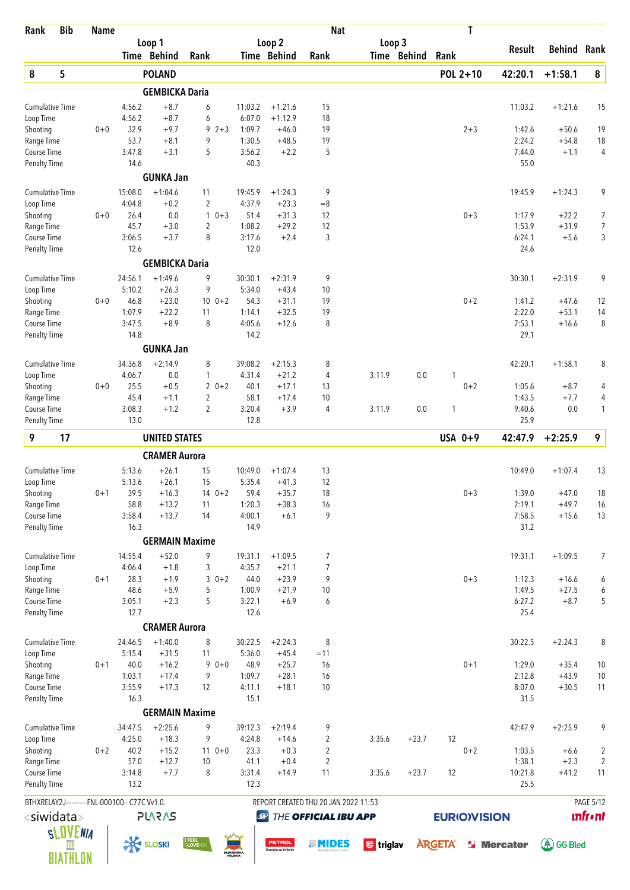| Rank                                | <b>Bib</b>      | <b>Name</b> |                                                |                       |                           |                   |                                 | <b>Nat</b>                           |                  |             | T                   |                   |                    |                |
|-------------------------------------|-----------------|-------------|------------------------------------------------|-----------------------|---------------------------|-------------------|---------------------------------|--------------------------------------|------------------|-------------|---------------------|-------------------|--------------------|----------------|
|                                     |                 |             |                                                | Loop 1                |                           |                   | Loop 2                          |                                      | Loop 3           |             |                     | Result            | <b>Behind Rank</b> |                |
|                                     |                 |             |                                                | Time Behind           | Rank                      |                   | Time Behind                     | Rank                                 |                  | Time Behind | Rank                |                   |                    |                |
| $\pmb{8}$                           | 5               |             |                                                | <b>POLAND</b>         |                           |                   |                                 |                                      |                  |             | POL 2+10            | 42:20.1           | $+1:58.1$          | 8              |
|                                     |                 |             |                                                | <b>GEMBICKA Daria</b> |                           |                   |                                 |                                      |                  |             |                     |                   |                    |                |
| <b>Cumulative Time</b><br>Loop Time |                 |             | 4:56.2<br>4:56.2                               | $+8.7$<br>$+8.7$      | 6<br>6                    | 11:03.2<br>6:07.0 | $+1:21.6$<br>$+1:12.9$          | 15<br>18                             |                  |             |                     | 11:03.2           | $+1:21.6$          | 15             |
| Shooting                            |                 | $0+0$       | 32.9                                           | $+9.7$                | $92+3$                    | 1:09.7            | $+46.0$                         | 19                                   |                  |             | $2 + 3$             | 1:42.6            | $+50.6$            | 19             |
| Range Time                          |                 |             | 53.7                                           | $+8.1$                | 9                         | 1:30.5            | $+48.5$                         | 19                                   |                  |             |                     | 2:24.2            | $+54.8$            | 18             |
| Course Time                         |                 |             | 3:47.8                                         | $+3.1$                | 5                         | 3:56.2            | $+2.2$                          | 5                                    |                  |             |                     | 7:44.0            | $+1.1$             | $\overline{4}$ |
| <b>Penalty Time</b>                 |                 |             | 14.6                                           |                       |                           | 40.3              |                                 |                                      |                  |             |                     | 55.0              |                    |                |
|                                     |                 |             |                                                | <b>GUNKA Jan</b>      |                           |                   |                                 |                                      |                  |             |                     |                   |                    |                |
| <b>Cumulative Time</b>              |                 |             | 15:08.0                                        | $+1:04.6$             | 11                        | 19:45.9           | $+1:24.3$                       | 9                                    |                  |             |                     | 19:45.9           | $+1:24.3$          | 9              |
| Loop Time<br>Shooting               |                 | $0+0$       | 4:04.8<br>26.4                                 | $+0.2$<br>0.0         | $\overline{2}$<br>$10+3$  | 4:37.9<br>51.4    | $+23.3$<br>$+31.3$              | $=8$<br>12                           |                  |             | $0 + 3$             | 1:17.9            | $+22.2$            | 7              |
| Range Time                          |                 |             | 45.7                                           | $+3.0$                | $\overline{2}$            | 1:08.2            | $+29.2$                         | 12                                   |                  |             |                     | 1:53.9            | $+31.9$            | 7              |
| Course Time                         |                 |             | 3:06.5                                         | $+3.7$                | 8                         | 3:17.6            | $+2.4$                          | 3                                    |                  |             |                     | 6:24.1            | $+5.6$             | 3              |
| <b>Penalty Time</b>                 |                 |             | 12.6                                           |                       |                           | 12.0              |                                 |                                      |                  |             |                     | 24.6              |                    |                |
|                                     |                 |             |                                                | <b>GEMBICKA Daria</b> |                           |                   |                                 |                                      |                  |             |                     |                   |                    |                |
| <b>Cumulative Time</b>              |                 |             | 24:56.1                                        | $+1:49.6$             | 9                         | 30:30.1           | $+2:31.9$                       | 9                                    |                  |             |                     | 30:30.1           | $+2:31.9$          | 9              |
| Loop Time                           |                 |             | 5:10.2                                         | $+26.3$               | 9                         | 5:34.0            | $+43.4$                         | 10                                   |                  |             |                     |                   |                    |                |
| Shooting                            |                 | $0+0$       | 46.8                                           | $+23.0$               | $10 \t 0+2$               | 54.3              | $+31.1$                         | 19<br>19                             |                  |             | $0 + 2$             | 1:41.2            | $+47.6$            | 12             |
| Range Time<br>Course Time           |                 |             | 1:07.9<br>3:47.5                               | $+22.2$<br>$+8.9$     | 11<br>8                   | 1:14.1<br>4:05.6  | $+32.5$<br>$+12.6$              | 8                                    |                  |             |                     | 2:22.0<br>7:53.1  | $+53.1$<br>$+16.6$ | 14<br>8        |
| <b>Penalty Time</b>                 |                 |             | 14.8                                           |                       |                           | 14.2              |                                 |                                      |                  |             |                     | 29.1              |                    |                |
|                                     |                 |             |                                                | <b>GUNKA Jan</b>      |                           |                   |                                 |                                      |                  |             |                     |                   |                    |                |
| <b>Cumulative Time</b>              |                 |             | 34:36.8                                        | $+2:14.9$             | 8                         | 39:08.2           | $+2:15.3$                       | 8                                    |                  |             |                     | 42:20.1           | $+1:58.1$          | 8              |
| Loop Time                           |                 |             | 4:06.7                                         | 0.0                   | $\mathbf{1}$              | 4:31.4            | $+21.2$                         | 4                                    | 3:11.9           | 0.0         | 1                   |                   |                    |                |
| Shooting                            |                 | $0+0$       | 25.5                                           | $+0.5$                | $20+2$                    | 40.1              | $+17.1$                         | 13                                   |                  |             | $0 + 2$             | 1:05.6            | $+8.7$             | 4              |
| Range Time                          |                 |             | 45.4                                           | $+1.1$                | $\overline{2}$            | 58.1              | $+17.4$                         | 10                                   |                  |             |                     | 1:43.5            | $+7.7$             | 4              |
| Course Time<br><b>Penalty Time</b>  |                 |             | 3:08.3<br>13.0                                 | $+1.2$                | $\overline{2}$            | 3:20.4<br>12.8    | $+3.9$                          | 4                                    | 3:11.9           | 0.0         | 1                   | 9:40.6<br>25.9    | 0.0                | 1              |
|                                     |                 |             |                                                |                       |                           |                   |                                 |                                      |                  |             |                     |                   |                    |                |
| 9                                   | 17              |             |                                                | <b>UNITED STATES</b>  |                           |                   |                                 |                                      |                  |             | USA 0+9             | 42:47.9           | $+2:25.9$          | 9              |
|                                     |                 |             |                                                | <b>CRAMER Aurora</b>  |                           |                   |                                 |                                      |                  |             |                     |                   |                    |                |
| <b>Cumulative Time</b>              |                 |             | 5:13.6                                         | $+26.1$               | 15                        | 10:49.0           | $+1:07.4$                       | 13                                   |                  |             |                     | 10:49.0           | $+1:07.4$          | 13             |
| Loop Time                           |                 |             | 5:13.6                                         | $+26.1$               | 15                        | 5:35.4            | $+41.3$                         | 12                                   |                  |             |                     |                   |                    |                |
| Shooting<br>Range Time              |                 | $0 + 1$     | 39.5<br>58.8                                   | $+16.3$<br>$+13.2$    | $140+2$<br>11             | 59.4<br>1:20.3    | $+35.7$<br>$+38.3$              | 18<br>16                             |                  |             | $0 + 3$             | 1:39.0<br>2:19.1  | $+47.0$<br>$+49.7$ | 18<br>16       |
| Course Time                         |                 |             | 3:58.4                                         | $+13.7$               | 14                        | 4:00.1            | $+6.1$                          | 9                                    |                  |             |                     | 7:58.5            | $+15.6$            | 13             |
| Penalty Time                        |                 |             | 16.3                                           |                       |                           | 14.9              |                                 |                                      |                  |             |                     | 31.2              |                    |                |
|                                     |                 |             |                                                | <b>GERMAIN Maxime</b> |                           |                   |                                 |                                      |                  |             |                     |                   |                    |                |
| <b>Cumulative Time</b>              |                 |             | 14:55.4                                        | $+52.0$               | 9                         | 19:31.1           | $+1:09.5$                       | 7                                    |                  |             |                     | 19:31.1           | $+1:09.5$          | 7              |
| Loop Time                           |                 |             | 4:06.4                                         | $+1.8$                | 3                         | 4:35.7            | $+21.1$                         | 7                                    |                  |             |                     |                   |                    |                |
| Shooting                            |                 | $0 + 1$     | 28.3                                           | $+1.9$                | $30+2$                    | 44.0              | $+23.9$                         | 9                                    |                  |             | $0 + 3$             | 1:12.3            | $+16.6$            | 6              |
| Range Time                          |                 |             | 48.6                                           | $+5.9$                | 5                         | 1:00.9            | $+21.9$                         | 10                                   |                  |             |                     | 1:49.5            | $+27.5$            | 6              |
| Course Time<br>Penalty Time         |                 |             | 3:05.1<br>12.7                                 | $+2.3$                | 5                         | 3:22.1<br>12.6    | $+6.9$                          | 6                                    |                  |             |                     | 6:27.2<br>25.4    | $+8.7$             | 5              |
|                                     |                 |             |                                                | <b>CRAMER Aurora</b>  |                           |                   |                                 |                                      |                  |             |                     |                   |                    |                |
| <b>Cumulative Time</b>              |                 |             | 24:46.5                                        | $+1:40.0$             | 8                         | 30:22.5           | $+2:24.3$                       | 8                                    |                  |             |                     | 30:22.5           | $+2:24.3$          | 8              |
| Loop Time                           |                 |             | 5:15.4                                         | $+31.5$               | 11                        | 5:36.0            | $+45.4$                         | $=11$                                |                  |             |                     |                   |                    |                |
| Shooting                            |                 | $0 + 1$     | 40.0                                           | $+16.2$               | $90+0$                    | 48.9              | $+25.7$                         | 16                                   |                  |             | $0 + 1$             | 1:29.0            | $+35.4$            | $10$           |
| Range Time                          |                 |             | 1:03.1                                         | $+17.4$               | 9                         | 1:09.7            | $+28.1$                         | 16                                   |                  |             |                     | 2:12.8            | $+43.9$            | 10             |
| Course Time                         |                 |             | 3:55.9                                         | $+17.3$               | 12                        | 4:11.1            | $+18.1$                         | 10                                   |                  |             |                     | 8:07.0            | $+30.5$            | 11             |
| <b>Penalty Time</b>                 |                 |             | 16.3                                           | <b>GERMAIN Maxime</b> |                           | 15.1              |                                 |                                      |                  |             |                     | 31.5              |                    |                |
| <b>Cumulative Time</b>              |                 |             | 34:47.5                                        | $+2:25.6$             | 9                         | 39:12.3           | $+2:19.4$                       |                                      |                  |             |                     | 42:47.9           | $+2:25.9$          | 9              |
| Loop Time                           |                 |             | 4:25.0                                         | $+18.3$               | 9                         | 4:24.8            | $+14.6$                         | 9<br>2                               | 3:35.6           | $+23.7$     | 12                  |                   |                    |                |
| Shooting                            |                 | $0 + 2$     | 40.2                                           | $+15.2$               | $110+0$                   | 23.3              | $+0.3$                          | $\overline{c}$                       |                  |             | $0 + 2$             | 1:03.5            | $+6.6$             | $\sqrt{2}$     |
| Range Time                          |                 |             | 57.0                                           | $+12.7$               | 10                        | 41.1              | $+0.4$                          | $\overline{c}$                       |                  |             |                     | 1:38.1            | $+2.3$             | $\overline{2}$ |
| Course Time                         |                 |             | 3:14.8                                         | $+7.7$                | 8                         | 3:31.4            | $+14.9$                         | 11                                   | 3:35.6           | $+23.7$     | 12                  | 10:21.8           | $+41.2$            | 11             |
| <b>Penalty Time</b>                 |                 |             | 13.2                                           |                       |                           | 12.3              |                                 |                                      |                  |             |                     | 25.5              |                    |                |
|                                     |                 |             | BTHXRELAY2J-----------FNL-000100-- C77C Vv1.0. |                       |                           |                   |                                 | REPORT CREATED THU 20 JAN 2022 11:53 |                  |             |                     |                   |                    | PAGE 5/12      |
| <siwidata></siwidata>               |                 |             |                                                | <b>PLARAS</b>         |                           |                   | $\bigcirc$                      | THE OFFICIAL IBU APP                 |                  |             | <b>EURIO)VISION</b> |                   |                    | <b>unfront</b> |
|                                     | <b>SLOVENIA</b> |             |                                                |                       |                           |                   |                                 |                                      |                  |             |                     |                   |                    |                |
|                                     | FOR             |             |                                                | <b>K SLOSKI</b>       | <b>I FEEL</b><br>SLOVENI/ | SLOVENSKA         | PETROL<br>Energija za življenjo | . MIDES                              | <b>U</b> triglav |             | <b>ARGETA</b>       | <b>S</b> Mercator | <u>මේ</u> GG Bled  |                |
|                                     | <b>BIATHLON</b> |             |                                                |                       |                           |                   |                                 |                                      |                  |             |                     |                   |                    |                |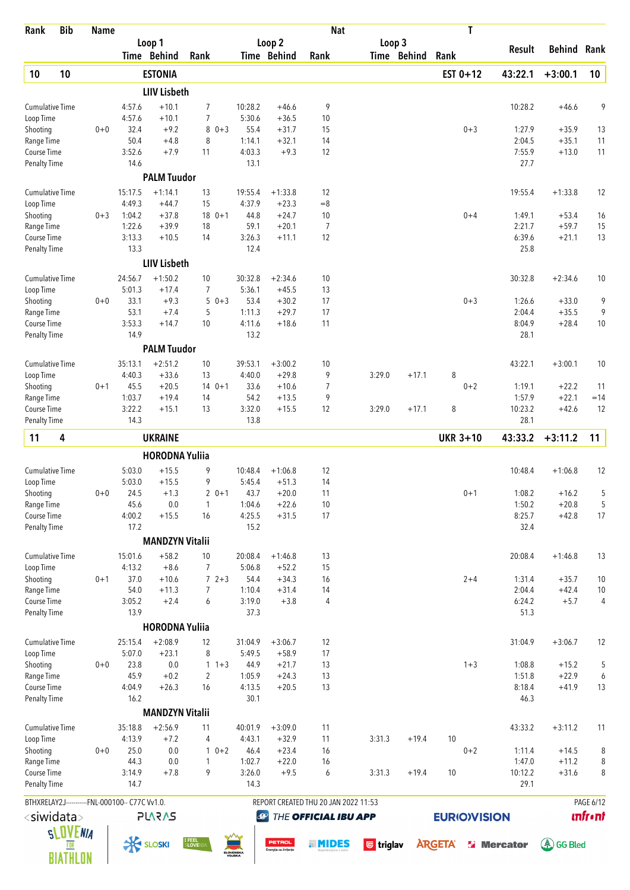| Rank                                      | <b>Bib</b>             | <b>Name</b> |                                                |                        |                          |            |                     |                       | <b>Nat</b>                           |                  |             | T                  |                    |                    |                             |
|-------------------------------------------|------------------------|-------------|------------------------------------------------|------------------------|--------------------------|------------|---------------------|-----------------------|--------------------------------------|------------------|-------------|--------------------|--------------------|--------------------|-----------------------------|
|                                           |                        |             |                                                | Loop 1                 |                          |            |                     | Loop 2                |                                      | Loop 3           |             |                    | Result             | <b>Behind Rank</b> |                             |
|                                           |                        |             |                                                | Time Behind            | Rank                     |            |                     | Time Behind           | Rank                                 |                  | Time Behind | Rank               |                    |                    |                             |
| 10                                        | 10                     |             |                                                | <b>ESTONIA</b>         |                          |            |                     |                       |                                      |                  |             | EST $0+12$         | 43:22.1            | $+3:00.1$          | 10                          |
|                                           |                        |             |                                                | <b>LIIV Lisbeth</b>    |                          |            |                     |                       |                                      |                  |             |                    |                    |                    |                             |
| <b>Cumulative Time</b><br>Loop Time       |                        |             | 4:57.6<br>4:57.6                               | $+10.1$<br>$+10.1$     | 7<br>7                   |            | 10:28.2<br>5:30.6   | $+46.6$<br>$+36.5$    | 9<br>10                              |                  |             |                    | 10:28.2            | $+46.6$            | 9                           |
| Shooting                                  |                        | $0 + 0$     | 32.4                                           | $+9.2$                 | 8                        | $0 + 3$    | 55.4                | $+31.7$               | 15                                   |                  |             | $0 + 3$            | 1:27.9             | $+35.9$            | 13                          |
| Range Time                                |                        |             | 50.4                                           | $+4.8$                 | 8                        |            | 1:14.1              | $+32.1$               | 14                                   |                  |             |                    | 2:04.5             | $+35.1$            | 11                          |
| Course Time                               |                        |             | 3:52.6                                         | $+7.9$                 | 11                       |            | 4:03.3              | $+9.3$                | 12                                   |                  |             |                    | 7:55.9             | $+13.0$            | 11                          |
| <b>Penalty Time</b>                       |                        |             | 14.6                                           | <b>PALM Tuudor</b>     |                          |            | 13.1                |                       |                                      |                  |             |                    | 27.7               |                    |                             |
| <b>Cumulative Time</b>                    |                        |             | 15:17.5                                        | $+1:14.1$              | 13                       |            | 19:55.4             | $+1:33.8$             | 12                                   |                  |             |                    | 19:55.4            | $+1:33.8$          | 12                          |
| Loop Time                                 |                        |             | 4:49.3                                         | $+44.7$                | 15                       |            | 4:37.9              | $+23.3$               | $=8$                                 |                  |             |                    |                    |                    |                             |
| Shooting                                  |                        | $0 + 3$     | 1:04.2                                         | $+37.8$                |                          | $180+1$    | 44.8                | $+24.7$               | 10                                   |                  |             | $0 + 4$            | 1:49.1             | $+53.4$            | 16                          |
| Range Time                                |                        |             | 1:22.6                                         | $+39.9$                | 18                       |            | 59.1                | $+20.1$               | 7                                    |                  |             |                    | 2:21.7             | $+59.7$            | 15                          |
| Course Time                               |                        |             | 3:13.3                                         | $+10.5$                | 14                       |            | 3:26.3              | $+11.1$               | 12                                   |                  |             |                    | 6:39.6             | $+21.1$            | 13                          |
| <b>Penalty Time</b>                       |                        |             | 13.3                                           |                        |                          |            | 12.4                |                       |                                      |                  |             |                    | 25.8               |                    |                             |
|                                           |                        |             |                                                | <b>LIIV Lisbeth</b>    |                          |            |                     |                       |                                      |                  |             |                    |                    |                    |                             |
| <b>Cumulative Time</b><br>Loop Time       |                        |             | 24:56.7<br>5:01.3                              | $+1:50.2$<br>$+17.4$   | 10<br>7                  |            | 30:32.8<br>5:36.1   | $+2:34.6$<br>$+45.5$  | 10<br>13                             |                  |             |                    | 30:32.8            | $+2:34.6$          | 10                          |
| Shooting                                  |                        | $0+0$       | 33.1                                           | $+9.3$                 | 5                        | $0 + 3$    | 53.4                | $+30.2$               | 17                                   |                  |             | $0 + 3$            | 1:26.6             | $+33.0$            | 9                           |
| Range Time                                |                        |             | 53.1                                           | $+7.4$                 | 5                        |            | 1:11.3              | $+29.7$               | 17                                   |                  |             |                    | 2:04.4             | $+35.5$            | 9                           |
| Course Time                               |                        |             | 3:53.3                                         | $+14.7$                | 10                       |            | 4:11.6              | $+18.6$               | 11                                   |                  |             |                    | 8:04.9             | $+28.4$            | 10                          |
| <b>Penalty Time</b>                       |                        |             | 14.9                                           |                        |                          |            | 13.2                |                       |                                      |                  |             |                    | 28.1               |                    |                             |
|                                           |                        |             |                                                | <b>PALM Tuudor</b>     |                          |            |                     |                       |                                      |                  |             |                    |                    |                    |                             |
| <b>Cumulative Time</b>                    |                        |             | 35:13.1                                        | $+2:51.2$              | 10                       |            | 39:53.1             | $+3:00.2$             | 10                                   |                  |             |                    | 43:22.1            | $+3:00.1$          | 10                          |
| Loop Time<br>Shooting                     |                        | $0 + 1$     | 4:40.3<br>45.5                                 | $+33.6$<br>$+20.5$     | 13                       | $140+1$    | 4:40.0<br>33.6      | $+29.8$<br>$+10.6$    | 9<br>7                               | 3:29.0           | $+17.1$     | 8<br>$0 + 2$       | 1:19.1             | $+22.2$            | 11                          |
| Range Time                                |                        |             | 1:03.7                                         | $+19.4$                | 14                       |            | 54.2                | $+13.5$               | 9                                    |                  |             |                    | 1:57.9             | $+22.1$            | $=14$                       |
| Course Time                               |                        |             | 3:22.2                                         | $+15.1$                | 13                       |            | 3:32.0              | $+15.5$               | 12                                   | 3:29.0           | $+17.1$     | 8                  | 10:23.2            | $+42.6$            | 12                          |
| <b>Penalty Time</b>                       |                        |             | 14.3                                           |                        |                          |            | 13.8                |                       |                                      |                  |             |                    | 28.1               |                    |                             |
| 11                                        | 4                      |             |                                                | <b>UKRAINE</b>         |                          |            |                     |                       |                                      |                  |             | <b>UKR 3+10</b>    | 43:33.2            | $+3:11.2$          | 11                          |
|                                           |                        |             |                                                | <b>HORODNA Yuliia</b>  |                          |            |                     |                       |                                      |                  |             |                    |                    |                    |                             |
| <b>Cumulative Time</b>                    |                        |             | 5:03.0                                         | $+15.5$                | 9                        |            | 10:48.4             | $+1:06.8$             | 12                                   |                  |             |                    | 10:48.4            | $+1:06.8$          | 12                          |
| Loop Time                                 |                        |             | 5:03.0                                         | $+15.5$                | 9                        |            | 5:45.4              | $+51.3$               | 14                                   |                  |             |                    |                    |                    |                             |
| Shooting                                  |                        | $0 + 0$     | 24.5                                           | $+1.3$                 |                          | $20+1$     | 43.7                | $+20.0$               | 11                                   |                  |             | $0 + 1$            | 1:08.2             | $+16.2$            | 5                           |
| Range Time                                |                        |             | 45.6                                           | 0.0                    | $\mathbf{1}$             |            | 1:04.6              | $+22.6$               | 10<br>17                             |                  |             |                    | 1:50.2             | $+20.8$            | 5<br>17                     |
| Course Time<br><b>Penalty Time</b>        |                        |             | 4:00.2<br>17.2                                 | $+15.5$                | 16                       |            | 4:25.5<br>15.2      | $+31.5$               |                                      |                  |             |                    | 8:25.7<br>32.4     | $+42.8$            |                             |
|                                           |                        |             |                                                | <b>MANDZYN Vitalii</b> |                          |            |                     |                       |                                      |                  |             |                    |                    |                    |                             |
| <b>Cumulative Time</b>                    |                        |             | 15:01.6                                        | $+58.2$                | 10                       |            | 20:08.4             | $+1:46.8$             | 13                                   |                  |             |                    | 20:08.4            | $+1:46.8$          | 13                          |
| Loop Time                                 |                        |             | 4:13.2                                         | $+8.6$                 | 7                        |            | 5:06.8              | $+52.2$               | 15                                   |                  |             |                    |                    |                    |                             |
| Shooting                                  |                        | $0 + 1$     | 37.0                                           | $+10.6$                |                          | $72+3$     | 54.4                | $+34.3$               | 16                                   |                  |             | $2 + 4$            | 1:31.4             | $+35.7$            | $10$                        |
| Range Time                                |                        |             | 54.0                                           | $+11.3$                | $\overline{7}$           |            | 1:10.4              | $+31.4$               | 14                                   |                  |             |                    | 2:04.4             | $+42.4$            | 10                          |
| Course Time<br><b>Penalty Time</b>        |                        |             | 3:05.2<br>13.9                                 | $+2.4$                 | 6                        |            | 3:19.0<br>37.3      | $+3.8$                | 4                                    |                  |             |                    | 6:24.2<br>51.3     | $+5.7$             | 4                           |
|                                           |                        |             |                                                | <b>HORODNA Yuliia</b>  |                          |            |                     |                       |                                      |                  |             |                    |                    |                    |                             |
| <b>Cumulative Time</b>                    |                        |             | 25:15.4                                        | $+2:08.9$              | 12                       |            | 31:04.9             | $+3:06.7$             | 12                                   |                  |             |                    | 31:04.9            | $+3:06.7$          | 12                          |
| Loop Time                                 |                        |             | 5:07.0                                         | $+23.1$                | 8                        |            | 5:49.5              | $+58.9$               | 17                                   |                  |             |                    |                    |                    |                             |
| Shooting                                  |                        | $0 + 0$     | 23.8                                           | 0.0                    |                          | $1 + 3$    | 44.9                | $+21.7$               | 13                                   |                  |             | $1 + 3$            | 1:08.8             | $+15.2$            | 5                           |
| Range Time                                |                        |             | 45.9                                           | $+0.2$                 | $\overline{2}$           |            | 1:05.9              | $+24.3$               | 13                                   |                  |             |                    | 1:51.8             | $+22.9$            | 6                           |
| Course Time                               |                        |             | 4:04.9                                         | $+26.3$                | 16                       |            | 4:13.5              | $+20.5$               | 13                                   |                  |             |                    | 8:18.4             | $+41.9$            | 13                          |
| <b>Penalty Time</b>                       |                        |             | 16.2                                           | <b>MANDZYN Vitalii</b> |                          |            | 30.1                |                       |                                      |                  |             |                    | 46.3               |                    |                             |
| <b>Cumulative Time</b>                    |                        |             | 35:18.8                                        | $+2:56.9$              | 11                       |            | 40:01.9             | $+3:09.0$             | 11                                   |                  |             |                    | 43:33.2            | $+3:11.2$          | 11                          |
| Loop Time                                 |                        |             | 4:13.9                                         | $+7.2$                 | 4                        |            | 4:43.1              | $+32.9$               | 11                                   | 3:31.3           | $+19.4$     | 10                 |                    |                    |                             |
| Shooting                                  |                        | $0 + 0$     | 25.0                                           | 0.0                    |                          | $1 \t 0+2$ | 46.4                | $+23.4$               | 16                                   |                  |             | $0 + 2$            | 1:11.4             | $+14.5$            | 8                           |
| Range Time                                |                        |             | 44.3                                           | 0.0                    | 1                        |            | 1:02.7              | $+22.0$               | 16                                   |                  |             |                    | 1:47.0             | $+11.2$            | 8                           |
| <b>Course Time</b><br><b>Penalty Time</b> |                        |             | 3:14.9<br>14.7                                 | $+7.8$                 | 9                        |            | 3:26.0<br>14.3      | $+9.5$                | 6                                    | 3:31.3           | $+19.4$     | 10                 | 10:12.2<br>29.1    | $+31.6$            | 8                           |
|                                           |                        |             |                                                |                        |                          |            |                     |                       |                                      |                  |             |                    |                    |                    |                             |
|                                           |                        |             | BTHXRELAY2J-----------FNL-000100-- C77C Vv1.0. |                        |                          |            |                     |                       | REPORT CREATED THU 20 JAN 2022 11:53 |                  |             |                    |                    |                    | PAGE 6/12<br><b>unfront</b> |
| <siwidata></siwidata>                     |                        |             |                                                | <b>PLARAS</b>          |                          |            | $\bigcirc$          |                       | THE OFFICIAL IBU APP                 |                  |             | <b>EURIOVISION</b> |                    |                    |                             |
|                                           | <b>SLOVENIA</b><br>FOR |             | <b>K SLOSKI</b>                                |                        | <b>I FEEL</b><br>SLOVENI |            |                     | <b>PETROL</b>         | . MIDES                              | <b>U</b> triglav |             | <b>ARGETA</b>      | <b>Si</b> Mercator | (《 GG Bled         |                             |
|                                           | <b>BIATHLON</b>        |             |                                                |                        |                          |            | SLOVENSKA<br>VOJSKA | Energija za življenje |                                      |                  |             |                    |                    |                    |                             |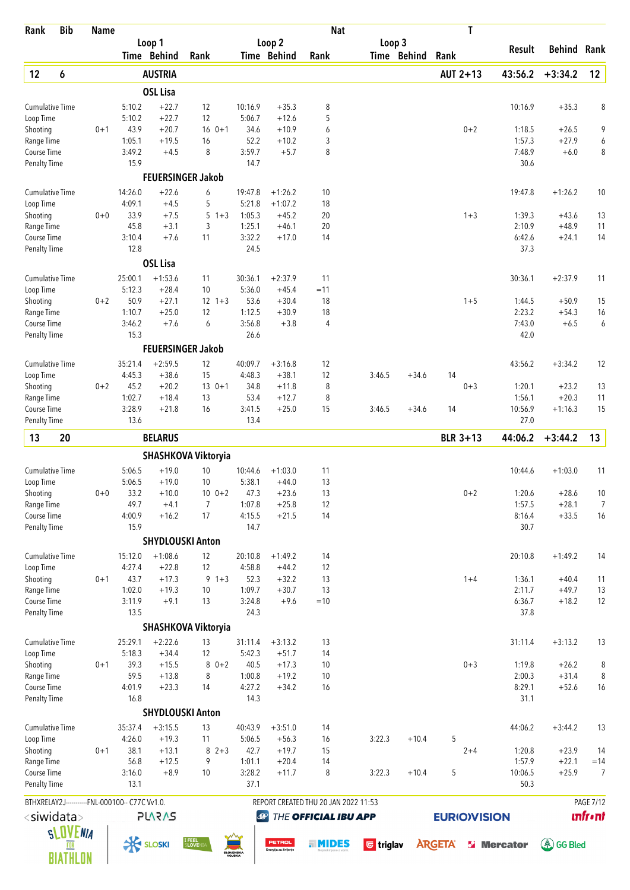| Rank                                | <b>Bib</b>      | <b>Name</b> |                                                |                      |                           |                   |                                 | <b>Nat</b>                           |                  |             | T                  |                   |                    |                  |
|-------------------------------------|-----------------|-------------|------------------------------------------------|----------------------|---------------------------|-------------------|---------------------------------|--------------------------------------|------------------|-------------|--------------------|-------------------|--------------------|------------------|
|                                     |                 |             |                                                | Loop 1               |                           |                   | Loop 2                          |                                      | Loop 3           |             |                    | Result            | <b>Behind Rank</b> |                  |
|                                     |                 |             |                                                | Time Behind          | Rank                      |                   | Time Behind                     | Rank                                 |                  | Time Behind | Rank               |                   |                    |                  |
| 12                                  | 6               |             |                                                | <b>AUSTRIA</b>       |                           |                   |                                 |                                      |                  |             | AUT 2+13           | 43:56.2           | $+3:34.2$          | 12               |
|                                     |                 |             |                                                | <b>OSL Lisa</b>      |                           |                   |                                 |                                      |                  |             |                    |                   |                    |                  |
| <b>Cumulative Time</b>              |                 |             | 5:10.2                                         | $+22.7$              | 12                        | 10:16.9           | $+35.3$                         | 8                                    |                  |             |                    | 10:16.9           | $+35.3$            | 8                |
| Loop Time<br>Shooting               |                 | $0 + 1$     | 5:10.2<br>43.9                                 | $+22.7$<br>$+20.7$   | 12<br>$16 \t 0+1$         | 5:06.7<br>34.6    | $+12.6$<br>$+10.9$              | 5<br>6                               |                  |             | $0 + 2$            | 1:18.5            | $+26.5$            | 9                |
| Range Time                          |                 |             | 1:05.1                                         | $+19.5$              | 16                        | 52.2              | $+10.2$                         | 3                                    |                  |             |                    | 1:57.3            | $+27.9$            | 6                |
| Course Time                         |                 |             | 3:49.2                                         | $+4.5$               | 8                         | 3:59.7            | $+5.7$                          | 8                                    |                  |             |                    | 7:48.9            | $+6.0$             | 8                |
| <b>Penalty Time</b>                 |                 |             | 15.9                                           |                      |                           | 14.7              |                                 |                                      |                  |             |                    | 30.6              |                    |                  |
|                                     |                 |             |                                                |                      | <b>FEUERSINGER Jakob</b>  |                   |                                 |                                      |                  |             |                    |                   |                    |                  |
| <b>Cumulative Time</b>              |                 |             | 14:26.0                                        | $+22.6$              | 6                         | 19:47.8           | $+1:26.2$                       | 10                                   |                  |             |                    | 19:47.8           | $+1:26.2$          | 10               |
| Loop Time                           |                 |             | 4:09.1                                         | $+4.5$               | 5                         | 5:21.8            | $+1:07.2$                       | 18                                   |                  |             |                    |                   |                    |                  |
| Shooting<br>Range Time              |                 | $0 + 0$     | 33.9<br>45.8                                   | $+7.5$<br>$+3.1$     | 5<br>$1 + 3$<br>3         | 1:05.3<br>1:25.1  | $+45.2$<br>$+46.1$              | 20<br>20                             |                  |             | $1 + 3$            | 1:39.3<br>2:10.9  | $+43.6$<br>$+48.9$ | 13<br>11         |
| Course Time                         |                 |             | 3:10.4                                         | $+7.6$               | 11                        | 3:32.2            | $+17.0$                         | 14                                   |                  |             |                    | 6:42.6            | $+24.1$            | 14               |
| <b>Penalty Time</b>                 |                 |             | 12.8                                           |                      |                           | 24.5              |                                 |                                      |                  |             |                    | 37.3              |                    |                  |
|                                     |                 |             |                                                | <b>OSL Lisa</b>      |                           |                   |                                 |                                      |                  |             |                    |                   |                    |                  |
| <b>Cumulative Time</b>              |                 |             | 25:00.1                                        | $+1:53.6$            | 11                        | 30:36.1           | $+2:37.9$                       | 11                                   |                  |             |                    | 30:36.1           | $+2:37.9$          | 11               |
| Loop Time                           |                 |             | 5:12.3                                         | $+28.4$              | 10                        | 5:36.0            | $+45.4$                         | $=11$                                |                  |             |                    |                   |                    |                  |
| Shooting                            |                 | $0 + 2$     | 50.9                                           | $+27.1$              | $12 \t1+3$                | 53.6              | $+30.4$                         | 18                                   |                  |             | $1 + 5$            | 1:44.5            | $+50.9$            | 15               |
| Range Time                          |                 |             | 1:10.7                                         | $+25.0$              | 12                        | 1:12.5            | $+30.9$                         | 18                                   |                  |             |                    | 2:23.2            | $+54.3$            | 16               |
| Course Time<br>Penalty Time         |                 |             | 3:46.2<br>15.3                                 | $+7.6$               | 6                         | 3:56.8<br>26.6    | $+3.8$                          | $\overline{4}$                       |                  |             |                    | 7:43.0<br>42.0    | $+6.5$             | 6                |
|                                     |                 |             |                                                |                      | <b>FEUERSINGER Jakob</b>  |                   |                                 |                                      |                  |             |                    |                   |                    |                  |
| <b>Cumulative Time</b>              |                 |             | 35:21.4                                        | $+2:59.5$            | 12                        | 40:09.7           | $+3:16.8$                       | 12                                   |                  |             |                    | 43:56.2           | $+3:34.2$          | 12               |
| Loop Time                           |                 |             | 4:45.3                                         | $+38.6$              | 15                        | 4:48.3            | $+38.1$                         | 12                                   | 3:46.5           | $+34.6$     | 14                 |                   |                    |                  |
| Shooting                            |                 | $0 + 2$     | 45.2                                           | $+20.2$              | $130+1$                   | 34.8              | $+11.8$                         | 8                                    |                  |             | $0 + 3$            | 1:20.1            | $+23.2$            | 13               |
| Range Time                          |                 |             | 1:02.7                                         | $+18.4$              | 13                        | 53.4              | $+12.7$                         | 8                                    |                  |             |                    | 1:56.1            | $+20.3$            | 11               |
| Course Time                         |                 |             | 3:28.9                                         | $+21.8$              | 16                        | 3:41.5            | $+25.0$                         | 15                                   | 3:46.5           | $+34.6$     | 14                 | 10:56.9           | $+1:16.3$          | 15               |
| <b>Penalty Time</b>                 |                 |             | 13.6                                           |                      |                           | 13.4              |                                 |                                      |                  |             |                    | 27.0              |                    |                  |
| 13                                  | 20              |             |                                                | <b>BELARUS</b>       |                           |                   |                                 |                                      |                  |             | <b>BLR 3+13</b>    | 44:06.2           | $+3:44.2$          | 13               |
|                                     |                 |             |                                                |                      | SHASHKOVA Viktoryia       |                   |                                 |                                      |                  |             |                    |                   |                    |                  |
| <b>Cumulative Time</b>              |                 |             | 5:06.5                                         | $+19.0$              | 10                        | 10:44.6           | $+1:03.0$                       | 11                                   |                  |             |                    | 10:44.6           | $+1:03.0$          | 11               |
| Loop Time                           |                 |             | 5:06.5                                         | $+19.0$              | 10                        | 5:38.1            | $+44.0$                         | 13                                   |                  |             |                    |                   |                    |                  |
| Shooting                            |                 | $0+0$       | 33.2                                           | $+10.0$              | $10 \t 0+2$               | 47.3              | $+23.6$                         | 13                                   |                  |             | $0 + 2$            | 1:20.6            | $+28.6$            | $10\,$           |
| Range Time<br>Course Time           |                 |             | 49.7<br>4:00.9                                 | $+4.1$<br>$+16.2$    | 7<br>17                   | 1:07.8<br>4:15.5  | $+25.8$<br>$+21.5$              | 12<br>14                             |                  |             |                    | 1:57.5<br>8:16.4  | $+28.1$<br>$+33.5$ | 7<br>16          |
| <b>Penalty Time</b>                 |                 |             | 15.9                                           |                      |                           | 14.7              |                                 |                                      |                  |             |                    | 30.7              |                    |                  |
|                                     |                 |             |                                                |                      | <b>SHYDLOUSKI Anton</b>   |                   |                                 |                                      |                  |             |                    |                   |                    |                  |
| <b>Cumulative Time</b>              |                 |             | 15:12.0                                        | $+1:08.6$            | 12                        | 20:10.8           | $+1:49.2$                       | 14                                   |                  |             |                    | 20:10.8           | $+1:49.2$          | 14               |
| Loop Time                           |                 |             | 4:27.4                                         | $+22.8$              | 12                        | 4:58.8            | $+44.2$                         | 12                                   |                  |             |                    |                   |                    |                  |
| Shooting                            |                 | $0 + 1$     | 43.7                                           | $+17.3$              | $9 + 3$                   | 52.3              | $+32.2$                         | 13                                   |                  |             | $1 + 4$            | 1:36.1            | $+40.4$            | 11               |
| Range Time                          |                 |             | 1:02.0                                         | $+19.3$              | 10                        | 1:09.7            | $+30.7$                         | 13                                   |                  |             |                    | 2:11.7            | $+49.7$            | 13               |
| Course Time                         |                 |             | 3:11.9                                         | $+9.1$               | 13                        | 3:24.8            | $+9.6$                          | $=10$                                |                  |             |                    | 6:36.7            | $+18.2$            | 12               |
| <b>Penalty Time</b>                 |                 |             | 13.5                                           |                      |                           | 24.3              |                                 |                                      |                  |             |                    | 37.8              |                    |                  |
| <b>Cumulative Time</b>              |                 |             | 25:29.1                                        | $+2:22.6$            | SHASHKOVA Viktoryia<br>13 | 31:11.4           | $+3:13.2$                       | 13                                   |                  |             |                    | 31:11.4           | $+3:13.2$          | 13               |
| Loop Time                           |                 |             | 5:18.3                                         | $+34.4$              | 12                        | 5:42.3            | $+51.7$                         | 14                                   |                  |             |                    |                   |                    |                  |
| Shooting                            |                 | $0 + 1$     | 39.3                                           | $+15.5$              | $80+2$                    | 40.5              | $+17.3$                         | 10                                   |                  |             | $0 + 3$            | 1:19.8            | $+26.2$            | 8                |
| Range Time                          |                 |             | 59.5                                           | $+13.8$              | 8                         | 1:00.8            | $+19.2$                         | 10                                   |                  |             |                    | 2:00.3            | $+31.4$            | 8                |
| Course Time                         |                 |             | 4:01.9                                         | $+23.3$              | 14                        | 4:27.2            | $+34.2$                         | 16                                   |                  |             |                    | 8:29.1            | $+52.6$            | 16               |
| <b>Penalty Time</b>                 |                 |             | 16.8                                           |                      |                           | 14.3              |                                 |                                      |                  |             |                    | 31.1              |                    |                  |
|                                     |                 |             |                                                |                      | <b>SHYDLOUSKI Anton</b>   |                   |                                 |                                      |                  |             |                    |                   |                    |                  |
| <b>Cumulative Time</b><br>Loop Time |                 |             | 35:37.4<br>4:26.0                              | $+3:15.5$<br>$+19.3$ | 13<br>11                  | 40:43.9<br>5:06.5 | $+3:51.0$<br>$+56.3$            | 14<br>16                             | 3:22.3           | $+10.4$     | 5                  | 44:06.2           | $+3:44.2$          | 13               |
| Shooting                            |                 | $0 + 1$     | 38.1                                           | $+13.1$              | $8 \t2+3$                 | 42.7              | $+19.7$                         | 15                                   |                  |             | $2 + 4$            | 1:20.8            | $+23.9$            | 14               |
| Range Time                          |                 |             | 56.8                                           | $+12.5$              | 9                         | 1:01.1            | $+20.4$                         | 14                                   |                  |             |                    | 1:57.9            | $+22.1$            | $=14$            |
| <b>Course Time</b>                  |                 |             | 3:16.0                                         | $+8.9$               | 10                        | 3:28.2            | $+11.7$                         | 8                                    | 3:22.3           | $+10.4$     | 5                  | 10:06.5           | $+25.9$            | $\overline{7}$   |
| <b>Penalty Time</b>                 |                 |             | 13.1                                           |                      |                           | 37.1              |                                 |                                      |                  |             |                    | 50.3              |                    |                  |
|                                     |                 |             | BTHXRELAY2J-----------FNL-000100-- C77C Vv1.0. |                      |                           |                   |                                 | REPORT CREATED THU 20 JAN 2022 11:53 |                  |             |                    |                   |                    | <b>PAGE 7/12</b> |
| <siwidata></siwidata>               |                 |             |                                                | <b>PLARAS</b>        |                           |                   | $\bigcirc$                      | THE OFFICIAL IBU APP                 |                  |             | <b>EURIOVISION</b> |                   |                    | <b>unfront</b>   |
|                                     | <b>SLOVENIA</b> |             |                                                | <b>X SLOSKI</b>      | I FEEL<br>SLOVENI/        | SLOVENSKA         | PETROL<br>Energija za življenje | <b>MIDES</b>                         | <b>U</b> triglav |             | <b>ARGETA</b>      | <b>S</b> Mercator | (《 GG Bled         |                  |
|                                     | BIATHLON        |             |                                                |                      |                           |                   |                                 |                                      |                  |             |                    |                   |                    |                  |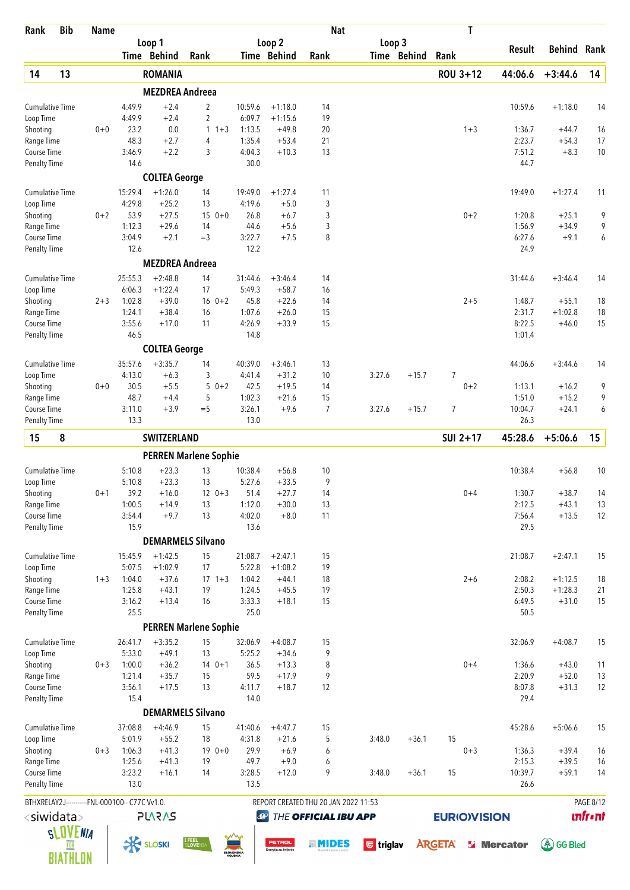| Rank                               | <b>Bib</b>            | <b>Name</b> |                                                |                        |                              |                     |                                        | <b>Nat</b>                           |                                 |             | T                  |                   |                      |                 |
|------------------------------------|-----------------------|-------------|------------------------------------------------|------------------------|------------------------------|---------------------|----------------------------------------|--------------------------------------|---------------------------------|-------------|--------------------|-------------------|----------------------|-----------------|
|                                    |                       |             |                                                | Loop 1<br>Time Behind  | Rank                         |                     | Loop <sub>2</sub><br>Time Behind       | Rank                                 | Loop 3                          | Time Behind | Rank               | Result            | Behind               | Rank            |
| 14                                 | 13                    |             |                                                | <b>ROMANIA</b>         |                              |                     |                                        |                                      |                                 |             | ROU 3+12           | 44:06.6           | $+3:44.6$            | 14              |
|                                    |                       |             |                                                | <b>MEZDREA Andreea</b> |                              |                     |                                        |                                      |                                 |             |                    |                   |                      |                 |
| <b>Cumulative Time</b>             |                       |             | 4:49.9                                         | $+2.4$                 | 2                            | 10:59.6             | $+1:18.0$                              | 14                                   |                                 |             |                    | 10:59.6           | $+1:18.0$            | 14              |
| Loop Time                          |                       |             | 4:49.9                                         | $+2.4$                 | 2                            | 6:09.7              | $+1:15.6$                              | 19                                   |                                 |             |                    |                   |                      |                 |
| Shooting                           |                       | $0 + 0$     | 23.2                                           | 0.0                    | $\mathbf{1}$<br>$1 + 3$      | 1:13.5              | $+49.8$                                | 20                                   |                                 |             | $1 + 3$            | 1:36.7            | $+44.7$              | 16              |
| Range Time<br>Course Time          |                       |             | 48.3<br>3:46.9                                 | $+2.7$<br>$+2.2$       | 4<br>3                       | 1:35.4<br>4:04.3    | $+53.4$<br>$+10.3$                     | 21<br>13                             |                                 |             |                    | 2:23.7<br>7:51.2  | $+54.3$<br>$+8.3$    | 17<br>10        |
| <b>Penalty Time</b>                |                       |             | 14.6                                           |                        |                              | 30.0                |                                        |                                      |                                 |             |                    | 44.7              |                      |                 |
|                                    |                       |             |                                                | <b>COLTEA George</b>   |                              |                     |                                        |                                      |                                 |             |                    |                   |                      |                 |
| <b>Cumulative Time</b>             |                       |             | 15:29.4                                        | $+1:26.0$              | 14                           | 19:49.0             | $+1:27.4$                              | 11                                   |                                 |             |                    | 19:49.0           | $+1:27.4$            | 11              |
| Loop Time                          |                       |             | 4:29.8                                         | $+25.2$                | 13                           | 4:19.6              | $+5.0$                                 | 3                                    |                                 |             |                    |                   |                      |                 |
| Shooting<br>Range Time             |                       | $0 + 2$     | 53.9<br>1:12.3                                 | $+27.5$<br>$+29.6$     | $150+0$<br>14                | 26.8<br>44.6        | $+6.7$<br>$+5.6$                       | 3<br>3                               |                                 |             | $0 + 2$            | 1:20.8<br>1:56.9  | $+25.1$<br>$+34.9$   | 9<br>9          |
| Course Time                        |                       |             | 3:04.9                                         | $+2.1$                 | $=$ 3                        | 3:22.7              | $+7.5$                                 | 8                                    |                                 |             |                    | 6:27.6            | $+9.1$               | 6               |
| <b>Penalty Time</b>                |                       |             | 12.6                                           |                        |                              | 12.2                |                                        |                                      |                                 |             |                    | 24.9              |                      |                 |
|                                    |                       |             |                                                | <b>MEZDREA Andreea</b> |                              |                     |                                        |                                      |                                 |             |                    |                   |                      |                 |
| <b>Cumulative Time</b>             |                       |             | 25:55.3                                        | $+2:48.8$              | 14                           | 31:44.6             | $+3:46.4$                              | 14                                   |                                 |             |                    | 31:44.6           | $+3:46.4$            | 14              |
| Loop Time                          |                       |             | 6:06.3                                         | $+1:22.4$              | 17                           | 5:49.3              | $+58.7$                                | 16                                   |                                 |             |                    |                   |                      |                 |
| Shooting<br>Range Time             |                       | $2 + 3$     | 1:02.8<br>1:24.1                               | $+39.0$<br>$+38.4$     | $16 \t 0+2$<br>16            | 45.8<br>1:07.6      | $+22.6$<br>$+26.0$                     | 14<br>15                             |                                 |             | $2 + 5$            | 1:48.7<br>2:31.7  | $+55.1$<br>$+1:02.8$ | 18<br>18        |
| Course Time                        |                       |             | 3:55.6                                         | $+17.0$                | 11                           | 4:26.9              | $+33.9$                                | 15                                   |                                 |             |                    | 8:22.5            | $+46.0$              | 15              |
| <b>Penalty Time</b>                |                       |             | 46.5                                           |                        |                              | 14.8                |                                        |                                      |                                 |             |                    | 1:01.4            |                      |                 |
|                                    |                       |             |                                                | <b>COLTEA George</b>   |                              |                     |                                        |                                      |                                 |             |                    |                   |                      |                 |
| <b>Cumulative Time</b>             |                       |             | 35:57.6                                        | $+3:35.7$              | 14                           | 40:39.0             | $+3:46.1$                              | 13                                   |                                 |             |                    | 44:06.6           | $+3:44.6$            | 14              |
| Loop Time                          |                       |             | 4:13.0                                         | $+6.3$                 | 3                            | 4:41.4              | $+31.2$                                | 10                                   | 3:27.6                          | $+15.7$     | $\overline{7}$     |                   |                      |                 |
| Shooting<br>Range Time             |                       | $0 + 0$     | 30.5<br>48.7                                   | $+5.5$<br>$+4.4$       | $50+2$<br>5                  | 42.5<br>1:02.3      | $+19.5$<br>$+21.6$                     | 14<br>15                             |                                 |             | $0 + 2$            | 1:13.1<br>1:51.0  | $+16.2$<br>$+15.2$   | 9<br>9          |
| Course Time                        |                       |             | 3:11.0                                         | $+3.9$                 | $=$ 5                        | 3:26.1              | $+9.6$                                 | $\overline{7}$                       | 3:27.6                          | $+15.7$     | $\overline{7}$     | 10:04.7           | $+24.1$              | 6               |
| <b>Penalty Time</b>                |                       |             | 13.3                                           |                        |                              | 13.0                |                                        |                                      |                                 |             |                    | 26.3              |                      |                 |
| 15                                 | 8                     |             |                                                | SWITZERLAND            |                              |                     |                                        |                                      |                                 |             | SUI 2+17           | 45:28.6           | $+5:06.6$            | 15              |
|                                    |                       |             |                                                |                        | <b>PERREN Marlene Sophie</b> |                     |                                        |                                      |                                 |             |                    |                   |                      |                 |
| Cumulative Time                    |                       |             | 5:10.8                                         | $+23.3$                | 13                           | 10:38.4             | $+56.8$                                | 10                                   |                                 |             |                    | 10:38.4           | $+56.8$              | 10              |
| Loop Time                          |                       |             | 5:10.8                                         | $+23.3$                | 13                           | 5:27.6              | $+33.5$                                | 9                                    |                                 |             |                    |                   |                      |                 |
| Shooting                           |                       | $0 + 1$     | 39.2                                           | $+16.0$                | $12 \t 0+3$                  | 51.4                | $+27.7$                                | 14                                   |                                 |             | $0 + 4$            | 1:30.7            | $+38.7$              | 14              |
| Range Time<br>Course Time          |                       |             | 1:00.5                                         | $+14.9$                | 13                           | 1:12.0              | $+30.0$                                | 13<br>11                             |                                 |             |                    | 2:12.5            | $+43.1$              | 13              |
| <b>Penalty Time</b>                |                       |             | 3:54.4<br>15.9                                 | $+9.7$                 | 13                           | 4:02.0<br>13.6      | $+8.0$                                 |                                      |                                 |             |                    | 7:56.4<br>29.5    | $+13.5$              | 12              |
|                                    |                       |             |                                                |                        | <b>DEMARMELS Silvano</b>     |                     |                                        |                                      |                                 |             |                    |                   |                      |                 |
| <b>Cumulative Time</b>             |                       |             | 15:45.9                                        | $+1:42.5$              | 15                           | 21:08.7             | $+2:47.1$                              | 15                                   |                                 |             |                    | 21:08.7           | $+2:47.1$            | 15              |
| Loop Time                          |                       |             | 5:07.5                                         | $+1:02.9$              | 17                           | 5:22.8              | $+1:08.2$                              | 19                                   |                                 |             |                    |                   |                      |                 |
| Shooting                           |                       | $1 + 3$     | 1:04.0                                         | $+37.6$                | $17 \t1+3$                   | 1:04.2              | $+44.1$                                | 18                                   |                                 |             | $2 + 6$            | 2:08.2            | $+1:12.5$            | 18              |
| Range Time                         |                       |             | 1:25.8                                         | $+43.1$                | 19                           | 1:24.5              | $+45.5$                                | 19                                   |                                 |             |                    | 2:50.3            | $+1:28.3$            | 21              |
| Course Time                        |                       |             | 3:16.2                                         | $+13.4$                | 16                           | 3:33.3              | $+18.1$                                | 15                                   |                                 |             |                    | 6:49.5            | $+31.0$              | 15              |
| <b>Penalty Time</b>                |                       |             | 25.5                                           |                        | <b>PERREN Marlene Sophie</b> | 25.0                |                                        |                                      |                                 |             |                    | 50.5              |                      |                 |
| <b>Cumulative Time</b>             |                       |             | 26:41.7                                        | $+3:35.2$              | 15                           | 32:06.9             | $+4:08.7$                              | 15                                   |                                 |             |                    | 32:06.9           | $+4:08.7$            | 15              |
| Loop Time                          |                       |             | 5:33.0                                         | $+49.1$                | 13                           | 5:25.2              | $+34.6$                                | 9                                    |                                 |             |                    |                   |                      |                 |
| Shooting                           |                       | $0 + 3$     | 1:00.0                                         | $+36.2$                | $140+1$                      | 36.5                | $+13.3$                                | 8                                    |                                 |             | $0 + 4$            | 1:36.6            | $+43.0$              | 11              |
| Range Time                         |                       |             | 1:21.4                                         | $+35.7$                | 15                           | 59.5                | $+17.9$                                | 9                                    |                                 |             |                    | 2:20.9            | $+52.0$              | 13              |
| Course Time<br><b>Penalty Time</b> |                       |             | 3:56.1<br>15.4                                 | $+17.5$                | 13                           | 4:11.7<br>14.0      | $+18.7$                                | 12                                   |                                 |             |                    | 8:07.8<br>29.4    | $+31.3$              | 12              |
|                                    |                       |             |                                                |                        | <b>DEMARMELS Silvano</b>     |                     |                                        |                                      |                                 |             |                    |                   |                      |                 |
| <b>Cumulative Time</b>             |                       |             | 37:08.8                                        | $+4:46.9$              | 15                           | 41:40.6             | $+4:47.7$                              | 15                                   |                                 |             |                    | 45:28.6           | $+5:06.6$            | 15              |
| Loop Time                          |                       |             | 5:01.9                                         | $+55.2$                | 18                           | 4:31.8              | $+21.6$                                | 5                                    | 3:48.0                          | $+36.1$     | 15                 |                   |                      |                 |
| Shooting                           |                       | $0 + 3$     | 1:06.3                                         | $+41.3$                | $190+0$                      | 29.9                | $+6.9$                                 | 6                                    |                                 |             | $0 + 3$            | 1:36.3            | $+39.4$              | 16              |
| Range Time                         |                       |             | 1:25.6                                         | $+41.3$                | 19                           | 49.7                | $+9.0$                                 | 6                                    |                                 |             |                    | 2:15.3            | $+39.5$              | 16              |
| Course Time<br>Penalty Time        |                       |             | 3:23.2<br>13.0                                 | $+16.1$                | 14                           | 3:28.5<br>13.5      | $+12.0$                                | 9                                    | 3:48.0                          | $+36.1$     | 15                 | 10:39.7<br>26.6   | $+59.1$              | 14              |
|                                    |                       |             | BTHXRELAY2J-----------FNL-000100-- C77C Vv1.0. |                        |                              |                     |                                        | REPORT CREATED THU 20 JAN 2022 11:53 |                                 |             |                    |                   |                      | PAGE 8/12       |
|                                    | <siwidata></siwidata> |             |                                                | <b>PLARAS</b>          |                              | $\bigcirc$          |                                        | THE OFFICIAL IBU APP                 |                                 |             | <b>EURIOVISION</b> |                   |                      | <b>unfr</b> •nt |
|                                    | <b>SLOVENIA</b>       |             |                                                |                        |                              |                     |                                        |                                      |                                 |             |                    |                   |                      |                 |
|                                    |                       |             | <b>K SLOSKI</b>                                |                        | I FEEL<br>SLOVENI            |                     | <b>PETROL</b><br>Energija za življenje | . MIDES                              | $\overline{\mathbf{G}}$ triglav |             | <b>ARGETA</b>      | <b>S</b> Mercator | (系) GG Bled          |                 |
|                                    | <b>BIATHLON</b>       |             |                                                |                        |                              | SLOVENSKA<br>VOJSKA |                                        |                                      |                                 |             |                    |                   |                      |                 |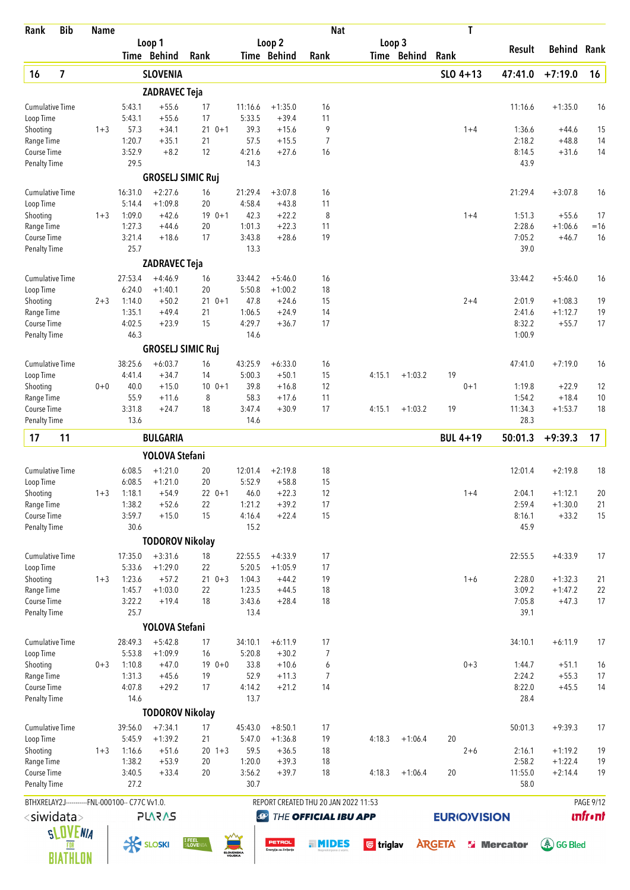| Rank                                | <b>Bib</b>              | <b>Name</b> |                                                |                          |                   |         |                     |                       | <b>Nat</b>                           |                                 |             | T                  |                    |                      |                 |
|-------------------------------------|-------------------------|-------------|------------------------------------------------|--------------------------|-------------------|---------|---------------------|-----------------------|--------------------------------------|---------------------------------|-------------|--------------------|--------------------|----------------------|-----------------|
|                                     |                         |             |                                                | Loop 1                   |                   |         |                     | Loop 2                |                                      | Loop 3                          |             |                    | Result             | Behind               | Rank            |
|                                     |                         |             |                                                | Time Behind              | Rank              |         |                     | Time Behind           | Rank                                 |                                 | Time Behind | Rank               |                    |                      |                 |
| 16                                  | $\overline{\mathbf{z}}$ |             |                                                | <b>SLOVENIA</b>          |                   |         |                     |                       |                                      |                                 |             | $SLO$ 4+13         | 47:41.0            | $+7:19.0$            | 16              |
|                                     |                         |             |                                                | <b>ZADRAVEC Teja</b>     |                   |         |                     |                       |                                      |                                 |             |                    |                    |                      |                 |
| <b>Cumulative Time</b><br>Loop Time |                         |             | 5:43.1<br>5:43.1                               | $+55.6$<br>$+55.6$       | 17<br>17          |         | 11:16.6<br>5:33.5   | $+1:35.0$<br>$+39.4$  | 16<br>11                             |                                 |             |                    | 11:16.6            | $+1:35.0$            | 16              |
| Shooting                            |                         | $1 + 3$     | 57.3                                           | $+34.1$                  | $210+1$           |         | 39.3                | $+15.6$               | 9                                    |                                 |             | $1 + 4$            | 1:36.6             | +44.6                | 15              |
| Range Time                          |                         |             | 1:20.7                                         | $+35.1$                  | 21                |         | 57.5                | $+15.5$               | $\overline{7}$                       |                                 |             |                    | 2:18.2             | $+48.8$              | 14              |
| Course Time                         |                         |             | 3:52.9                                         | $+8.2$                   | 12                |         | 4:21.6              | $+27.6$               | 16                                   |                                 |             |                    | 8:14.5             | $+31.6$              | 14              |
| <b>Penalty Time</b>                 |                         |             | 29.5                                           |                          |                   |         | 14.3                |                       |                                      |                                 |             |                    | 43.9               |                      |                 |
|                                     |                         |             |                                                | <b>GROSELJ SIMIC Ruj</b> |                   |         |                     |                       |                                      |                                 |             |                    |                    |                      |                 |
| <b>Cumulative Time</b>              |                         |             | 16:31.0                                        | $+2:27.6$                | 16                |         | 21:29.4             | $+3:07.8$             | 16                                   |                                 |             |                    | 21:29.4            | $+3:07.8$            | 16              |
| Loop Time<br>Shooting               |                         | $1 + 3$     | 5:14.4<br>1:09.0                               | $+1:09.8$<br>$+42.6$     | 20<br>$190+1$     |         | 4:58.4<br>42.3      | $+43.8$<br>$+22.2$    | 11<br>8                              |                                 |             | $1 + 4$            | 1:51.3             | $+55.6$              | 17              |
| Range Time                          |                         |             | 1:27.3                                         | $+44.6$                  | 20                |         | 1:01.3              | $+22.3$               | 11                                   |                                 |             |                    | 2:28.6             | $+1:06.6$            | $=16$           |
| Course Time                         |                         |             | 3:21.4                                         | $+18.6$                  | 17                |         | 3:43.8              | $+28.6$               | 19                                   |                                 |             |                    | 7:05.2             | $+46.7$              | 16              |
| <b>Penalty Time</b>                 |                         |             | 25.7                                           |                          |                   |         | 13.3                |                       |                                      |                                 |             |                    | 39.0               |                      |                 |
|                                     |                         |             |                                                | <b>ZADRAVEC Teja</b>     |                   |         |                     |                       |                                      |                                 |             |                    |                    |                      |                 |
| <b>Cumulative Time</b>              |                         |             | 27:53.4                                        | $+4:46.9$                | 16                |         | 33:44.2             | $+5:46.0$             | 16                                   |                                 |             |                    | 33:44.2            | $+5:46.0$            | 16              |
| Loop Time                           |                         |             | 6:24.0                                         | $+1:40.1$                | 20                |         | 5:50.8              | $+1:00.2$             | 18                                   |                                 |             |                    |                    |                      |                 |
| Shooting                            |                         | $2 + 3$     | 1:14.0                                         | $+50.2$                  | $21 \t 0+1$       |         | 47.8                | $+24.6$               | 15                                   |                                 |             | $2 + 4$            | 2:01.9             | $+1:08.3$            | 19              |
| Range Time                          |                         |             | 1:35.1                                         | $+49.4$                  | 21                |         | 1:06.5              | $+24.9$               | 14                                   |                                 |             |                    | 2:41.6             | $+1:12.7$            | 19              |
| Course Time<br><b>Penalty Time</b>  |                         |             | 4:02.5<br>46.3                                 | $+23.9$                  | 15                |         | 4:29.7<br>14.6      | $+36.7$               | 17                                   |                                 |             |                    | 8:32.2<br>1:00.9   | $+55.7$              | 17              |
|                                     |                         |             |                                                | <b>GROSELJ SIMIC Ruj</b> |                   |         |                     |                       |                                      |                                 |             |                    |                    |                      |                 |
|                                     |                         |             |                                                |                          |                   |         |                     |                       |                                      |                                 |             |                    |                    |                      |                 |
| <b>Cumulative Time</b><br>Loop Time |                         |             | 38:25.6<br>4:41.4                              | $+6:03.7$<br>$+34.7$     | 16<br>14          |         | 43:25.9<br>5:00.3   | $+6:33.0$<br>$+50.1$  | 16<br>15                             | 4:15.1                          | $+1:03.2$   | 19                 | 47:41.0            | $+7:19.0$            | 16              |
| Shooting                            |                         | $0 + 0$     | 40.0                                           | $+15.0$                  | 10                | $0 + 1$ | 39.8                | $+16.8$               | 12                                   |                                 |             | $0 + 1$            | 1:19.8             | $+22.9$              | 12              |
| Range Time                          |                         |             | 55.9                                           | $+11.6$                  | 8                 |         | 58.3                | $+17.6$               | 11                                   |                                 |             |                    | 1:54.2             | $+18.4$              | 10              |
| <b>Course Time</b>                  |                         |             | 3:31.8                                         | $+24.7$                  | 18                |         | 3:47.4              | $+30.9$               | 17                                   | 4:15.1                          | $+1:03.2$   | 19                 | 11:34.3            | $+1:53.7$            | 18              |
| <b>Penalty Time</b>                 |                         |             | 13.6                                           |                          |                   |         | 14.6                |                       |                                      |                                 |             |                    | 28.3               |                      |                 |
| 17                                  | 11                      |             |                                                | <b>BULGARIA</b>          |                   |         |                     |                       |                                      |                                 |             | <b>BUL 4+19</b>    | 50:01.3            | $+9:39.3$            | 17              |
|                                     |                         |             |                                                | YOLOVA Stefani           |                   |         |                     |                       |                                      |                                 |             |                    |                    |                      |                 |
| <b>Cumulative Time</b>              |                         |             | 6:08.5                                         | $+1:21.0$                | 20                |         | 12:01.4             | $+2:19.8$             | $18\,$                               |                                 |             |                    | 12:01.4            | $+2:19.8$            | 18              |
| Loop Time                           |                         |             | 6:08.5                                         | $+1:21.0$                | 20                |         | 5:52.9              | $+58.8$               | 15                                   |                                 |             |                    |                    |                      |                 |
| Shooting                            |                         | $1 + 3$     | 1:18.1                                         | $+54.9$                  | $22 \t 0+1$       |         | 46.0                | $+22.3$               | 12                                   |                                 |             | $1 + 4$            | 2:04.1             | $+1:12.1$            | 20              |
| Range Time                          |                         |             | 1:38.2                                         | $+52.6$                  | 22                |         | 1:21.2              | $+39.2$               | 17                                   |                                 |             |                    | 2:59.4             | $+1:30.0$            | 21              |
| Course Time                         |                         |             | 3:59.7                                         | $+15.0$                  | 15                |         | 4:16.4              | $+22.4$               | 15                                   |                                 |             |                    | 8:16.1             | $+33.2$              | 15              |
| <b>Penalty Time</b>                 |                         |             | 30.6                                           |                          |                   |         | 15.2                |                       |                                      |                                 |             |                    | 45.9               |                      |                 |
|                                     |                         |             |                                                | <b>TODOROV Nikolay</b>   |                   |         |                     |                       |                                      |                                 |             |                    |                    |                      |                 |
| <b>Cumulative Time</b>              |                         |             | 17:35.0                                        | $+3:31.6$                | 18                |         | 22:55.5             | $+4:33.9$             | 17                                   |                                 |             |                    | 22:55.5            | $+4:33.9$            | 17              |
| Loop Time                           |                         |             | 5:33.6                                         | $+1:29.0$                | 22                |         | 5:20.5              | $+1:05.9$             | 17                                   |                                 |             |                    |                    |                      |                 |
| Shooting                            |                         | $1 + 3$     | 1:23.6                                         | $+57.2$                  | $210+3$           |         | 1:04.3              | $+44.2$               | 19                                   |                                 |             | $1 + 6$            | 2:28.0             | $+1:32.3$            | 21              |
| Range Time<br>Course Time           |                         |             | 1:45.7<br>3:22.2                               | $+1:03.0$<br>$+19.4$     | 22<br>18          |         | 1:23.5<br>3:43.6    | $+44.5$<br>$+28.4$    | 18<br>18                             |                                 |             |                    | 3:09.2<br>7:05.8   | $+1:47.2$<br>$+47.3$ | 22<br>17        |
| <b>Penalty Time</b>                 |                         |             | 25.7                                           |                          |                   |         | 13.4                |                       |                                      |                                 |             |                    | 39.1               |                      |                 |
|                                     |                         |             |                                                | YOLOVA Stefani           |                   |         |                     |                       |                                      |                                 |             |                    |                    |                      |                 |
| <b>Cumulative Time</b>              |                         |             | 28:49.3                                        | $+5:42.8$                | 17                |         | 34:10.1             | $+6:11.9$             | 17                                   |                                 |             |                    | 34:10.1            | $+6:11.9$            | 17              |
| Loop Time                           |                         |             | 5:53.8                                         | $+1:09.9$                | 16                |         | 5:20.8              | $+30.2$               | 7                                    |                                 |             |                    |                    |                      |                 |
| Shooting                            |                         | $0 + 3$     | 1:10.8                                         | $+47.0$                  | $190+0$           |         | 33.8                | $+10.6$               | 6                                    |                                 |             | $0 + 3$            | 1:44.7             | $+51.1$              | 16              |
| Range Time                          |                         |             | 1:31.3                                         | $+45.6$                  | 19                |         | 52.9                | $+11.3$               | 7                                    |                                 |             |                    | 2:24.2             | $+55.3$              | 17              |
| Course Time                         |                         |             | 4:07.8                                         | $+29.2$                  | 17                |         | 4:14.2              | $+21.2$               | 14                                   |                                 |             |                    | 8:22.0             | $+45.5$              | 14              |
| <b>Penalty Time</b>                 |                         |             | 14.6                                           |                          |                   |         | 13.7                |                       |                                      |                                 |             |                    | 28.4               |                      |                 |
|                                     |                         |             |                                                | <b>TODOROV Nikolay</b>   |                   |         |                     |                       |                                      |                                 |             |                    |                    |                      |                 |
| <b>Cumulative Time</b>              |                         |             | 39:56.0                                        | $+7:34.1$                | 17                |         | 45:43.0             | $+8:50.1$             | 17                                   |                                 |             |                    | 50:01.3            | $+9:39.3$            | 17              |
| Loop Time                           |                         |             | 5:45.9<br>1:16.6                               | $+1:39.2$<br>$+51.6$     | 21<br>$20 \t1+3$  |         | 5:47.0<br>59.5      | $+1:36.8$<br>$+36.5$  | 19<br>18                             | 4:18.3                          | $+1:06.4$   | 20<br>$2 + 6$      | 2:16.1             | $+1:19.2$            | 19              |
| Shooting<br>Range Time              |                         | $1 + 3$     | 1:38.2                                         | $+53.9$                  | 20                |         | 1:20.0              | $+39.3$               | 18                                   |                                 |             |                    | 2:58.2             | $+1:22.4$            | 19              |
| Course Time                         |                         |             | 3:40.5                                         | $+33.4$                  | 20                |         | 3:56.2              | $+39.7$               | 18                                   | 4:18.3                          | $+1:06.4$   | 20                 | 11:55.0            | $+2:14.4$            | 19              |
| <b>Penalty Time</b>                 |                         |             | 27.2                                           |                          |                   |         | 30.7                |                       |                                      |                                 |             |                    | 58.0               |                      |                 |
|                                     |                         |             | BTHXRELAY2J-----------FNL-000100-- C77C Vv1.0. |                          |                   |         |                     |                       | REPORT CREATED THU 20 JAN 2022 11:53 |                                 |             |                    |                    |                      | PAGE 9/12       |
| <siwidata></siwidata>               |                         |             |                                                | <b>PLARAS</b>            |                   |         | $\bigcirc$          |                       | THE OFFICIAL IBU APP                 |                                 |             | <b>EURIOVISION</b> |                    |                      | <b>Infr</b> •nt |
|                                     |                         |             |                                                |                          |                   |         |                     |                       |                                      |                                 |             |                    |                    |                      |                 |
|                                     | <b>SLOVENIA</b>         |             |                                                | <b>K SLOSKI</b>          | I FEEL<br>SLOVEN: |         |                     | <b>PETROL</b>         | . MIDES                              | $\overline{\mathbf{G}}$ triglav |             | <b>ARGETA</b>      | <b>Si</b> Mercator | (《 GG Bled           |                 |
|                                     | BIATHLON                |             |                                                |                          |                   |         | SLOVENSKA<br>VOJSKA | Energija za življenje |                                      |                                 |             |                    |                    |                      |                 |
|                                     |                         |             |                                                |                          |                   |         |                     |                       |                                      |                                 |             |                    |                    |                      |                 |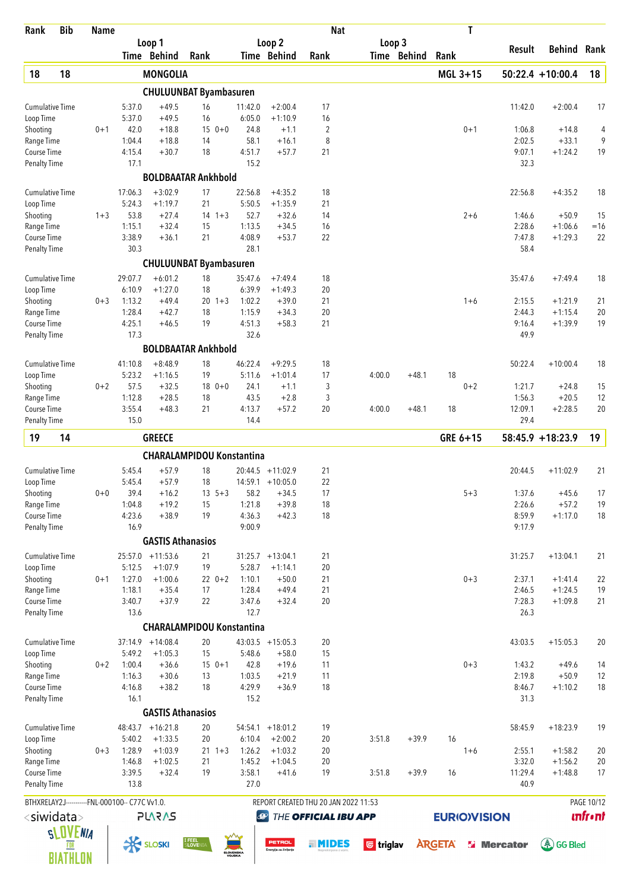| Rank                                             | <b>Bib</b>      | Name    |                  |                          |                                  |                  |                                        | <b>Nat</b>                           |                                 |             | T                  |                    |                        |                |
|--------------------------------------------------|-----------------|---------|------------------|--------------------------|----------------------------------|------------------|----------------------------------------|--------------------------------------|---------------------------------|-------------|--------------------|--------------------|------------------------|----------------|
|                                                  |                 |         |                  | Loop 1<br>Time Behind    | Rank                             |                  | Loop 2<br>Time Behind                  | Rank                                 | Loop 3                          | Time Behind | Rank               | Result             | Behind                 | Rank           |
| 18                                               | 18              |         |                  | <b>MONGOLIA</b>          |                                  |                  |                                        |                                      |                                 |             | MGL 3+15           |                    | $50:22.4 + 10:00.4$    | 18             |
|                                                  |                 |         |                  |                          | <b>CHULUUNBAT Byambasuren</b>    |                  |                                        |                                      |                                 |             |                    |                    |                        |                |
| Cumulative Time                                  |                 |         | 5:37.0           | $+49.5$                  | 16                               | 11:42.0          | $+2:00.4$                              | 17                                   |                                 |             |                    | 11:42.0            | $+2:00.4$              | 17             |
| Loop Time                                        |                 |         | 5:37.0           | $+49.5$                  | 16                               | 6:05.0           | $+1:10.9$                              | 16                                   |                                 |             |                    |                    |                        |                |
| Shooting                                         |                 | $0 + 1$ | 42.0             | $+18.8$                  | $150+0$                          | 24.8             | $+1.1$                                 | 2                                    |                                 |             | $0 + 1$            | 1:06.8             | $+14.8$                | 4              |
| Range Time                                       |                 |         | 1:04.4           | $+18.8$                  | 14                               | 58.1             | $+16.1$                                | 8                                    |                                 |             |                    | 2:02.5             | $+33.1$                | 9              |
| Course Time<br><b>Penalty Time</b>               |                 |         | 4:15.4<br>17.1   | $+30.7$                  | 18                               | 4:51.7<br>15.2   | $+57.7$                                | 21                                   |                                 |             |                    | 9:07.1<br>32.3     | $+1:24.2$              | 19             |
|                                                  |                 |         |                  |                          | <b>BOLDBAATAR Ankhbold</b>       |                  |                                        |                                      |                                 |             |                    |                    |                        |                |
| <b>Cumulative Time</b>                           |                 |         | 17:06.3          | $+3:02.9$                | 17                               | 22:56.8          | $+4:35.2$                              | 18                                   |                                 |             |                    | 22:56.8            | $+4:35.2$              | 18             |
| Loop Time                                        |                 |         | 5:24.3           | $+1:19.7$                | 21                               | 5:50.5           | $+1:35.9$                              | 21                                   |                                 |             |                    |                    |                        |                |
| Shooting<br>Range Time                           |                 | $1 + 3$ | 53.8<br>1:15.1   | $+27.4$<br>$+32.4$       | $14 + 3$<br>15                   | 52.7<br>1:13.5   | $+32.6$<br>$+34.5$                     | 14<br>16                             |                                 |             | $2 + 6$            | 1:46.6<br>2:28.6   | $+50.9$<br>$+1:06.6$   | 15<br>$=16$    |
| <b>Course Time</b>                               |                 |         | 3:38.9           | $+36.1$                  | 21                               | 4:08.9           | $+53.7$                                | 22                                   |                                 |             |                    | 7:47.8             | $+1:29.3$              | 22             |
| <b>Penalty Time</b>                              |                 |         | 30.3             |                          |                                  | 28.1             |                                        |                                      |                                 |             |                    | 58.4               |                        |                |
|                                                  |                 |         |                  |                          | <b>CHULUUNBAT Byambasuren</b>    |                  |                                        |                                      |                                 |             |                    |                    |                        |                |
| <b>Cumulative Time</b>                           |                 |         | 29:07.7          | $+6:01.2$                | 18                               | 35:47.6          | $+7:49.4$                              | 18                                   |                                 |             |                    | 35:47.6            | $+7:49.4$              | 18             |
| Loop Time                                        |                 |         | 6:10.9           | $+1:27.0$                | 18                               | 6:39.9           | $+1:49.3$                              | 20                                   |                                 |             |                    |                    |                        |                |
| Shooting<br>Range Time                           |                 | $0 + 3$ | 1:13.2<br>1:28.4 | $+49.4$<br>$+42.7$       | $20 \t1+3$<br>18                 | 1:02.2<br>1:15.9 | $+39.0$<br>$+34.3$                     | 21<br>20                             |                                 |             | $1 + 6$            | 2:15.5<br>2:44.3   | $+1:21.9$<br>$+1:15.4$ | 21<br>20       |
| <b>Course Time</b>                               |                 |         | 4:25.1           | $+46.5$                  | 19                               | 4:51.3           | $+58.3$                                | 21                                   |                                 |             |                    | 9:16.4             | $+1:39.9$              | 19             |
| <b>Penalty Time</b>                              |                 |         | 17.3             |                          |                                  | 32.6             |                                        |                                      |                                 |             |                    | 49.9               |                        |                |
|                                                  |                 |         |                  |                          | <b>BOLDBAATAR Ankhbold</b>       |                  |                                        |                                      |                                 |             |                    |                    |                        |                |
| <b>Cumulative Time</b>                           |                 |         | 41:10.8          | $+8:48.9$                | 18                               | 46:22.4          | $+9:29.5$                              | 18                                   |                                 |             |                    | 50:22.4            | $+10:00.4$             | 18             |
| Loop Time                                        |                 |         | 5:23.2           | $+1:16.5$                | 19                               | 5:11.6           | $+1:01.4$                              | 17                                   | 4:00.0                          | $+48.1$     | 18                 |                    |                        |                |
| Shooting<br>Range Time                           |                 | $0 + 2$ | 57.5<br>1:12.8   | $+32.5$<br>$+28.5$       | $180+0$<br>18                    | 24.1<br>43.5     | $+1.1$<br>$+2.8$                       | 3<br>3                               |                                 |             | $0 + 2$            | 1:21.7<br>1:56.3   | $+24.8$<br>$+20.5$     | 15<br>12       |
| Course Time                                      |                 |         | 3:55.4           | $+48.3$                  | 21                               | 4:13.7           | $+57.2$                                | 20                                   | 4:00.0                          | $+48.1$     | 18                 | 12:09.1            | $+2:28.5$              | 20             |
| <b>Penalty Time</b>                              |                 |         | 15.0             |                          |                                  | 14.4             |                                        |                                      |                                 |             |                    | 29.4               |                        |                |
| 19                                               | 14              |         |                  | <b>GREECE</b>            |                                  |                  |                                        |                                      |                                 |             | GRE 6+15           |                    | $58:45.9 + 18:23.9$    | 19             |
|                                                  |                 |         |                  |                          | <b>CHARALAMPIDOU Konstantina</b> |                  |                                        |                                      |                                 |             |                    |                    |                        |                |
| Cumulative Time                                  |                 |         | 5:45.4           | $+57.9$                  | 18                               |                  | 20:44.5 +11:02.9                       | 21                                   |                                 |             |                    | 20:44.5            | $+11:02.9$             | 21             |
| Loop Time                                        |                 |         | 5:45.4           | $+57.9$                  | 18                               |                  | 14:59.1 +10:05.0                       | 22                                   |                                 |             |                    |                    |                        |                |
| Shooting                                         |                 | $0+0$   | 39.4             | $+16.2$                  | $13 \t5 + 3$                     | 58.2             | $+34.5$                                | 17                                   |                                 |             | $5 + 3$            | 1:37.6             | $+45.6$                | 17             |
| Range Time<br>Course Time                        |                 |         | 1:04.8           | $+19.2$                  | 15                               | 1:21.8           | $+39.8$                                | 18                                   |                                 |             |                    | 2:26.6             | $+57.2$                | 19             |
| <b>Penalty Time</b>                              |                 |         | 4:23.6<br>16.9   | $+38.9$                  | 19                               | 4:36.3<br>9:00.9 | $+42.3$                                | 18                                   |                                 |             |                    | 8:59.9<br>9:17.9   | $+1:17.0$              | 18             |
|                                                  |                 |         |                  | <b>GASTIS Athanasios</b> |                                  |                  |                                        |                                      |                                 |             |                    |                    |                        |                |
| <b>Cumulative Time</b>                           |                 |         |                  | $25:57.0 +11:53.6$       | 21                               |                  | $31:25.7 + 13:04.1$                    | 21                                   |                                 |             |                    | 31:25.7            | $+13:04.1$             | 21             |
| Loop Time                                        |                 |         | 5:12.5           | $+1:07.9$                | 19                               | 5:28.7           | $+1:14.1$                              | 20                                   |                                 |             |                    |                    |                        |                |
| Shooting                                         |                 | $0 + 1$ | 1:27.0           | $+1:00.6$                | $220+2$                          | 1:10.1           | $+50.0$                                | 21                                   |                                 |             | $0 + 3$            | 2:37.1             | $+1:41.4$              | 22             |
| Range Time                                       |                 |         | 1:18.1           | $+35.4$                  | 17                               | 1:28.4           | $+49.4$                                | 21                                   |                                 |             |                    | 2:46.5             | $+1:24.5$              | 19             |
| Course Time                                      |                 |         | 3:40.7<br>13.6   | $+37.9$                  | 22                               | 3:47.6<br>12.7   | $+32.4$                                | 20                                   |                                 |             |                    | 7:28.3<br>26.3     | $+1:09.8$              | 21             |
| <b>Penalty Time</b>                              |                 |         |                  |                          | <b>CHARALAMPIDOU Konstantina</b> |                  |                                        |                                      |                                 |             |                    |                    |                        |                |
| <b>Cumulative Time</b>                           |                 |         |                  | $37:14.9$ +14:08.4       | 20                               |                  | $43:03.5 +15:05.3$                     | 20                                   |                                 |             |                    | 43:03.5            | $+15:05.3$             | 20             |
| Loop Time                                        |                 |         | 5:49.2           | $+1:05.3$                | 15                               | 5:48.6           | $+58.0$                                | 15                                   |                                 |             |                    |                    |                        |                |
| Shooting                                         |                 | $0 + 2$ | 1:00.4           | $+36.6$                  | $15 \t 0+1$                      | 42.8             | $+19.6$                                | 11                                   |                                 |             | $0 + 3$            | 1:43.2             | $+49.6$                | 14             |
| Range Time                                       |                 |         | 1:16.3           | $+30.6$                  | 13                               | 1:03.5           | $+21.9$                                | 11                                   |                                 |             |                    | 2:19.8             | $+50.9$                | 12             |
| Course Time                                      |                 |         | 4:16.8           | $+38.2$                  | 18                               | 4:29.9           | $+36.9$                                | 18                                   |                                 |             |                    | 8:46.7             | $+1:10.2$              | 18             |
| <b>Penalty Time</b>                              |                 |         | 16.1             | <b>GASTIS Athanasios</b> |                                  | 15.2             |                                        |                                      |                                 |             |                    | 31.3               |                        |                |
| <b>Cumulative Time</b>                           |                 |         |                  | $48:43.7$ +16:21.8       | 20                               |                  | $54:54.1 + 18:01.2$                    | 19                                   |                                 |             |                    | 58:45.9            | $+18:23.9$             | 19             |
| Loop Time                                        |                 |         | 5:40.2           | $+1:33.5$                | 20                               | 6:10.4           | $+2:00.2$                              | 20                                   | 3:51.8                          | $+39.9$     | 16                 |                    |                        |                |
| Shooting                                         |                 | $0 + 3$ | 1:28.9           | $+1:03.9$                | $21 \t1+3$                       | 1:26.2           | $+1:03.2$                              | 20                                   |                                 |             | $1 + 6$            | 2:55.1             | $+1:58.2$              | 20             |
| Range Time                                       |                 |         | 1:46.8           | $+1:02.5$                | 21                               | 1:45.2           | $+1:04.5$                              | 20                                   |                                 |             |                    | 3:32.0             | $+1:56.2$              | 20             |
| Course Time<br><b>Penalty Time</b>               |                 |         | 3:39.5<br>13.8   | $+32.4$                  | 19                               | 3:58.1<br>27.0   | $+41.6$                                | 19                                   | 3:51.8                          | $+39.9$     | 16                 | 11:29.4<br>40.9    | $+1:48.8$              | 17             |
| BTHXRELAY2J ---------- FNL-000100 -- C77C Vv1.0. |                 |         |                  |                          |                                  |                  |                                        | REPORT CREATED THU 20 JAN 2022 11:53 |                                 |             |                    |                    |                        | PAGE 10/12     |
| <siwidata></siwidata>                            |                 |         |                  | <b>PLARAS</b>            |                                  |                  | $\bigcirc$                             | THE OFFICIAL IBU APP                 |                                 |             | <b>EURIOVISION</b> |                    |                        | <b>unfront</b> |
|                                                  | <b>SLOVENIA</b> |         |                  |                          |                                  |                  |                                        |                                      |                                 |             |                    |                    |                        |                |
|                                                  |                 |         |                  | <b>K SLOSKI</b>          | <b>I FEEL</b><br>SLOVENI         |                  | <b>PETROL</b><br>Energija za življenje | . MIDES                              | $\overline{\mathbf{G}}$ triglav |             | <b>ARGETA</b>      | <b>Si</b> Mercator | ි GG Bled              |                |
|                                                  | BIATHLON        |         |                  |                          |                                  | <b>SLOVENSKA</b> |                                        |                                      |                                 |             |                    |                    |                        |                |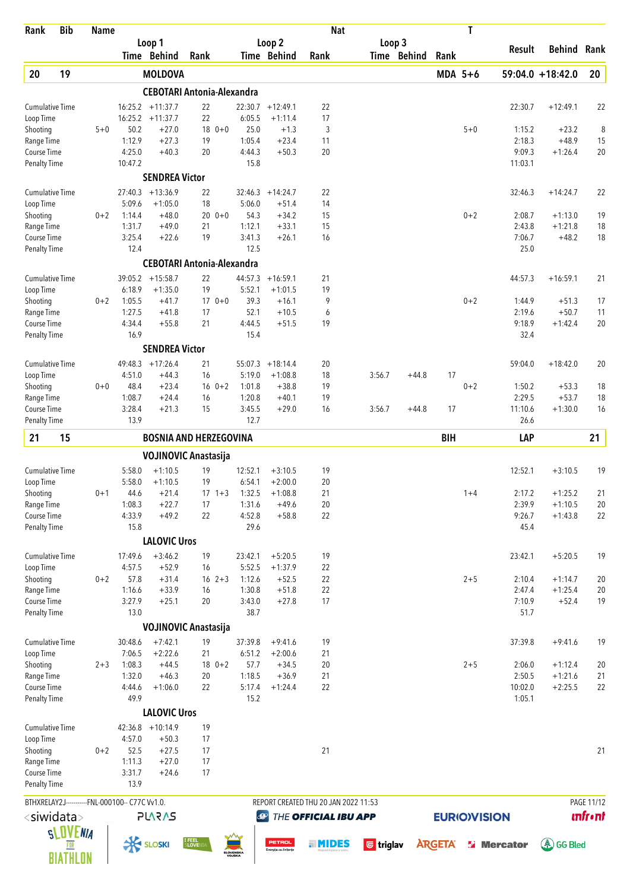| Rank                                | <b>Bib</b> | <b>Name</b> |                                                |                                   |                   |             |                   |                                        | <b>Nat</b>                           |                  |                       |               | T                  |                    |                     |                |
|-------------------------------------|------------|-------------|------------------------------------------------|-----------------------------------|-------------------|-------------|-------------------|----------------------------------------|--------------------------------------|------------------|-----------------------|---------------|--------------------|--------------------|---------------------|----------------|
|                                     |            |             |                                                | Loop 1<br>Time Behind             | Rank              |             |                   | Loop 2<br>Time Behind                  | Rank                                 |                  | Loop 3<br>Time Behind | Rank          |                    | Result             | Behind              | Rank           |
| 20                                  | 19         |             |                                                | <b>MOLDOVA</b>                    |                   |             |                   |                                        |                                      |                  |                       | $MDA$ 5+6     |                    |                    | $59:04.0 + 18:42.0$ | 20             |
|                                     |            |             |                                                | <b>CEBOTARI Antonia-Alexandra</b> |                   |             |                   |                                        |                                      |                  |                       |               |                    |                    |                     |                |
| <b>Cumulative Time</b>              |            |             |                                                | $16:25.2 + 11:37.7$               | 22                |             |                   | $22:30.7 + 12:49.1$                    | 22                                   |                  |                       |               |                    | 22:30.7            | $+12:49.1$          | 22             |
| Loop Time                           |            |             |                                                | $16:25.2 + 11:37.7$               | 22                |             | 6:05.5            | $+1:11.4$                              | 17                                   |                  |                       |               |                    |                    |                     |                |
| Shooting                            |            | $5 + 0$     | 50.2                                           | $+27.0$                           |                   | $18 \t 0+0$ | 25.0              | $+1.3$                                 | 3                                    |                  |                       |               | $5 + 0$            | 1:15.2             | $+23.2$             | 8              |
| Range Time                          |            |             | 1:12.9                                         | $+27.3$                           | 19                |             | 1:05.4            | $+23.4$                                | 11                                   |                  |                       |               |                    | 2:18.3             | $+48.9$             | 15             |
| Course Time                         |            |             | 4:25.0                                         | $+40.3$                           | 20                |             | 4:44.3            | $+50.3$                                | 20                                   |                  |                       |               |                    | 9:09.3             | $+1:26.4$           | 20             |
| <b>Penalty Time</b>                 |            |             | 10:47.2                                        |                                   |                   |             | 15.8              |                                        |                                      |                  |                       |               |                    | 11:03.1            |                     |                |
|                                     |            |             |                                                | <b>SENDREA Victor</b>             |                   |             |                   |                                        |                                      |                  |                       |               |                    |                    |                     |                |
| <b>Cumulative Time</b>              |            |             | 5:09.6                                         | $27:40.3 + 13:36.9$<br>$+1:05.0$  | 22<br>18          |             | 5:06.0            | $32:46.3 + 14:24.7$<br>$+51.4$         | 22<br>14                             |                  |                       |               |                    | 32:46.3            | $+14:24.7$          | 22             |
| Loop Time<br>Shooting               |            | $0 + 2$     | 1:14.4                                         | $+48.0$                           | 20                | $0+0$       | 54.3              | $+34.2$                                | 15                                   |                  |                       |               | $0 + 2$            | 2:08.7             | $+1:13.0$           | 19             |
| Range Time                          |            |             | 1:31.7                                         | $+49.0$                           | 21                |             | 1:12.1            | $+33.1$                                | 15                                   |                  |                       |               |                    | 2:43.8             | $+1:21.8$           | 18             |
| Course Time                         |            |             | 3:25.4                                         | $+22.6$                           | 19                |             | 3:41.3            | $+26.1$                                | 16                                   |                  |                       |               |                    | 7:06.7             | $+48.2$             | 18             |
| <b>Penalty Time</b>                 |            |             | 12.4                                           |                                   |                   |             | 12.5              |                                        |                                      |                  |                       |               |                    | 25.0               |                     |                |
|                                     |            |             |                                                | <b>CEBOTARI Antonia-Alexandra</b> |                   |             |                   |                                        |                                      |                  |                       |               |                    |                    |                     |                |
| <b>Cumulative Time</b>              |            |             |                                                | $39:05.2 + 15:58.7$               | 22                |             | 44:57.3           | $+16:59.1$                             | 21                                   |                  |                       |               |                    | 44:57.3            | $+16:59.1$          | 21             |
| Loop Time                           |            |             | 6:18.9                                         | $+1:35.0$                         | 19                |             | 5:52.1            | $+1:01.5$                              | 19                                   |                  |                       |               |                    |                    |                     |                |
| Shooting                            |            | $0 + 2$     | 1:05.5                                         | $+41.7$                           |                   | $170+0$     | 39.3              | $+16.1$                                | 9                                    |                  |                       |               | $0 + 2$            | 1:44.9             | $+51.3$             | 17             |
| Range Time                          |            |             | 1:27.5                                         | $+41.8$                           | 17                |             | 52.1              | $+10.5$                                | 6                                    |                  |                       |               |                    | 2:19.6             | $+50.7$             | 11             |
| Course Time<br><b>Penalty Time</b>  |            |             | 4:34.4<br>16.9                                 | $+55.8$                           | 21                |             | 4:44.5<br>15.4    | $+51.5$                                | 19                                   |                  |                       |               |                    | 9:18.9<br>32.4     | $+1:42.4$           | 20             |
|                                     |            |             |                                                | <b>SENDREA Victor</b>             |                   |             |                   |                                        |                                      |                  |                       |               |                    |                    |                     |                |
|                                     |            |             |                                                |                                   |                   |             |                   |                                        |                                      |                  |                       |               |                    |                    |                     |                |
| <b>Cumulative Time</b>              |            |             | 49:48.3                                        | $+17:26.4$                        | 21                |             | 55:07.3           | $+18:14.4$                             | 20                                   |                  |                       |               |                    | 59:04.0            | $+18:42.0$          | 20             |
| Loop Time<br>Shooting               |            | $0 + 0$     | 4:51.0<br>48.4                                 | $+44.3$<br>$+23.4$                | 16                | $16 \t 0+2$ | 5:19.0<br>1:01.8  | $+1:08.8$<br>$+38.8$                   | 18<br>19                             | 3:56.7           | $+44.8$               | 17            | $0 + 2$            | 1:50.2             | $+53.3$             | 18             |
| Range Time                          |            |             | 1:08.7                                         | $+24.4$                           | 16                |             | 1:20.8            | $+40.1$                                | 19                                   |                  |                       |               |                    | 2:29.5             | $+53.7$             | 18             |
| Course Time                         |            |             | 3:28.4                                         | $+21.3$                           | 15                |             | 3:45.5            | $+29.0$                                | 16                                   | 3:56.7           | $+44.8$               | 17            |                    | 11:10.6            | $+1:30.0$           | 16             |
| <b>Penalty Time</b>                 |            |             | 13.9                                           |                                   |                   |             | 12.7              |                                        |                                      |                  |                       |               |                    | 26.6               |                     |                |
| 21                                  | 15         |             |                                                | <b>BOSNIA AND HERZEGOVINA</b>     |                   |             |                   |                                        |                                      |                  |                       | <b>BIH</b>    |                    | LAP                |                     | 21             |
|                                     |            |             |                                                |                                   |                   |             |                   |                                        |                                      |                  |                       |               |                    |                    |                     |                |
|                                     |            |             |                                                | <b>VOJINOVIC Anastasija</b>       |                   |             |                   |                                        |                                      |                  |                       |               |                    |                    |                     |                |
| Cumulative Time                     |            |             | 5:58.0<br>5:58.0                               | $+1:10.5$<br>$+1:10.5$            | 19<br>19          |             | 12:52.1<br>6:54.1 | $+3:10.5$<br>$+2:00.0$                 | 19<br>20                             |                  |                       |               |                    | 12:52.1            | $+3:10.5$           | 19             |
| Loop Time<br>Shooting               |            | $0 + 1$     | 44.6                                           | $+21.4$                           |                   | $17 \t1+3$  | 1:32.5            | $+1:08.8$                              | 21                                   |                  |                       |               | $1+4$              | 2:17.2             | $+1:25.2$           | 21             |
| Range Time                          |            |             | 1:08.3                                         | $+22.7$                           | 17                |             | 1:31.6            | $+49.6$                                | 20                                   |                  |                       |               |                    | 2:39.9             | $+1:10.5$           | 20             |
| Course Time                         |            |             | 4:33.9                                         | $+49.2$                           | 22                |             | 4:52.8            | $+58.8$                                | 22                                   |                  |                       |               |                    | 9:26.7             | $+1:43.8$           | 22             |
| <b>Penalty Time</b>                 |            |             | 15.8                                           |                                   |                   |             | 29.6              |                                        |                                      |                  |                       |               |                    | 45.4               |                     |                |
|                                     |            |             |                                                | <b>LALOVIC Uros</b>               |                   |             |                   |                                        |                                      |                  |                       |               |                    |                    |                     |                |
| <b>Cumulative Time</b>              |            |             | 17:49.6                                        | $+3:46.2$                         | 19                |             | 23:42.1           | $+5:20.5$                              | 19                                   |                  |                       |               |                    | 23:42.1            | $+5:20.5$           | 19             |
| Loop Time                           |            |             | 4:57.5                                         | $+52.9$                           | 16                |             | 5:52.5            | $+1:37.9$                              | 22                                   |                  |                       |               |                    |                    |                     |                |
| Shooting                            |            | $0 + 2$     | 57.8                                           | $+31.4$                           |                   | $16 \t2+3$  | 1:12.6            | $+52.5$                                | 22                                   |                  |                       |               | $2 + 5$            | 2:10.4             | $+1:14.7$           | 20             |
| Range Time                          |            |             | 1:16.6                                         | $+33.9$                           | 16                |             | 1:30.8            | $+51.8$                                | 22                                   |                  |                       |               |                    | 2:47.4             | $+1:25.4$           | 20             |
| Course Time<br><b>Penalty Time</b>  |            |             | 3:27.9<br>13.0                                 | $+25.1$                           | 20                |             | 3:43.0<br>38.7    | $+27.8$                                | 17                                   |                  |                       |               |                    | 7:10.9<br>51.7     | $+52.4$             | 19             |
|                                     |            |             |                                                | <b>VOJINOVIC Anastasija</b>       |                   |             |                   |                                        |                                      |                  |                       |               |                    |                    |                     |                |
|                                     |            |             |                                                |                                   |                   |             |                   |                                        |                                      |                  |                       |               |                    |                    |                     |                |
| <b>Cumulative Time</b><br>Loop Time |            |             | 30:48.6<br>7:06.5                              | $+7:42.1$<br>$+2:22.6$            | 19<br>21          |             | 37:39.8<br>6:51.2 | $+9:41.6$<br>$+2:00.6$                 | 19<br>21                             |                  |                       |               |                    | 37:39.8            | $+9:41.6$           | 19             |
| Shooting                            |            | $2 + 3$     | 1:08.3                                         | $+44.5$                           |                   | $18 \t 0+2$ | 57.7              | $+34.5$                                | 20                                   |                  |                       |               | $2 + 5$            | 2:06.0             | $+1:12.4$           | 20             |
| Range Time                          |            |             | 1:32.0                                         | $+46.3$                           | 20                |             | 1:18.5            | $+36.9$                                | 21                                   |                  |                       |               |                    | 2:50.5             | $+1:21.6$           | 21             |
| Course Time                         |            |             | 4:44.6                                         | $+1:06.0$                         | 22                |             | 5:17.4            | $+1:24.4$                              | 22                                   |                  |                       |               |                    | 10:02.0            | $+2:25.5$           | 22             |
| <b>Penalty Time</b>                 |            |             | 49.9                                           |                                   |                   |             | 15.2              |                                        |                                      |                  |                       |               |                    | 1:05.1             |                     |                |
|                                     |            |             |                                                | <b>LALOVIC Uros</b>               |                   |             |                   |                                        |                                      |                  |                       |               |                    |                    |                     |                |
| Cumulative Time                     |            |             |                                                | $42:36.8$ +10:14.9                | 19                |             |                   |                                        |                                      |                  |                       |               |                    |                    |                     |                |
| Loop Time                           |            |             | 4:57.0                                         | $+50.3$                           | 17                |             |                   |                                        |                                      |                  |                       |               |                    |                    |                     |                |
| Shooting                            |            | $0 + 2$     | 52.5                                           | $+27.5$                           | 17                |             |                   |                                        | 21                                   |                  |                       |               |                    |                    |                     | 21             |
| Range Time                          |            |             | 1:11.3                                         | $+27.0$                           | 17                |             |                   |                                        |                                      |                  |                       |               |                    |                    |                     |                |
| Course Time<br><b>Penalty Time</b>  |            |             | 3:31.7<br>13.9                                 | $+24.6$                           | 17                |             |                   |                                        |                                      |                  |                       |               |                    |                    |                     |                |
|                                     |            |             |                                                |                                   |                   |             |                   |                                        |                                      |                  |                       |               |                    |                    |                     |                |
|                                     |            |             | BTHXRELAY2J-----------FNL-000100-- C77C Vv1.0. |                                   |                   |             |                   |                                        | REPORT CREATED THU 20 JAN 2022 11:53 |                  |                       |               |                    |                    |                     | PAGE 11/12     |
| <siwidata></siwidata>               |            |             |                                                | <b>PLARAS</b>                     |                   |             |                   | $\bigcirc$                             | THE OFFICIAL IBU APP                 |                  |                       |               | <b>EURIOVISION</b> |                    |                     | <b>unfront</b> |
|                                     | SLOVENIA   |             |                                                |                                   |                   |             |                   |                                        |                                      |                  |                       |               |                    |                    |                     |                |
|                                     |            |             |                                                | <b>K SLOSKI</b>                   | I FEEL<br>SLOVEN: |             | SLOVENSKA         | <b>PETROL</b><br>Energija za življenje | . MIDES                              | <b>U</b> triglav |                       | <b>ARGETA</b> |                    | <b>Si</b> Mercator | (《 GG Bled          |                |
|                                     | BIATHLON   |             |                                                |                                   |                   |             |                   |                                        |                                      |                  |                       |               |                    |                    |                     |                |